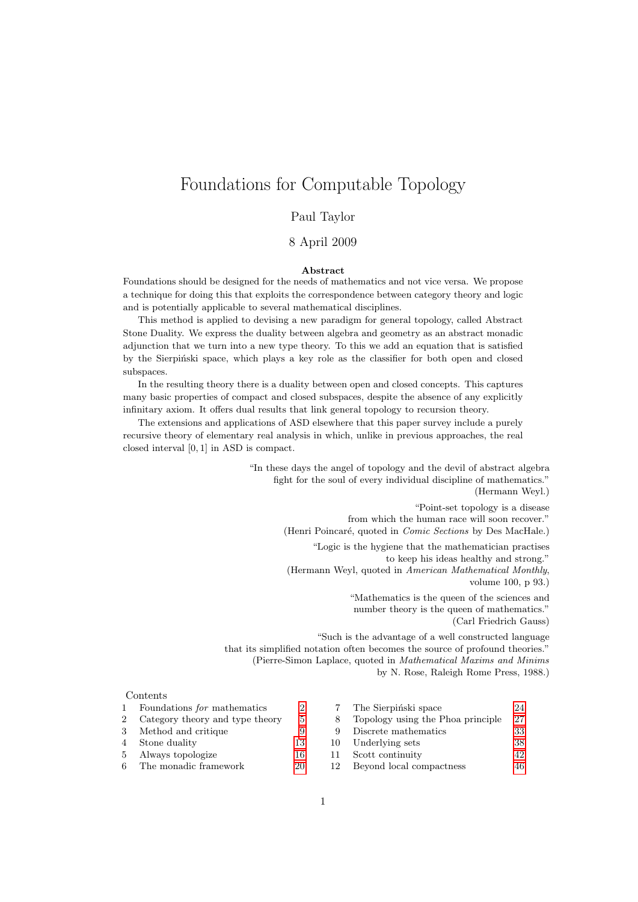# Foundations for Computable Topology

#### Paul Taylor

#### 8 April 2009

#### Abstract

Foundations should be designed for the needs of mathematics and not vice versa. We propose a technique for doing this that exploits the correspondence between category theory and logic and is potentially applicable to several mathematical disciplines.

This method is applied to devising a new paradigm for general topology, called Abstract Stone Duality. We express the duality between algebra and geometry as an abstract monadic adjunction that we turn into a new type theory. To this we add an equation that is satisfied by the Sierpiński space, which plays a key role as the classifier for both open and closed subspaces.

In the resulting theory there is a duality between open and closed concepts. This captures many basic properties of compact and closed subspaces, despite the absence of any explicitly infinitary axiom. It offers dual results that link general topology to recursion theory.

The extensions and applications of ASD elsewhere that this paper survey include a purely recursive theory of elementary real analysis in which, unlike in previous approaches, the real closed interval [0, 1] in ASD is compact.

> "In these days the angel of topology and the devil of abstract algebra fight for the soul of every individual discipline of mathematics." (Hermann Weyl.)

> > "Point-set topology is a disease from which the human race will soon recover." (Henri Poincaré, quoted in Comic Sections by Des MacHale.) "Logic is the hygiene that the mathematician practises to keep his ideas healthy and strong."

(Hermann Weyl, quoted in American Mathematical Monthly, volume 100, p 93.)

> "Mathematics is the queen of the sciences and number theory is the queen of mathematics." (Carl Friedrich Gauss)

"Such is the advantage of a well constructed language that its simplified notation often becomes the source of profound theories." (Pierre-Simon Laplace, quoted in Mathematical Maxims and Minims by N. Rose, Raleigh Rome Press, 1988.)

#### Contents

|   | Foundations <i>for</i> mathematics |       |     | The Sierpinski space              | 24  |
|---|------------------------------------|-------|-----|-----------------------------------|-----|
|   | 2 Category theory and type theory  | $5 -$ |     | Topology using the Phoa principle | -27 |
| 3 | Method and critique                |       |     | Discrete mathematics              | 33  |
|   | 4 Stone duality                    | 13    | 10. | Underlying sets                   | 38  |
|   | 5 Always topologize                | 16    |     | Scott continuity                  | 42  |
|   | 6 The monadic framework            | 20    |     | Beyond local compactness          | 46  |

| 7                | The Sierpinski space              | 24 |
|------------------|-----------------------------------|----|
| 8                | Topology using the Phoa principle | 27 |
| 9                | Discrete mathematics              | 33 |
| $\left( \right)$ | Underlying sets                   | 38 |
| -1               | Scott continuity                  | 42 |
| ച                | Royand local compactness          | 46 |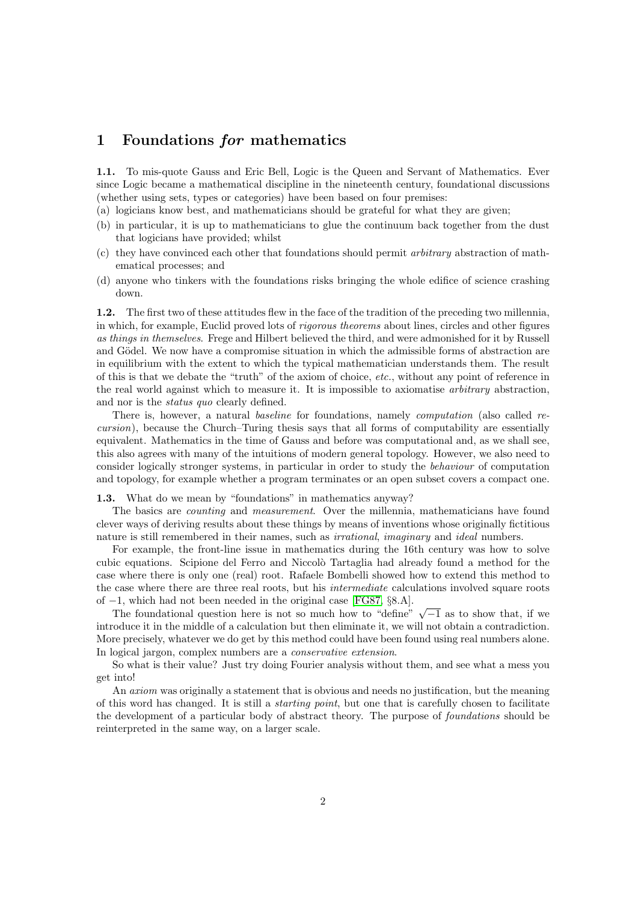## <span id="page-1-0"></span>1 Foundations for mathematics

<span id="page-1-4"></span>1.1. To mis-quote Gauss and Eric Bell, Logic is the Queen and Servant of Mathematics. Ever since Logic became a mathematical discipline in the nineteenth century, foundational discussions (whether using sets, types or categories) have been based on four premises:

- (a) logicians know best, and mathematicians should be grateful for what they are given;
- <span id="page-1-3"></span>(b) in particular, it is up to mathematicians to glue the continuum back together from the dust that logicians have provided; whilst
- (c) they have convinced each other that foundations should permit arbitrary abstraction of mathematical processes; and
- <span id="page-1-2"></span>(d) anyone who tinkers with the foundations risks bringing the whole edifice of science crashing down.

1.2. The first two of these attitudes flew in the face of the tradition of the preceding two millennia, in which, for example, Euclid proved lots of rigorous theorems about lines, circles and other figures as things in themselves. Frege and Hilbert believed the third, and were admonished for it by Russell and Gödel. We now have a compromise situation in which the admissible forms of abstraction are in equilibrium with the extent to which the typical mathematician understands them. The result of this is that we debate the "truth" of the axiom of choice, etc., without any point of reference in the real world against which to measure it. It is impossible to axiomatise arbitrary abstraction, and nor is the status quo clearly defined.

There is, however, a natural *baseline* for foundations, namely *computation* (also called recursion), because the Church–Turing thesis says that all forms of computability are essentially equivalent. Mathematics in the time of Gauss and before was computational and, as we shall see, this also agrees with many of the intuitions of modern general topology. However, we also need to consider logically stronger systems, in particular in order to study the behaviour of computation and topology, for example whether a program terminates or an open subset covers a compact one.

<span id="page-1-1"></span>1.3. What do we mean by "foundations" in mathematics anyway?

The basics are *counting* and *measurement*. Over the millennia, mathematicians have found clever ways of deriving results about these things by means of inventions whose originally fictitious nature is still remembered in their names, such as *irrational, imaginary* and *ideal* numbers.

For example, the front-line issue in mathematics during the 16th century was how to solve cubic equations. Scipione del Ferro and Niccolò Tartaglia had already found a method for the case where there is only one (real) root. Rafaele Bombelli showed how to extend this method to the case where there are three real roots, but his intermediate calculations involved square roots of −1, which had not been needed in the original case [\[FG87,](#page-53-0) §8.A].

−1, which had not been needed in the original case  $[{\bf r}$ G $\delta$ <sub>1</sub>, 38.A...<br>The foundational question here is not so much how to "define"  $\sqrt{-1}$  as to show that, if we introduce it in the middle of a calculation but then eliminate it, we will not obtain a contradiction. More precisely, whatever we do get by this method could have been found using real numbers alone. In logical jargon, complex numbers are a *conservative extension*.

So what is their value? Just try doing Fourier analysis without them, and see what a mess you get into!

An axiom was originally a statement that is obvious and needs no justification, but the meaning of this word has changed. It is still a starting point, but one that is carefully chosen to facilitate the development of a particular body of abstract theory. The purpose of foundations should be reinterpreted in the same way, on a larger scale.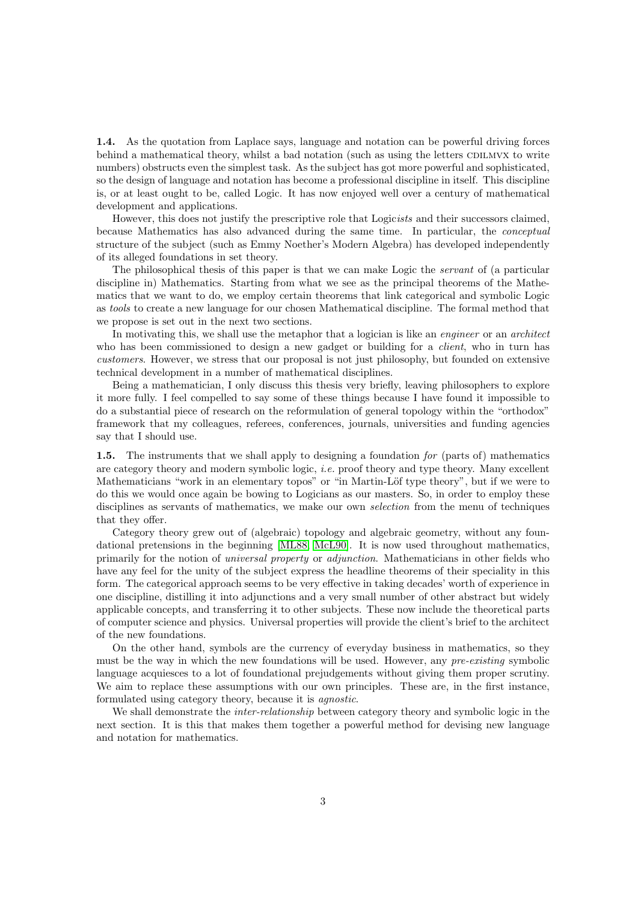<span id="page-2-0"></span>1.4. As the quotation from Laplace says, language and notation can be powerful driving forces behind a mathematical theory, whilst a bad notation (such as using the letters CDILMVX to write numbers) obstructs even the simplest task. As the subject has got more powerful and sophisticated, so the design of language and notation has become a professional discipline in itself. This discipline is, or at least ought to be, called Logic. It has now enjoyed well over a century of mathematical development and applications.

However, this does not justify the prescriptive role that Logicists and their successors claimed, because Mathematics has also advanced during the same time. In particular, the conceptual structure of the subject (such as Emmy Noether's Modern Algebra) has developed independently of its alleged foundations in set theory.

The philosophical thesis of this paper is that we can make Logic the *servant* of (a particular discipline in) Mathematics. Starting from what we see as the principal theorems of the Mathematics that we want to do, we employ certain theorems that link categorical and symbolic Logic as tools to create a new language for our chosen Mathematical discipline. The formal method that we propose is set out in the next two sections.

In motivating this, we shall use the metaphor that a logician is like an *engineer* or an *architect* who has been commissioned to design a new gadget or building for a *client*, who in turn has customers. However, we stress that our proposal is not just philosophy, but founded on extensive technical development in a number of mathematical disciplines.

Being a mathematician, I only discuss this thesis very briefly, leaving philosophers to explore it more fully. I feel compelled to say some of these things because I have found it impossible to do a substantial piece of research on the reformulation of general topology within the "orthodox" framework that my colleagues, referees, conferences, journals, universities and funding agencies say that I should use.

<span id="page-2-1"></span>1.5. The instruments that we shall apply to designing a foundation for (parts of) mathematics are category theory and modern symbolic logic, *i.e.* proof theory and type theory. Many excellent Mathematicians "work in an elementary topos" or "in Martin-Löf type theory", but if we were to do this we would once again be bowing to Logicians as our masters. So, in order to employ these disciplines as servants of mathematics, we make our own *selection* from the menu of techniques that they offer.

Category theory grew out of (algebraic) topology and algebraic geometry, without any foundational pretensions in the beginning [\[ML88,](#page-55-0) [McL90\]](#page-55-1). It is now used throughout mathematics, primarily for the notion of universal property or adjunction. Mathematicians in other fields who have any feel for the unity of the subject express the headline theorems of their speciality in this form. The categorical approach seems to be very effective in taking decades' worth of experience in one discipline, distilling it into adjunctions and a very small number of other abstract but widely applicable concepts, and transferring it to other subjects. These now include the theoretical parts of computer science and physics. Universal properties will provide the client's brief to the architect of the new foundations.

On the other hand, symbols are the currency of everyday business in mathematics, so they must be the way in which the new foundations will be used. However, any pre-existing symbolic language acquiesces to a lot of foundational prejudgements without giving them proper scrutiny. We aim to replace these assumptions with our own principles. These are, in the first instance, formulated using category theory, because it is agnostic.

We shall demonstrate the *inter-relationship* between category theory and symbolic logic in the next section. It is this that makes them together a powerful method for devising new language and notation for mathematics.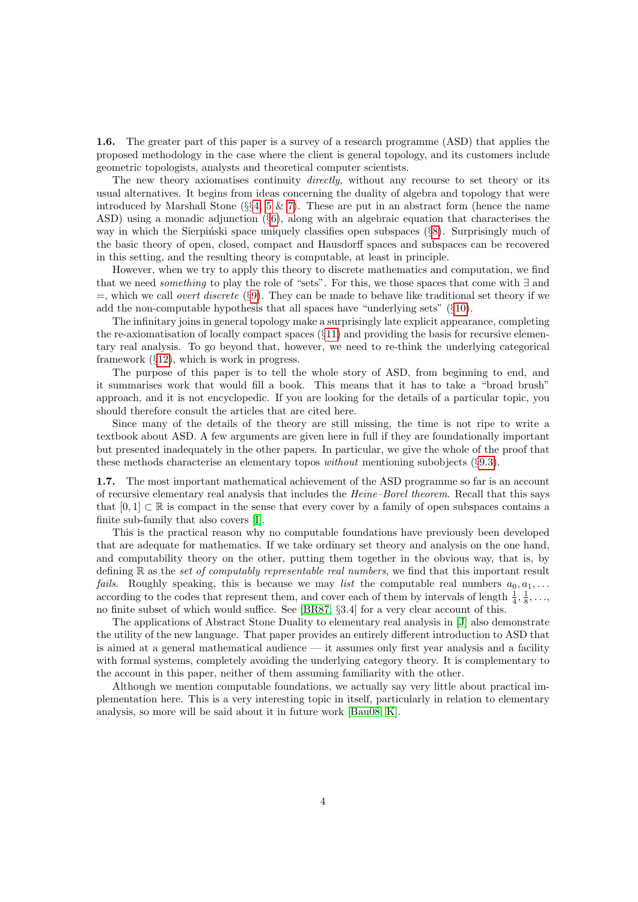1.6. The greater part of this paper is a survey of a research programme (ASD) that applies the proposed methodology in the case where the client is general topology, and its customers include geometric topologists, analysts and theoretical computer scientists.

The new theory axiomatises continuity *directly*, without any recourse to set theory or its usual alternatives. It begins from ideas concerning the duality of algebra and topology that were introduced by Marshall Stone ( $\S$ [4,](#page-12-0) [5](#page-15-0) & [7\)](#page-23-0). These are put in an abstract form (hence the name ASD) using a monadic adjunction (§[6\)](#page-19-0), along with an algebraic equation that characterises the way in which the Sierpinski space uniquely classifies open subspaces  $(\S8)$  $(\S8)$ . Surprisingly much of the basic theory of open, closed, compact and Hausdorff spaces and subspaces can be recovered in this setting, and the resulting theory is computable, at least in principle.

However, when we try to apply this theory to discrete mathematics and computation, we find that we need something to play the role of "sets". For this, we those spaces that come with ∃ and  $=$ , which we call *overt discrete* (§[9\)](#page-32-0). They can be made to behave like traditional set theory if we add the non-computable hypothesis that all spaces have "underlying sets" (§[10\)](#page-37-0).

The infinitary joins in general topology make a surprisingly late explicit appearance, completing the re-axiomatisation of locally compact spaces  $(\S11)$  $(\S11)$  and providing the basis for recursive elementary real analysis. To go beyond that, however, we need to re-think the underlying categorical framework (§[12\)](#page-45-0), which is work in progress.

The purpose of this paper is to tell the whole story of ASD, from beginning to end, and it summarises work that would fill a book. This means that it has to take a "broad brush" approach, and it is not encyclopedic. If you are looking for the details of a particular topic, you should therefore consult the articles that are cited here.

Since many of the details of the theory are still missing, the time is not ripe to write a textbook about ASD. A few arguments are given here in full if they are foundationally important but presented inadequately in the other papers. In particular, we give the whole of the proof that these methods characterise an elementary topos without mentioning subobjects (§[9.3\)](#page-33-0).

<span id="page-3-0"></span>1.7. The most important mathematical achievement of the ASD programme so far is an account of recursive elementary real analysis that includes the Heine–Borel theorem. Recall that this says that  $[0, 1] \subset \mathbb{R}$  is compact in the sense that every cover by a family of open subspaces contains a finite sub-family that also covers [\[I\]](#page-57-0).

This is the practical reason why no computable foundations have previously been developed that are adequate for mathematics. If we take ordinary set theory and analysis on the one hand, and computability theory on the other, putting them together in the obvious way, that is, by defining  $\mathbb R$  as the set of computably representable real numbers, we find that this important result *fails.* Roughly speaking, this is because we may list the computable real numbers  $a_0, a_1, \ldots$ according to the codes that represent them, and cover each of them by intervals of length  $\frac{1}{4}, \frac{1}{8}, \ldots$ , no finite subset of which would suffice. See [\[BR87,](#page-53-1) §3.4] for a very clear account of this.

The applications of Abstract Stone Duality to elementary real analysis in [\[J\]](#page-57-1) also demonstrate the utility of the new language. That paper provides an entirely different introduction to ASD that is aimed at a general mathematical audience — it assumes only first year analysis and a facility with formal systems, completely avoiding the underlying category theory. It is complementary to the account in this paper, neither of them assuming familiarity with the other.

Although we mention computable foundations, we actually say very little about practical implementation here. This is a very interesting topic in itself, particularly in relation to elementary analysis, so more will be said about it in future work [\[Bau08,](#page-52-0) [K\]](#page-57-2).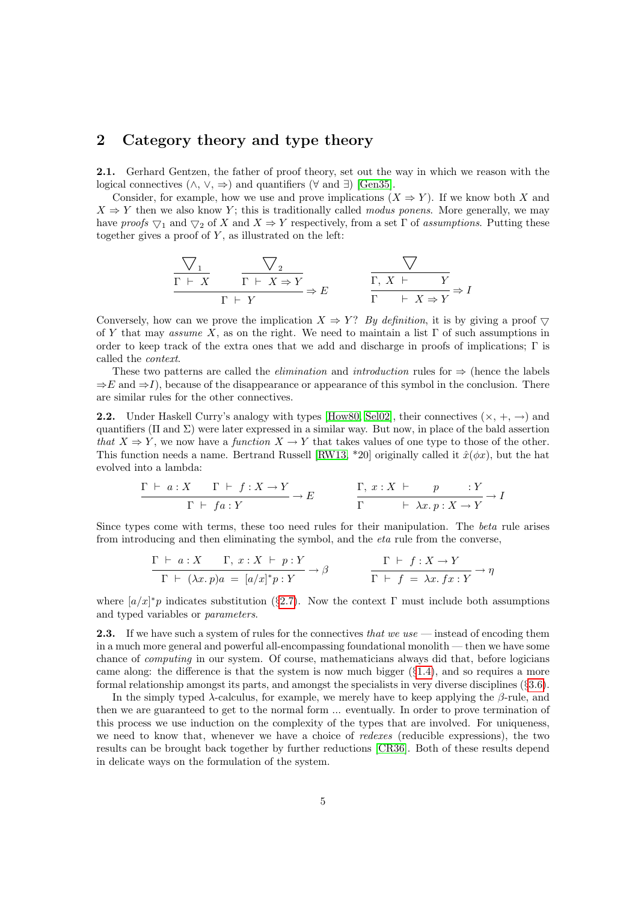## <span id="page-4-0"></span>2 Category theory and type theory

<span id="page-4-2"></span>2.1. Gerhard Gentzen, the father of proof theory, set out the way in which we reason with the logical connectives  $(\wedge, \vee, \Rightarrow)$  and quantifiers  $(\forall \text{ and } \exists)$  [\[Gen35\]](#page-53-2).

Consider, for example, how we use and prove implications  $(X \Rightarrow Y)$ . If we know both X and  $X \Rightarrow Y$  then we also know Y; this is traditionally called *modus ponens*. More generally, we may have proofs  $\nabla_1$  and  $\nabla_2$  of X and  $X \Rightarrow Y$  respectively, from a set  $\Gamma$  of assumptions. Putting these together gives a proof of  $Y$ , as illustrated on the left:

$$
\frac{\nabla_1}{\Gamma \vdash X} \qquad \frac{\nabla_2}{\Gamma \vdash Y} \Rightarrow E \qquad \qquad \frac{\nabla}{\Gamma \vdash X \Rightarrow Y} \Rightarrow E
$$
\n
$$
\frac{\nabla}{\Gamma \vdash Y} \Rightarrow E \qquad \frac{\nabla}{\Gamma \vdash X \Rightarrow Y} \Rightarrow I
$$

Conversely, how can we prove the implication  $X \Rightarrow Y$ ? By definition, it is by giving a proof  $\bigtriangledown$ of Y that may assume X, as on the right. We need to maintain a list  $\Gamma$  of such assumptions in order to keep track of the extra ones that we add and discharge in proofs of implications;  $\Gamma$  is called the context.

These two patterns are called the *elimination* and *introduction* rules for  $\Rightarrow$  (hence the labels  $\Rightarrow E$  and  $\Rightarrow I$ ), because of the disappearance or appearance of this symbol in the conclusion. There are similar rules for the other connectives.

<span id="page-4-1"></span>**2.2.** Under Haskell Curry's analogy with types [\[How80,](#page-54-0) [Sel02\]](#page-56-0), their connectives  $(\times, +, \rightarrow)$  and quantifiers ( $\Pi$  and  $\Sigma$ ) were later expressed in a similar way. But now, in place of the bald assertion that  $X \Rightarrow Y$ , we now have a function  $X \to Y$  that takes values of one type to those of the other. This function needs a name. Bertrand Russell [\[RW13,](#page-55-2) \*20] originally called it  $\hat{x}(\phi x)$ , but the hat evolved into a lambda:

$$
\frac{\Gamma \vdash a: X \qquad \Gamma \vdash f: X \to Y}{\Gamma \vdash fa: Y} \to E \qquad \qquad \frac{\Gamma, x: X \vdash p \qquad : Y}{\Gamma \qquad \vdash \lambda x. p: X \to Y} \to I
$$

Since types come with terms, these too need rules for their manipulation. The beta rule arises from introducing and then eliminating the symbol, and the eta rule from the converse,

$$
\frac{\Gamma \vdash a: X \qquad \Gamma, \ x: X \vdash p: Y}{\Gamma \vdash (\lambda x. p)a = [a/x]^*p: Y} \rightarrow \beta \qquad \qquad \frac{\Gamma \vdash f: X \rightarrow Y}{\Gamma \vdash f = \lambda x. fx: Y} \rightarrow \eta
$$

where  $[a/x]^*p$  indicates substitution (§[2.7\)](#page-6-0). Now the context  $\Gamma$  must include both assumptions and typed variables or parameters.

<span id="page-4-3"></span>**2.3.** If we have such a system of rules for the connectives that we use  $\rightarrow$  instead of encoding them in a much more general and powerful all-encompassing foundational monolith — then we have some chance of computing in our system. Of course, mathematicians always did that, before logicians came along: the difference is that the system is now much bigger  $(\S1.4)$  $(\S1.4)$ , and so requires a more formal relationship amongst its parts, and amongst the specialists in very diverse disciplines (§[3.6\)](#page-11-0).

In the simply typed  $\lambda$ -calculus, for example, we merely have to keep applying the  $\beta$ -rule, and then we are guaranteed to get to the normal form ... eventually. In order to prove termination of this process we use induction on the complexity of the types that are involved. For uniqueness, we need to know that, whenever we have a choice of redexes (reducible expressions), the two results can be brought back together by further reductions [\[CR36\]](#page-53-3). Both of these results depend in delicate ways on the formulation of the system.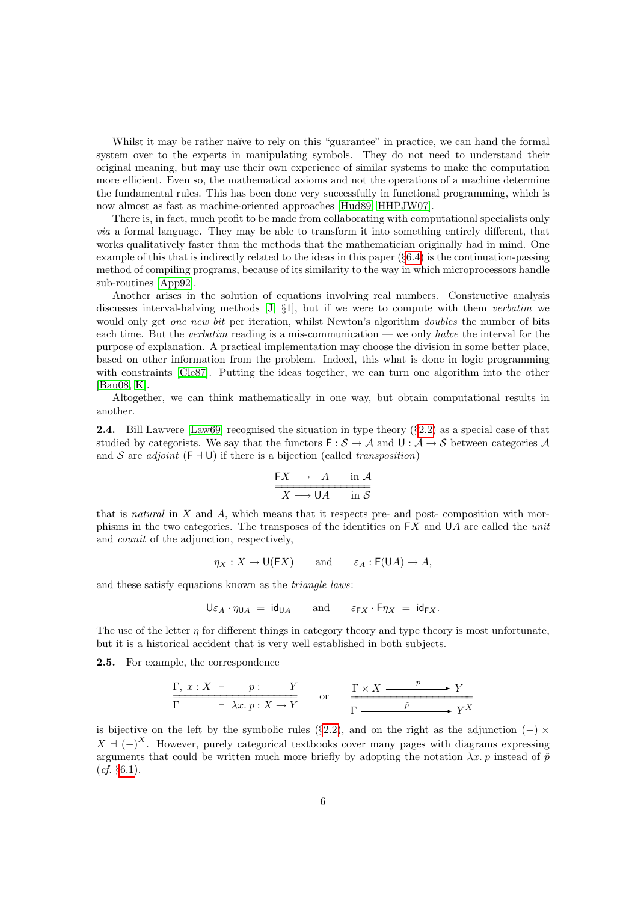Whilst it may be rather naïve to rely on this "guarantee" in practice, we can hand the formal system over to the experts in manipulating symbols. They do not need to understand their original meaning, but may use their own experience of similar systems to make the computation more efficient. Even so, the mathematical axioms and not the operations of a machine determine the fundamental rules. This has been done very successfully in functional programming, which is now almost as fast as machine-oriented approaches [\[Hud89,](#page-54-1) [HHPJW07\]](#page-54-2).

There is, in fact, much profit to be made from collaborating with computational specialists only via a formal language. They may be able to transform it into something entirely different, that works qualitatively faster than the methods that the mathematician originally had in mind. One example of this that is indirectly related to the ideas in this paper  $(\S6.4)$  $(\S6.4)$  is the continuation-passing method of compiling programs, because of its similarity to the way in which microprocessors handle sub-routines [\[App92\]](#page-52-1).

Another arises in the solution of equations involving real numbers. Constructive analysis discusses interval-halving methods [\[J,](#page-57-1) §1], but if we were to compute with them verbatim we would only get *one new bit* per iteration, whilst Newton's algorithm *doubles* the number of bits each time. But the *verbatim* reading is a mis-communication — we only *halve* the interval for the purpose of explanation. A practical implementation may choose the division in some better place, based on other information from the problem. Indeed, this what is done in logic programming with constraints [\[Cle87\]](#page-53-4). Putting the ideas together, we can turn one algorithm into the other [\[Bau08,](#page-52-0) [K\]](#page-57-2).

Altogether, we can think mathematically in one way, but obtain computational results in another.

<span id="page-5-1"></span>2.4. Bill Lawvere [\[Law69\]](#page-54-3) recognised the situation in type theory (§[2.2\)](#page-4-1) as a special case of that studied by categorists. We say that the functors  $\mathsf{F}: \mathcal{S} \to \mathcal{A}$  and  $\mathsf{U}: \mathcal{A} \to \mathcal{S}$  between categories  $\mathcal{A}$ and S are *adjoint*  $(F \dashv U)$  if there is a bijection (called *transposition*)

$$
\frac{FX \longrightarrow A \quad \text{in } A}{X \longrightarrow \mathsf{U}A \quad \text{in } \mathcal{S}}
$$

that is natural in  $X$  and  $A$ , which means that it respects pre- and post- composition with morphisms in the two categories. The transposes of the identities on  $FX$  and  $UA$  are called the unit and counit of the adjunction, respectively,

$$
\eta_X : X \to \mathsf{U}(\mathsf{F} X)
$$
 and  $\varepsilon_A : \mathsf{F}(\mathsf{U} A) \to A$ ,

and these satisfy equations known as the triangle laws:

$$
\mathsf{U}\varepsilon_A\cdot\eta_{\mathsf{U} A} \;=\; \mathsf{id}_{\mathsf{U} A} \qquad \text{and} \qquad \varepsilon_{\mathsf{F} X}\cdot\mathsf{F} \eta_X \;=\; \mathsf{id}_{\mathsf{F} X}.
$$

The use of the letter  $\eta$  for different things in category theory and type theory is most unfortunate, but it is a historical accident that is very well established in both subjects.

<span id="page-5-0"></span>2.5. For example, the correspondence

$$
\frac{\Gamma, x : X \vdash p : Y}{\Gamma \vdash \lambda x. p : X \to Y} \quad \text{or} \quad \frac{\Gamma \times X \xrightarrow{p} Y}{\Gamma \xrightarrow{p} Y}
$$

is bijective on the left by the symbolic rules (§[2.2\)](#page-4-1), and on the right as the adjunction (−)  $\times$  $X \dashv (-)^X$ . However, purely categorical textbooks cover many pages with diagrams expressing arguments that could be written much more briefly by adopting the notation  $\lambda x. p$  instead of  $\tilde{p}$  $(cf. §6.1).$  $(cf. §6.1).$  $(cf. §6.1).$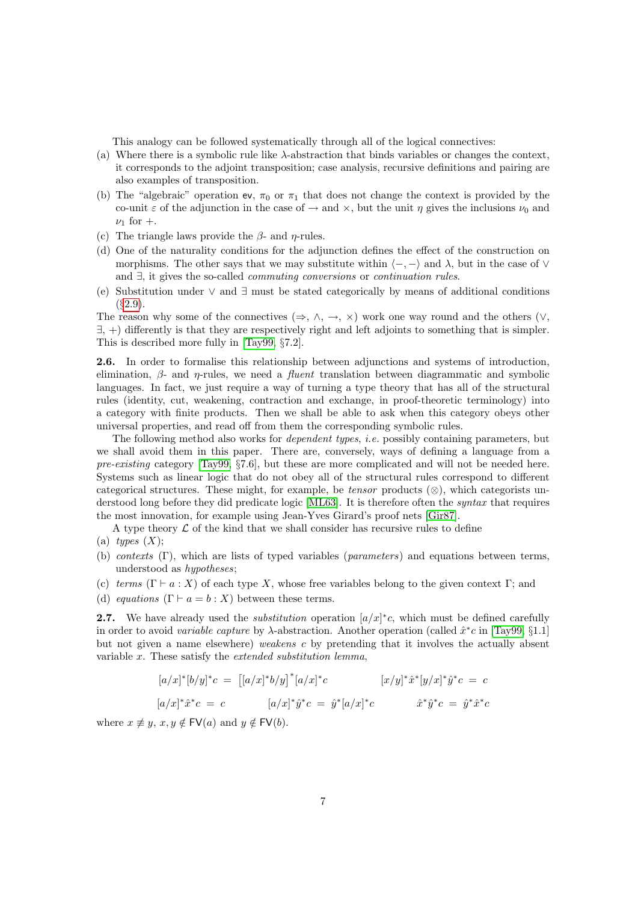This analogy can be followed systematically through all of the logical connectives:

- (a) Where there is a symbolic rule like  $\lambda$ -abstraction that binds variables or changes the context, it corresponds to the adjoint transposition; case analysis, recursive definitions and pairing are also examples of transposition.
- (b) The "algebraic" operation ev,  $\pi_0$  or  $\pi_1$  that does not change the context is provided by the co-unit  $\varepsilon$  of the adjunction in the case of  $\rightarrow$  and  $\times$ , but the unit  $\eta$  gives the inclusions  $\nu_0$  and  $\nu_1$  for  $+$ .
- (c) The triangle laws provide the  $\beta$  and  $\eta$ -rules.
- (d) One of the naturality conditions for the adjunction defines the effect of the construction on morphisms. The other says that we may substitute within  $\langle -, - \rangle$  and  $\lambda$ , but in the case of  $\vee$ and ∃, it gives the so-called commuting conversions or continuation rules.
- <span id="page-6-2"></span>(e) Substitution under ∨ and ∃ must be stated categorically by means of additional conditions  $(82.9)$  $(82.9)$ .

The reason why some of the connectives ( $\Rightarrow$ ,  $\land$ ,  $\rightarrow$ ,  $\times$ ) work one way round and the others ( $\lor$ , ∃, +) differently is that they are respectively right and left adjoints to something that is simpler. This is described more fully in [\[Tay99,](#page-56-1) §7.2].

<span id="page-6-1"></span>2.6. In order to formalise this relationship between adjunctions and systems of introduction, elimination,  $\beta$ - and  $\eta$ -rules, we need a *fluent* translation between diagrammatic and symbolic languages. In fact, we just require a way of turning a type theory that has all of the structural rules (identity, cut, weakening, contraction and exchange, in proof-theoretic terminology) into a category with finite products. Then we shall be able to ask when this category obeys other universal properties, and read off from them the corresponding symbolic rules.

The following method also works for *dependent types, i.e.* possibly containing parameters, but we shall avoid them in this paper. There are, conversely, ways of defining a language from a pre-existing category [\[Tay99,](#page-56-1) §7.6], but these are more complicated and will not be needed here. Systems such as linear logic that do not obey all of the structural rules correspond to different categorical structures. These might, for example, be *tensor* products  $(\otimes)$ , which categorists understood long before they did predicate logic [\[ML63\]](#page-55-3). It is therefore often the syntax that requires the most innovation, for example using Jean-Yves Girard's proof nets [\[Gir87\]](#page-53-5).

A type theory  $\mathcal L$  of the kind that we shall consider has recursive rules to define

- (a) types  $(X)$ ;
- (b) contexts (Γ), which are lists of typed variables (parameters) and equations between terms, understood as hypotheses;
- (c) terms  $(\Gamma \vdash a : X)$  of each type X, whose free variables belong to the given context  $\Gamma$ ; and
- (d) equations  $(\Gamma \vdash a = b : X)$  between these terms.

<span id="page-6-0"></span>2.7. We have already used the *substitution* operation  $\left[a/x\right]^*c$ , which must be defined carefully in order to avoid variable capture by  $\lambda$ -abstraction. Another operation (called  $\hat{x}^*c$  in [\[Tay99,](#page-56-1) §1.1] but not given a name elsewhere) weakens c by pretending that it involves the actually absent variable x. These satisfy the extended substitution lemma,

$$
[a/x]^*[b/y]^*c = [[a/x]^*b/y]^*[a/x]^*c \qquad [x/y]^* \hat{x}^*[y/x]^* \hat{y}^*c = c
$$
  

$$
[a/x]^* \hat{x}^*c = c \qquad [a/x]^* \hat{y}^*c = \hat{y}^*[a/x]^*c \qquad \hat{x}^* \hat{y}^*c = \hat{y}^* \hat{x}^*c
$$

where  $x \not\equiv y, x, y \notin \mathsf{FV}(a)$  and  $y \notin \mathsf{FV}(b)$ .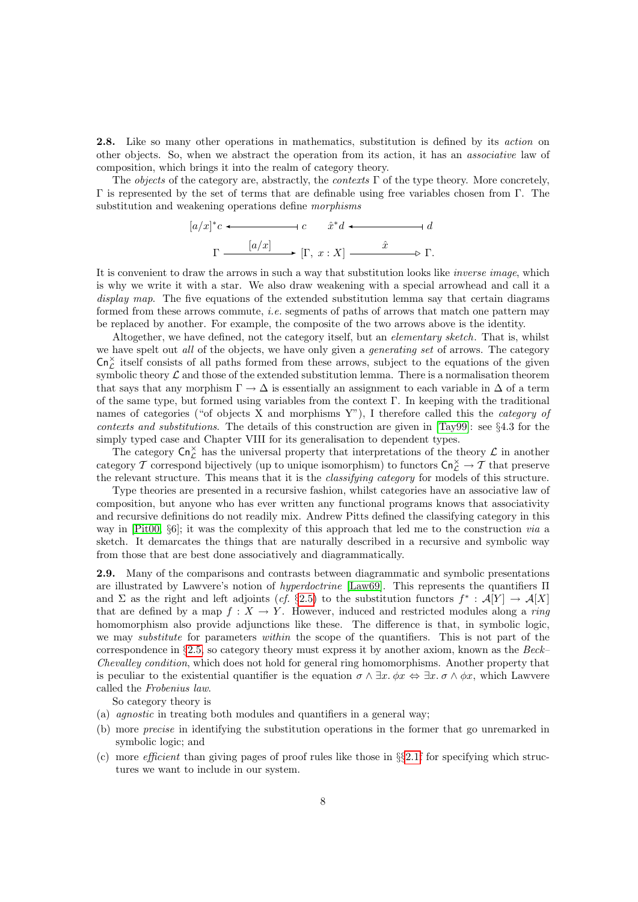<span id="page-7-1"></span>2.8. Like so many other operations in mathematics, substitution is defined by its *action* on other objects. So, when we abstract the operation from its action, it has an associative law of composition, which brings it into the realm of category theory.

The *objects* of the category are, abstractly, the *contexts*  $\Gamma$  of the type theory. More concretely, Γ is represented by the set of terms that are definable using free variables chosen from Γ. The substitution and weakening operations define morphisms

$$
[a/x]^*c \longleftarrow
$$
  

$$
c \quad \hat{x}^*d \longleftarrow
$$
  

$$
\Gamma \xrightarrow{\qquad [a/x]} \qquad [\Gamma, x : X] \xrightarrow{\hat{x}} \qquad \rightarrow \Gamma.
$$

It is convenient to draw the arrows in such a way that substitution looks like *inverse image*, which is why we write it with a star. We also draw weakening with a special arrowhead and call it a display map. The five equations of the extended substitution lemma say that certain diagrams formed from these arrows commute, i.e. segments of paths of arrows that match one pattern may be replaced by another. For example, the composite of the two arrows above is the identity.

Altogether, we have defined, not the category itself, but an *elementary sketch*. That is, whilst we have spelt out all of the objects, we have only given a *generating set* of arrows. The category  $\mathsf{Cn}_{\mathcal{L}}^{\times}$  itself consists of all paths formed from these arrows, subject to the equations of the given symbolic theory  $\mathcal L$  and those of the extended substitution lemma. There is a normalisation theorem that says that any morphism  $\Gamma \to \Delta$  is essentially an assignment to each variable in  $\Delta$  of a term of the same type, but formed using variables from the context Γ. In keeping with the traditional names of categories ("of objects X and morphisms Y"), I therefore called this the *category of* contexts and substitutions. The details of this construction are given in [\[Tay99\]](#page-56-1): see §4.3 for the simply typed case and Chapter VIII for its generalisation to dependent types.

The category  $\mathsf{Cn}^\times_{\mathcal{L}}$  has the universal property that interpretations of the theory  $\mathcal{L}$  in another category T correspond bijectively (up to unique isomorphism) to functors  $\mathsf{Cn}^\times_{\mathcal{L}} \to \mathcal{T}$  that preserve the relevant structure. This means that it is the *classifying category* for models of this structure.

Type theories are presented in a recursive fashion, whilst categories have an associative law of composition, but anyone who has ever written any functional programs knows that associativity and recursive definitions do not readily mix. Andrew Pitts defined the classifying category in this way in [\[Pit00,](#page-55-4) §6]; it was the complexity of this approach that led me to the construction via a sketch. It demarcates the things that are naturally described in a recursive and symbolic way from those that are best done associatively and diagrammatically.

<span id="page-7-0"></span>2.9. Many of the comparisons and contrasts between diagrammatic and symbolic presentations are illustrated by Lawvere's notion of hyperdoctrine [\[Law69\]](#page-54-3). This represents the quantifiers Π and  $\Sigma$  as the right and left adjoints (cf. §[2.5\)](#page-5-0) to the substitution functors  $f^*: A[Y] \to A[X]$ that are defined by a map  $f: X \to Y$ . However, induced and restricted modules along a ring homomorphism also provide adjunctions like these. The difference is that, in symbolic logic, we may *substitute* for parameters *within* the scope of the quantifiers. This is not part of the correspondence in  $\S2.5$ , so category theory must express it by another axiom, known as the Beck– Chevalley condition, which does not hold for general ring homomorphisms. Another property that is peculiar to the existential quantifier is the equation  $\sigma \wedge \exists x. \phi x \Leftrightarrow \exists x. \sigma \wedge \phi x$ , which Lawvere called the Frobenius law.

So category theory is

- (a) agnostic in treating both modules and quantifiers in a general way;
- (b) more precise in identifying the substitution operations in the former that go unremarked in symbolic logic; and
- (c) more *efficient* than giving pages of proof rules like those in  $\S$ [2.1f](#page-4-2) for specifying which structures we want to include in our system.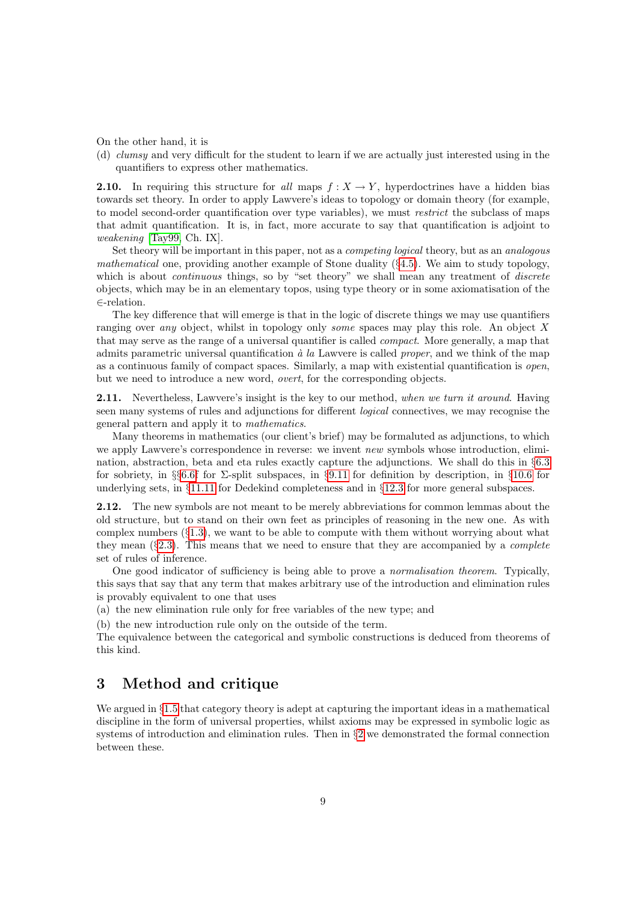On the other hand, it is

(d) clumsy and very difficult for the student to learn if we are actually just interested using in the quantifiers to express other mathematics.

<span id="page-8-1"></span>**2.10.** In requiring this structure for all maps  $f : X \to Y$ , hyperdoctrines have a hidden bias towards set theory. In order to apply Lawvere's ideas to topology or domain theory (for example, to model second-order quantification over type variables), we must restrict the subclass of maps that admit quantification. It is, in fact, more accurate to say that quantification is adjoint to weakening [\[Tay99,](#page-56-1) Ch. IX].

Set theory will be important in this paper, not as a competing logical theory, but as an analogous mathematical one, providing another example of Stone duality  $(\S 4.5)$  $(\S 4.5)$ . We aim to study topology, which is about *continuous* things, so by "set theory" we shall mean any treatment of *discrete* objects, which may be in an elementary topos, using type theory or in some axiomatisation of the ∈-relation.

The key difference that will emerge is that in the logic of discrete things we may use quantifiers ranging over any object, whilst in topology only some spaces may play this role. An object X that may serve as the range of a universal quantifier is called compact. More generally, a map that admits parametric universal quantification  $\dot{a}$  la Lawvere is called *proper*, and we think of the map as a continuous family of compact spaces. Similarly, a map with existential quantification is open, but we need to introduce a new word, overt, for the corresponding objects.

<span id="page-8-2"></span>2.11. Nevertheless, Lawvere's insight is the key to our method, when we turn it around. Having seen many systems of rules and adjunctions for different logical connectives, we may recognise the general pattern and apply it to mathematics.

Many theorems in mathematics (our client's brief) may be formaluted as adjunctions, to which we apply Lawvere's correspondence in reverse: we invent new symbols whose introduction, elimination, abstraction, beta and eta rules exactly capture the adjunctions. We shall do this in §[6.3](#page-20-1) for sobriety, in §§[6.6f](#page-21-0) for  $\Sigma$ -split subspaces, in §[9.11](#page-36-0) for definition by description, in §[10.6](#page-40-0) for underlying sets, in §[11.11](#page-44-0) for Dedekind completeness and in §[12.3](#page-45-1) for more general subspaces.

<span id="page-8-3"></span>2.12. The new symbols are not meant to be merely abbreviations for common lemmas about the old structure, but to stand on their own feet as principles of reasoning in the new one. As with complex numbers  $(\S1.3)$  $(\S1.3)$ , we want to be able to compute with them without worrying about what they mean  $(\S2.3)$  $(\S2.3)$ . This means that we need to ensure that they are accompanied by a *complete* set of rules of inference.

One good indicator of sufficiency is being able to prove a normalisation theorem. Typically, this says that say that any term that makes arbitrary use of the introduction and elimination rules is provably equivalent to one that uses

(a) the new elimination rule only for free variables of the new type; and

(b) the new introduction rule only on the outside of the term.

The equivalence between the categorical and symbolic constructions is deduced from theorems of this kind.

# <span id="page-8-0"></span>3 Method and critique

We argued in  $\S1.5$  $\S1.5$  that category theory is adept at capturing the important ideas in a mathematical discipline in the form of universal properties, whilst axioms may be expressed in symbolic logic as systems of introduction and elimination rules. Then in §[2](#page-4-0) we demonstrated the formal connection between these.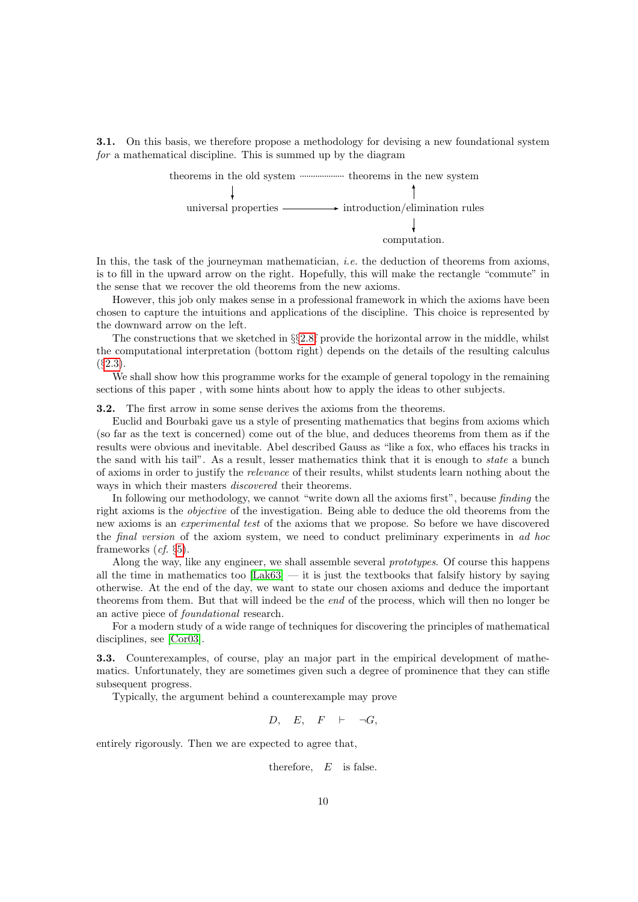<span id="page-9-0"></span>3.1. On this basis, we therefore propose a methodology for devising a new foundational system for a mathematical discipline. This is summed up by the diagram

> theorems in the old system .................... theorems in the new system universal properties ❄ ✲ introduction/elimination rules  $^{\dagger}$ computation. ❄

In this, the task of the journeyman mathematician, *i.e.* the deduction of theorems from axioms, is to fill in the upward arrow on the right. Hopefully, this will make the rectangle "commute" in the sense that we recover the old theorems from the new axioms.

However, this job only makes sense in a professional framework in which the axioms have been chosen to capture the intuitions and applications of the discipline. This choice is represented by the downward arrow on the left.

The constructions that we sketched in §§[2.8f](#page-7-1) provide the horizontal arrow in the middle, whilst the computational interpretation (bottom right) depends on the details of the resulting calculus  $($  $\S2.3).$  $\S2.3).$  $\S2.3).$ 

We shall show how this programme works for the example of general topology in the remaining sections of this paper , with some hints about how to apply the ideas to other subjects.

<span id="page-9-1"></span>3.2. The first arrow in some sense derives the axioms from the theorems.

Euclid and Bourbaki gave us a style of presenting mathematics that begins from axioms which (so far as the text is concerned) come out of the blue, and deduces theorems from them as if the results were obvious and inevitable. Abel described Gauss as "like a fox, who effaces his tracks in the sand with his tail". As a result, lesser mathematics think that it is enough to state a bunch of axioms in order to justify the relevance of their results, whilst students learn nothing about the ways in which their masters discovered their theorems.

In following our methodology, we cannot "write down all the axioms first", because *finding* the right axioms is the objective of the investigation. Being able to deduce the old theorems from the new axioms is an experimental test of the axioms that we propose. So before we have discovered the final version of the axiom system, we need to conduct preliminary experiments in ad hoc frameworks (cf. §[5\)](#page-15-0).

Along the way, like any engineer, we shall assemble several *prototypes*. Of course this happens all the time in mathematics too  $[Lak63]$  — it is just the textbooks that falsify history by saying otherwise. At the end of the day, we want to state our chosen axioms and deduce the important theorems from them. But that will indeed be the end of the process, which will then no longer be an active piece of foundational research.

For a modern study of a wide range of techniques for discovering the principles of mathematical disciplines, see [\[Cor03\]](#page-53-6).

3.3. Counterexamples, of course, play an major part in the empirical development of mathematics. Unfortunately, they are sometimes given such a degree of prominence that they can stifle subsequent progress.

Typically, the argument behind a counterexample may prove

$$
D, \quad E, \quad F \quad \vdash \quad \neg G,
$$

entirely rigorously. Then we are expected to agree that,

therefore,  $E$  is false.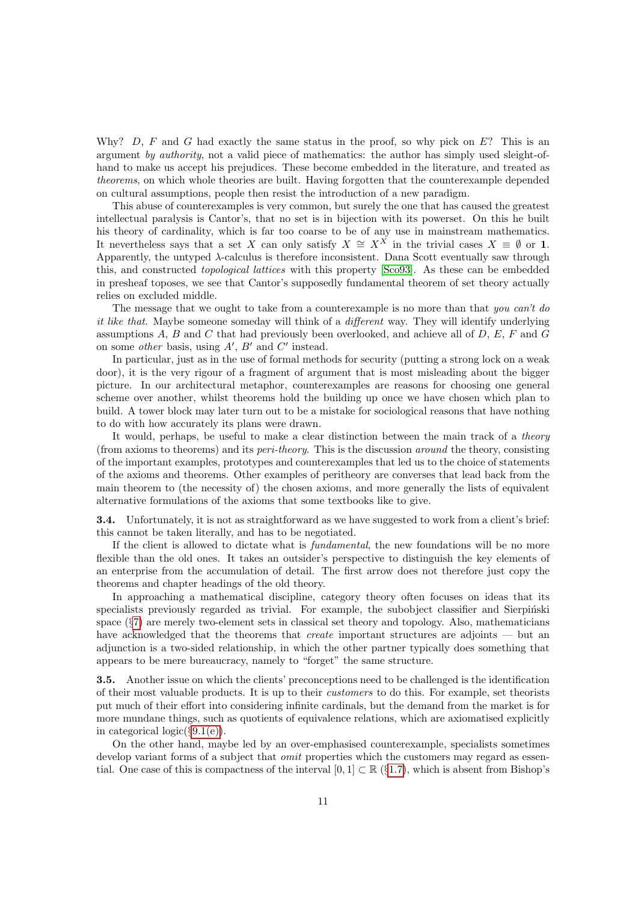Why? D, F and G had exactly the same status in the proof, so why pick on  $E$ ? This is an argument by authority, not a valid piece of mathematics: the author has simply used sleight-ofhand to make us accept his prejudices. These become embedded in the literature, and treated as theorems, on which whole theories are built. Having forgotten that the counterexample depended on cultural assumptions, people then resist the introduction of a new paradigm.

This abuse of counterexamples is very common, but surely the one that has caused the greatest intellectual paralysis is Cantor's, that no set is in bijection with its powerset. On this he built his theory of cardinality, which is far too coarse to be of any use in mainstream mathematics. It nevertheless says that a set X can only satisfy  $X \cong X^X$  in the trivial cases  $X \equiv \emptyset$  or 1. Apparently, the untyped λ-calculus is therefore inconsistent. Dana Scott eventually saw through this, and constructed topological lattices with this property [\[Sco93\]](#page-55-5). As these can be embedded in presheaf toposes, we see that Cantor's supposedly fundamental theorem of set theory actually relies on excluded middle.

The message that we ought to take from a counterexample is no more than that you can't do it like that. Maybe someone someday will think of a *different* way. They will identify underlying assumptions  $A, B$  and  $C$  that had previously been overlooked, and achieve all of  $D, E, F$  and  $G$ on some *other* basis, using  $A'$ ,  $B'$  and  $C'$  instead.

In particular, just as in the use of formal methods for security (putting a strong lock on a weak door), it is the very rigour of a fragment of argument that is most misleading about the bigger picture. In our architectural metaphor, counterexamples are reasons for choosing one general scheme over another, whilst theorems hold the building up once we have chosen which plan to build. A tower block may later turn out to be a mistake for sociological reasons that have nothing to do with how accurately its plans were drawn.

It would, perhaps, be useful to make a clear distinction between the main track of a theory (from axioms to theorems) and its peri-theory. This is the discussion around the theory, consisting of the important examples, prototypes and counterexamples that led us to the choice of statements of the axioms and theorems. Other examples of peritheory are converses that lead back from the main theorem to (the necessity of) the chosen axioms, and more generally the lists of equivalent alternative formulations of the axioms that some textbooks like to give.

<span id="page-10-0"></span>Unfortunately, it is not as straightforward as we have suggested to work from a client's brief: this cannot be taken literally, and has to be negotiated.

If the client is allowed to dictate what is fundamental, the new foundations will be no more flexible than the old ones. It takes an outsider's perspective to distinguish the key elements of an enterprise from the accumulation of detail. The first arrow does not therefore just copy the theorems and chapter headings of the old theory.

In approaching a mathematical discipline, category theory often focuses on ideas that its specialists previously regarded as trivial. For example, the subobject classifier and Sierpiński space (§[7\)](#page-23-0) are merely two-element sets in classical set theory and topology. Also, mathematicians have acknowledged that the theorems that *create* important structures are adjoints — but an adjunction is a two-sided relationship, in which the other partner typically does something that appears to be mere bureaucracy, namely to "forget" the same structure.

<span id="page-10-1"></span>3.5. Another issue on which the clients' preconceptions need to be challenged is the identification of their most valuable products. It is up to their customers to do this. For example, set theorists put much of their effort into considering infinite cardinals, but the demand from the market is for more mundane things, such as quotients of equivalence relations, which are axiomatised explicitly in categorical logic( $\S 9.1(e)$ ).

On the other hand, maybe led by an over-emphasised counterexample, specialists sometimes develop variant forms of a subject that *omit* properties which the customers may regard as essential. One case of this is compactness of the interval [0, 1]  $\subset \mathbb{R}$  (§[1.7\)](#page-3-0), which is absent from Bishop's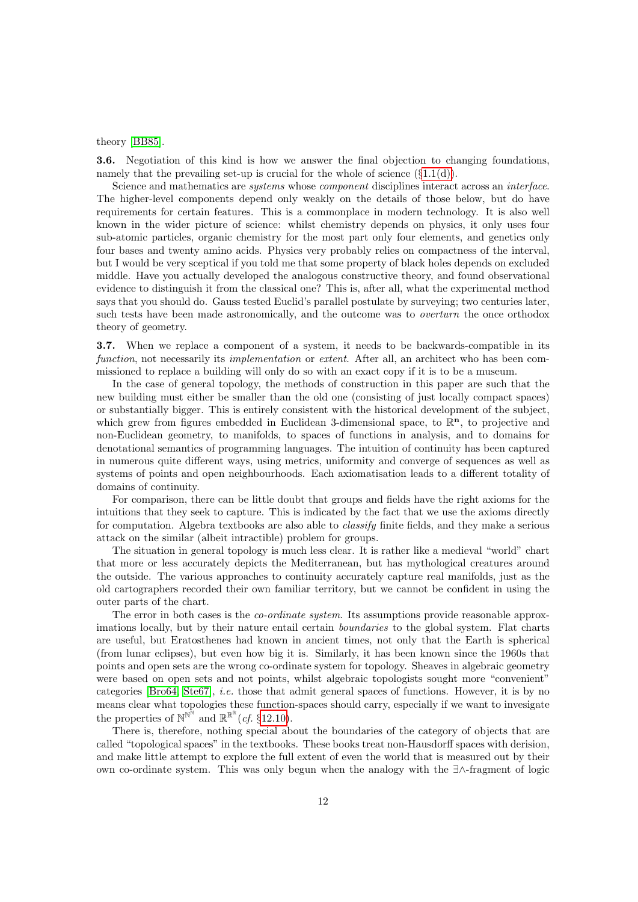theory [\[BB85\]](#page-53-7).

<span id="page-11-0"></span>3.6. Negotiation of this kind is how we answer the final objection to changing foundations, namely that the prevailing set-up is crucial for the whole of science  $(\{1.1(d)\})$ .

Science and mathematics are systems whose component disciplines interact across an interface. The higher-level components depend only weakly on the details of those below, but do have requirements for certain features. This is a commonplace in modern technology. It is also well known in the wider picture of science: whilst chemistry depends on physics, it only uses four sub-atomic particles, organic chemistry for the most part only four elements, and genetics only four bases and twenty amino acids. Physics very probably relies on compactness of the interval, but I would be very sceptical if you told me that some property of black holes depends on excluded middle. Have you actually developed the analogous constructive theory, and found observational evidence to distinguish it from the classical one? This is, after all, what the experimental method says that you should do. Gauss tested Euclid's parallel postulate by surveying; two centuries later, such tests have been made astronomically, and the outcome was to *overturn* the once orthodox theory of geometry.

<span id="page-11-1"></span>3.7. When we replace a component of a system, it needs to be backwards-compatible in its function, not necessarily its *implementation* or *extent*. After all, an architect who has been commissioned to replace a building will only do so with an exact copy if it is to be a museum.

In the case of general topology, the methods of construction in this paper are such that the new building must either be smaller than the old one (consisting of just locally compact spaces) or substantially bigger. This is entirely consistent with the historical development of the subject, which grew from figures embedded in Euclidean 3-dimensional space, to  $\mathbb{R}^n$ , to projective and non-Euclidean geometry, to manifolds, to spaces of functions in analysis, and to domains for denotational semantics of programming languages. The intuition of continuity has been captured in numerous quite different ways, using metrics, uniformity and converge of sequences as well as systems of points and open neighbourhoods. Each axiomatisation leads to a different totality of domains of continuity.

For comparison, there can be little doubt that groups and fields have the right axioms for the intuitions that they seek to capture. This is indicated by the fact that we use the axioms directly for computation. Algebra textbooks are also able to classify finite fields, and they make a serious attack on the similar (albeit intractible) problem for groups.

The situation in general topology is much less clear. It is rather like a medieval "world" chart that more or less accurately depicts the Mediterranean, but has mythological creatures around the outside. The various approaches to continuity accurately capture real manifolds, just as the old cartographers recorded their own familiar territory, but we cannot be confident in using the outer parts of the chart.

The error in both cases is the *co-ordinate system*. Its assumptions provide reasonable approximations locally, but by their nature entail certain boundaries to the global system. Flat charts are useful, but Eratosthenes had known in ancient times, not only that the Earth is spherical (from lunar eclipses), but even how big it is. Similarly, it has been known since the 1960s that points and open sets are the wrong co-ordinate system for topology. Sheaves in algebraic geometry were based on open sets and not points, whilst algebraic topologists sought more "convenient" categories [\[Bro64,](#page-53-8) [Ste67\]](#page-56-2), i.e. those that admit general spaces of functions. However, it is by no means clear what topologies these function-spaces should carry, especially if we want to invesigate the properties of  $\mathbb{N}^{\mathbb{N}^{\mathbb{N}}}$  and  $\mathbb{R}^{\mathbb{R}^{\mathbb{R}}}(cf. \S 12.10)$  $\mathbb{R}^{\mathbb{R}^{\mathbb{R}}}(cf. \S 12.10)$ .

There is, therefore, nothing special about the boundaries of the category of objects that are called "topological spaces" in the textbooks. These books treat non-Hausdorff spaces with derision, and make little attempt to explore the full extent of even the world that is measured out by their own co-ordinate system. This was only begun when the analogy with the ∃∧-fragment of logic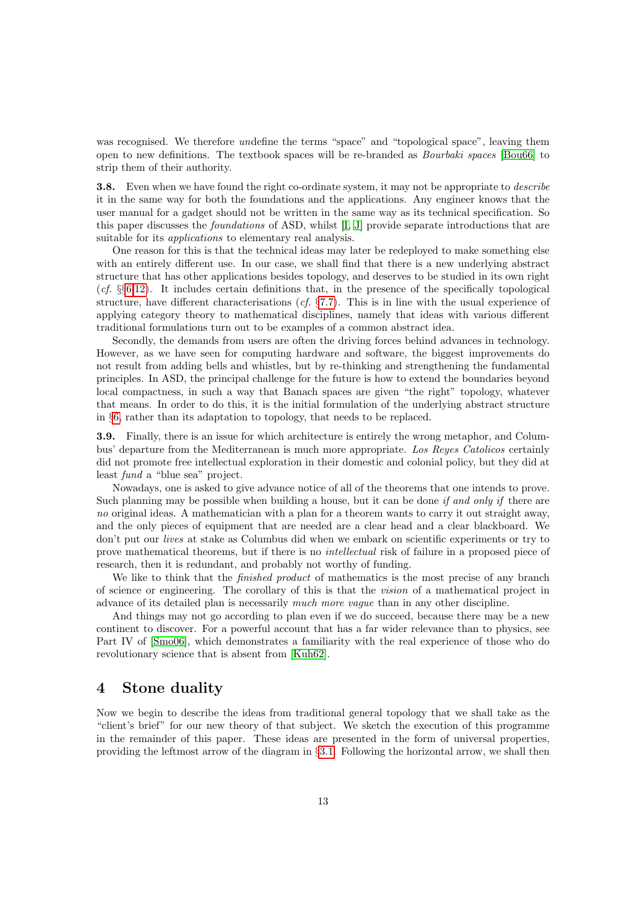was recognised. We therefore *un*define the terms "space" and "topological space", leaving them open to new definitions. The textbook spaces will be re-branded as Bourbaki spaces [\[Bou66\]](#page-53-9) to strip them of their authority.

<span id="page-12-1"></span>**3.8.** Even when we have found the right co-ordinate system, it may not be appropriate to *describe* it in the same way for both the foundations and the applications. Any engineer knows that the user manual for a gadget should not be written in the same way as its technical specification. So this paper discusses the foundations of ASD, whilst [\[I,](#page-57-0) [J\]](#page-57-1) provide separate introductions that are suitable for its *applications* to elementary real analysis.

One reason for this is that the technical ideas may later be redeployed to make something else with an entirely different use. In our case, we shall find that there is a new underlying abstract structure that has other applications besides topology, and deserves to be studied in its own right  $(cf. \S66,12)$  $(cf. \S66,12)$  $(cf. \S66,12)$ . It includes certain definitions that, in the presence of the specifically topological structure, have different characterisations (cf.  $\S7.7$ ). This is in line with the usual experience of applying category theory to mathematical disciplines, namely that ideas with various different traditional formulations turn out to be examples of a common abstract idea.

Secondly, the demands from users are often the driving forces behind advances in technology. However, as we have seen for computing hardware and software, the biggest improvements do not result from adding bells and whistles, but by re-thinking and strengthening the fundamental principles. In ASD, the principal challenge for the future is how to extend the boundaries beyond local compactness, in such a way that Banach spaces are given "the right" topology, whatever that means. In order to do this, it is the initial formulation of the underlying abstract structure in §[6,](#page-19-0) rather than its adaptation to topology, that needs to be replaced.

<span id="page-12-2"></span>3.9. Finally, there is an issue for which architecture is entirely the wrong metaphor, and Columbus' departure from the Mediterranean is much more appropriate. Los Reyes Catolicos certainly did not promote free intellectual exploration in their domestic and colonial policy, but they did at least fund a "blue sea" project.

Nowadays, one is asked to give advance notice of all of the theorems that one intends to prove. Such planning may be possible when building a house, but it can be done *if and only if* there are no original ideas. A mathematician with a plan for a theorem wants to carry it out straight away, and the only pieces of equipment that are needed are a clear head and a clear blackboard. We don't put our lives at stake as Columbus did when we embark on scientific experiments or try to prove mathematical theorems, but if there is no intellectual risk of failure in a proposed piece of research, then it is redundant, and probably not worthy of funding.

We like to think that the *finished product* of mathematics is the most precise of any branch of science or engineering. The corollary of this is that the vision of a mathematical project in advance of its detailed plan is necessarily much more vague than in any other discipline.

And things may not go according to plan even if we do succeed, because there may be a new continent to discover. For a powerful account that has a far wider relevance than to physics, see Part IV of [\[Smo06\]](#page-56-3), which demonstrates a familiarity with the real experience of those who do revolutionary science that is absent from [\[Kuh62\]](#page-54-5).

#### <span id="page-12-0"></span>4 Stone duality

Now we begin to describe the ideas from traditional general topology that we shall take as the "client's brief" for our new theory of that subject. We sketch the execution of this programme in the remainder of this paper. These ideas are presented in the form of universal properties, providing the leftmost arrow of the diagram in §[3.1.](#page-9-0) Following the horizontal arrow, we shall then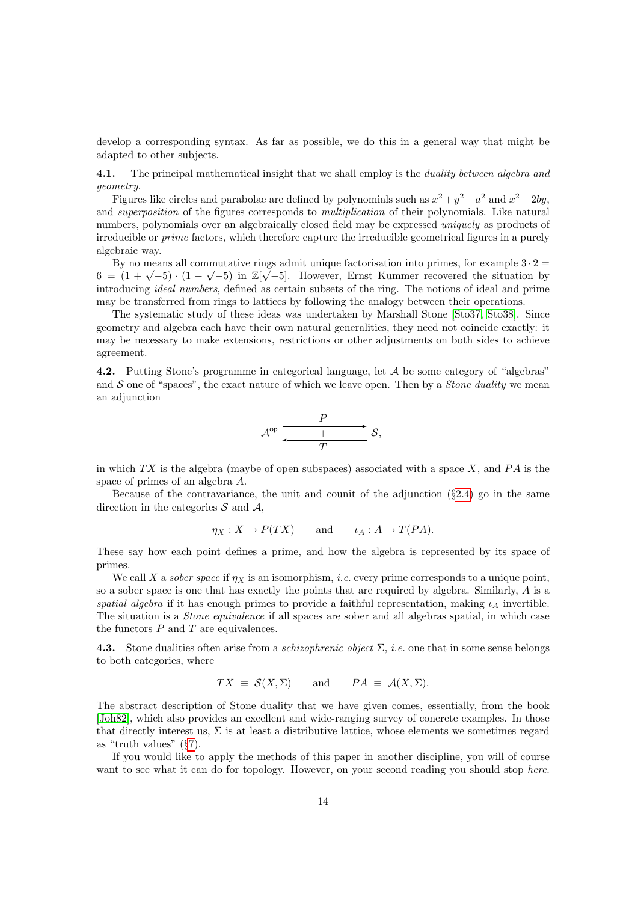develop a corresponding syntax. As far as possible, we do this in a general way that might be adapted to other subjects.

<span id="page-13-1"></span>4.1. The principal mathematical insight that we shall employ is the *duality between algebra and* geometry.

Figures like circles and parabolae are defined by polynomials such as  $x^2 + y^2 - a^2$  and  $x^2 - 2by$ , and superposition of the figures corresponds to multiplication of their polynomials. Like natural numbers, polynomials over an algebraically closed field may be expressed *uniquely* as products of irreducible or prime factors, which therefore capture the irreducible geometrical figures in a purely algebraic way.

By no means all commutative rings admit unique factorisation into primes, for example  $3 \cdot 2 =$ by no means an commutative rings admit unique ractorisation into primes, for example  $3 \cdot 2 =$ <br>6 =  $(1 + \sqrt{-5}) \cdot (1 - \sqrt{-5})$  in  $\mathbb{Z}[\sqrt{-5}]$ . However, Ernst Kummer recovered the situation by introducing ideal numbers, defined as certain subsets of the ring. The notions of ideal and prime may be transferred from rings to lattices by following the analogy between their operations.

The systematic study of these ideas was undertaken by Marshall Stone [\[Sto37,](#page-56-4) [Sto38\]](#page-56-5). Since geometry and algebra each have their own natural generalities, they need not coincide exactly: it may be necessary to make extensions, restrictions or other adjustments on both sides to achieve agreement.

<span id="page-13-0"></span>4.2. Putting Stone's programme in categorical language, let A be some category of "algebras" and S one of "spaces", the exact nature of which we leave open. Then by a *Stone duality* we mean an adjunction

$$
\mathcal{A}^{\mathrm{op}}\xrightarrow{\qquad P}\qquad \qquad \mathcal{S},
$$

in which  $TX$  is the algebra (maybe of open subspaces) associated with a space X, and  $PA$  is the space of primes of an algebra A.

Because of the contravariance, the unit and counit of the adjunction  $(\S2.4)$  $(\S2.4)$  go in the same direction in the categories  $S$  and  $A$ ,

$$
\eta_X : X \to P(TX)
$$
 and  $\iota_A : A \to T(PA)$ .

These say how each point defines a prime, and how the algebra is represented by its space of primes.

We call X a sober space if  $\eta_X$  is an isomorphism, *i.e.* every prime corresponds to a unique point, so a sober space is one that has exactly the points that are required by algebra. Similarly, A is a spatial algebra if it has enough primes to provide a faithful representation, making  $\iota_A$  invertible. The situation is a Stone equivalence if all spaces are sober and all algebras spatial, in which case the functors  $P$  and  $T$  are equivalences.

<span id="page-13-2"></span>**4.3.** Stone dualities often arise from a *schizophrenic object*  $\Sigma$ , *i.e.* one that in some sense belongs to both categories, where

$$
TX \equiv \mathcal{S}(X, \Sigma) \quad \text{and} \quad PA \equiv \mathcal{A}(X, \Sigma).
$$

The abstract description of Stone duality that we have given comes, essentially, from the book [\[Joh82\]](#page-54-6), which also provides an excellent and wide-ranging survey of concrete examples. In those that directly interest us,  $\Sigma$  is at least a distributive lattice, whose elements we sometimes regard as "truth values" (§[7\)](#page-23-0).

If you would like to apply the methods of this paper in another discipline, you will of course want to see what it can do for topology. However, on your second reading you should stop here.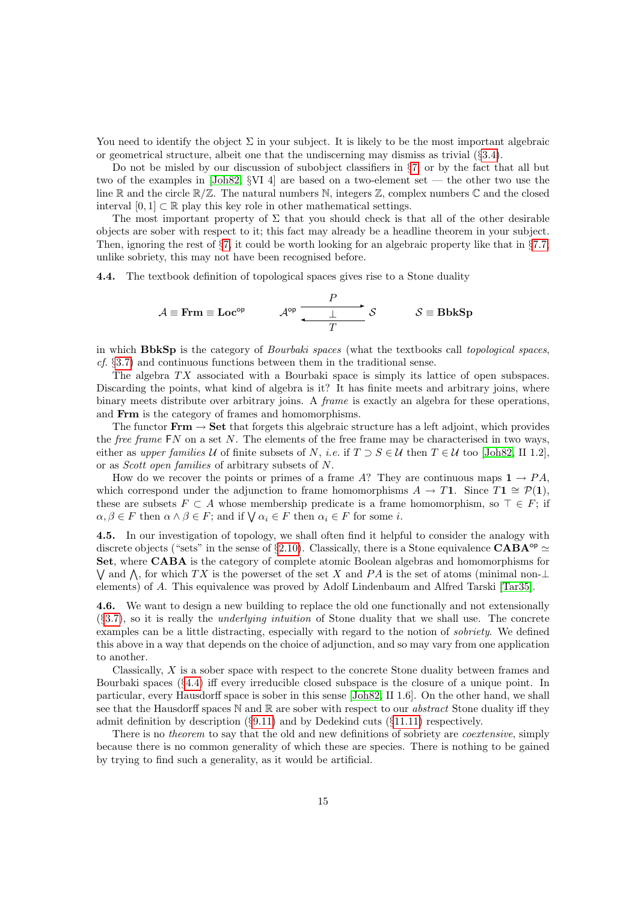You need to identify the object  $\Sigma$  in your subject. It is likely to be the most important algebraic or geometrical structure, albeit one that the undiscerning may dismiss as trivial  $(\S3.4)$  $(\S3.4)$ .

Do not be misled by our discussion of subobject classifiers in  $\S7$ , or by the fact that all but two of the examples in [\[Joh82,](#page-54-6) §VI 4] are based on a two-element set — the other two use the line  $\mathbb R$  and the circle  $\mathbb R/\mathbb Z$ . The natural numbers N, integers  $\mathbb Z$ , complex numbers  $\mathbb C$  and the closed interval  $[0, 1] \subset \mathbb{R}$  play this key role in other mathematical settings.

The most important property of  $\Sigma$  that you should check is that all of the other desirable objects are sober with respect to it; this fact may already be a headline theorem in your subject. Then, ignoring the rest of  $\S7$ , it could be worth looking for an algebraic property like that in  $\S7.7$ ; unlike sobriety, this may not have been recognised before.

<span id="page-14-1"></span>4.4. The textbook definition of topological spaces gives rise to a Stone duality

$$
\mathcal{A} \equiv \text{Frm} \equiv \text{Loc}^{\text{op}} \qquad \mathcal{A}^{\text{op}} \xrightarrow{\qquad P \qquad \qquad} \mathcal{S} \qquad \mathcal{S} \equiv \text{BbkSp}
$$

in which BbkSp is the category of *Bourbaki spaces* (what the textbooks call topological spaces, cf. §[3.7\)](#page-11-1) and continuous functions between them in the traditional sense.

The algebra  $TX$  associated with a Bourbaki space is simply its lattice of open subspaces. Discarding the points, what kind of algebra is it? It has finite meets and arbitrary joins, where binary meets distribute over arbitrary joins. A *frame* is exactly an algebra for these operations, and Frm is the category of frames and homomorphisms.

The functor  $\textbf{Frm} \rightarrow \textbf{Set}$  that forgets this algebraic structure has a left adjoint, which provides the *free frame*  $FN$  on a set N. The elements of the free frame may be characterised in two ways, either as upper families U of finite subsets of N, i.e. if  $T \supset S \in \mathcal{U}$  then  $T \in \mathcal{U}$  too [\[Joh82,](#page-54-6) II 1.2], or as Scott open families of arbitrary subsets of N.

How do we recover the points or primes of a frame A? They are continuous maps  $1 \rightarrow PA$ . which correspond under the adjunction to frame homomorphisms  $A \to T1$ . Since  $T1 \cong \mathcal{P}(1)$ , these are subsets  $F \subset A$  whose membership predicate is a frame homomorphism, so  $\top \in F$ ; if  $\alpha, \beta \in F$  then  $\alpha \wedge \beta \in F$ ; and if  $\bigvee \alpha_i \in F$  then  $\alpha_i \in F$  for some *i*.

<span id="page-14-0"></span>4.5. In our investigation of topology, we shall often find it helpful to consider the analogy with discrete objects ("sets" in the sense of §[2.10\)](#page-8-1). Classically, there is a Stone equivalence CABA<sup>op</sup>  $\simeq$ Set, where CABA is the category of complete atomic Boolean algebras and homomorphisms for  $\bigvee$  and  $\bigwedge$ , for which TX is the powerset of the set X and PA is the set of atoms (minimal non- $\bot$ elements) of A. This equivalence was proved by Adolf Lindenbaum and Alfred Tarski [\[Tar35\]](#page-56-6).

4.6. We want to design a new building to replace the old one functionally and not extensionally  $(\S3.7)$  $(\S3.7)$ , so it is really the *underlying intuition* of Stone duality that we shall use. The concrete examples can be a little distracting, especially with regard to the notion of sobriety. We defined this above in a way that depends on the choice of adjunction, and so may vary from one application to another.

Classically, X is a sober space with respect to the concrete Stone duality between frames and Bourbaki spaces (§[4.4\)](#page-14-1) iff every irreducible closed subspace is the closure of a unique point. In particular, every Hausdorff space is sober in this sense [\[Joh82,](#page-54-6) II 1.6]. On the other hand, we shall see that the Hausdorff spaces N and R are sober with respect to our *abstract* Stone duality iff they admit definition by description  $(\S9.11)$  $(\S9.11)$  and by Dedekind cuts  $(\S11.11)$  $(\S11.11)$  respectively.

There is no *theorem* to say that the old and new definitions of sobriety are *coextensive*, simply because there is no common generality of which these are species. There is nothing to be gained by trying to find such a generality, as it would be artificial.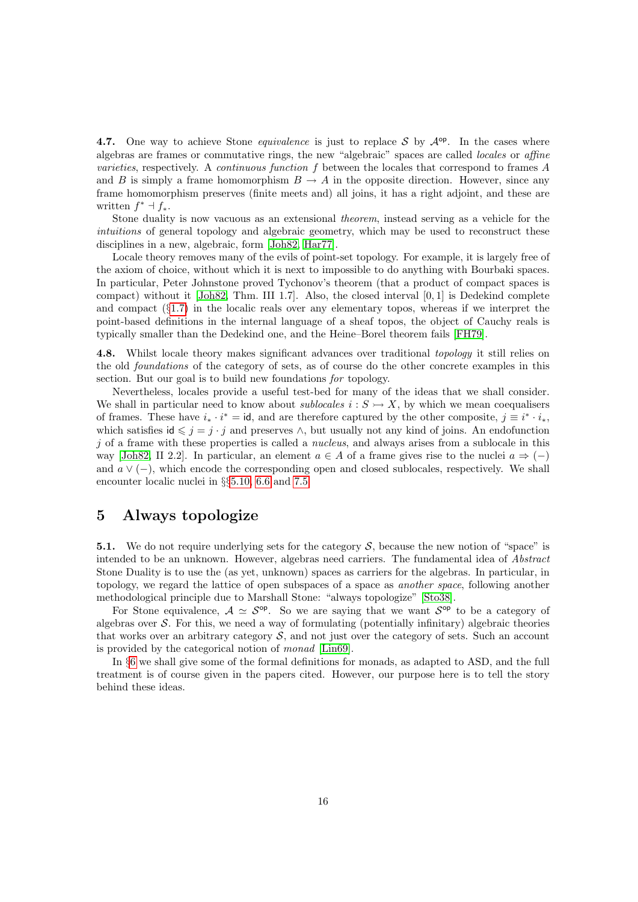<span id="page-15-2"></span>4.7. One way to achieve Stone *equivalence* is just to replace S by  $A^{\mathsf{op}}$ . In the cases where algebras are frames or commutative rings, the new "algebraic" spaces are called locales or affine varieties, respectively. A continuous function f between the locales that correspond to frames A and B is simply a frame homomorphism  $B \to A$  in the opposite direction. However, since any frame homomorphism preserves (finite meets and) all joins, it has a right adjoint, and these are written  $f^* \dashv f_*$ .

Stone duality is now vacuous as an extensional theorem, instead serving as a vehicle for the intuitions of general topology and algebraic geometry, which may be used to reconstruct these disciplines in a new, algebraic, form [\[Joh82,](#page-54-6) [Har77\]](#page-54-7).

Locale theory removes many of the evils of point-set topology. For example, it is largely free of the axiom of choice, without which it is next to impossible to do anything with Bourbaki spaces. In particular, Peter Johnstone proved Tychonov's theorem (that a product of compact spaces is compact) without it [\[Joh82,](#page-54-6) Thm. III 1.7]. Also, the closed interval [0, 1] is Dedekind complete and compact  $(\S1.7)$  $(\S1.7)$  in the localic reals over any elementary topos, whereas if we interpret the point-based definitions in the internal language of a sheaf topos, the object of Cauchy reals is typically smaller than the Dedekind one, and the Heine–Borel theorem fails [\[FH79\]](#page-53-10).

<span id="page-15-1"></span>4.8. Whilst locale theory makes significant advances over traditional topology it still relies on the old foundations of the category of sets, as of course do the other concrete examples in this section. But our goal is to build new foundations for topology.

Nevertheless, locales provide a useful test-bed for many of the ideas that we shall consider. We shall in particular need to know about sublocales  $i : S \rightarrow X$ , by which we mean coequalisers of frames. These have  $i_* \cdot i^* = id$ , and are therefore captured by the other composite,  $j \equiv i^* \cdot i_*$ , which satisfies  $id \leq j = j \cdot j$  and preserves  $\wedge$ , but usually not any kind of joins. An endofunction  $j$  of a frame with these properties is called a *nucleus*, and always arises from a sublocale in this way [\[Joh82,](#page-54-6) II 2.2]. In particular, an element  $a \in A$  of a frame gives rise to the nuclei  $a \Rightarrow (-)$ and  $a \vee (-)$ , which encode the corresponding open and closed sublocales, respectively. We shall encounter localic nuclei in §§[5.10,](#page-18-0) [6.6](#page-21-0) and [7.5.](#page-25-1)

#### <span id="page-15-0"></span>5 Always topologize

**5.1.** We do not require underlying sets for the category  $S$ , because the new notion of "space" is intended to be an unknown. However, algebras need carriers. The fundamental idea of Abstract Stone Duality is to use the (as yet, unknown) spaces as carriers for the algebras. In particular, in topology, we regard the lattice of open subspaces of a space as another space, following another methodological principle due to Marshall Stone: "always topologize" [\[Sto38\]](#page-56-5).

For Stone equivalence,  $A \simeq S^{\text{op}}$ . So we are saying that we want  $S^{\text{op}}$  to be a category of algebras over  $S$ . For this, we need a way of formulating (potentially infinitary) algebraic theories that works over an arbitrary category  $S$ , and not just over the category of sets. Such an account is provided by the categorical notion of monad [\[Lin69\]](#page-55-6).

In §[6](#page-19-0) we shall give some of the formal definitions for monads, as adapted to ASD, and the full treatment is of course given in the papers cited. However, our purpose here is to tell the story behind these ideas.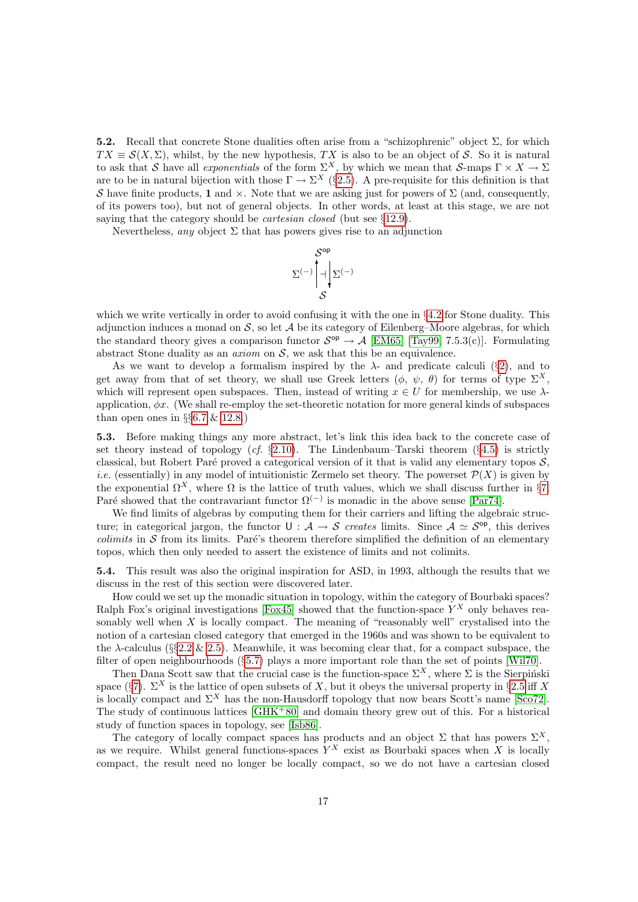5.2. Recall that concrete Stone dualities often arise from a "schizophrenic" object  $\Sigma$ , for which  $TX \equiv \mathcal{S}(X, \Sigma)$ , whilst, by the new hypothesis, TX is also to be an object of S. So it is natural to ask that S have all *exponentials* of the form  $\Sigma^X$ , by which we mean that S-maps  $\Gamma \times X \to \Sigma$ are to be in natural bijection with those  $\Gamma \to \Sigma^X$  (§[2.5\)](#page-5-0). A pre-requisite for this definition is that S have finite products, 1 and  $\times$ . Note that we are asking just for powers of  $\Sigma$  (and, consequently, of its powers too), but not of general objects. In other words, at least at this stage, we are not saying that the category should be *cartesian closed* (but see §[12.9\)](#page-49-0).

Nevertheless, any object  $\Sigma$  that has powers gives rise to an adjunction

$$
\Sigma^{(-)} \left| \bigcap_{\mathcal{S}}^{op} \mathcal{E}^{(-)} \right|
$$

which we write vertically in order to avoid confusing it with the one in §[4.2](#page-13-0) for Stone duality. This adjunction induces a monad on  $S$ , so let  $A$  be its category of Eilenberg–Moore algebras, for which the standard theory gives a comparison functor  $S^{op} \to A$  [\[EM65\]](#page-53-11) [\[Tay99,](#page-56-1) 7.5.3(c)]. Formulating abstract Stone duality as an *axiom* on  $S$ , we ask that this be an equivalence.

As we want to develop a formalism inspired by the  $\lambda$ - and predicate calculi (§[2\)](#page-4-0), and to get away from that of set theory, we shall use Greek letters  $(\phi, \psi, \theta)$  for terms of type  $\Sigma^X$ , which will represent open subspaces. Then, instead of writing  $x \in U$  for membership, we use  $\lambda$ application,  $\phi x$ . (We shall re-employ the set-theoretic notation for more general kinds of subspaces than open ones in  $\S66.7 \& 12.8$  $\S66.7 \& 12.8$  $\S66.7 \& 12.8$ .

<span id="page-16-0"></span>5.3. Before making things any more abstract, let's link this idea back to the concrete case of set theory instead of topology  $(cf. \S 2.10)$  $(cf. \S 2.10)$ . The Lindenbaum–Tarski theorem  $(\S 4.5)$  $(\S 4.5)$  is strictly classical, but Robert Paré proved a categorical version of it that is valid any elementary topos  $S$ , *i.e.* (essentially) in any model of intuitionistic Zermelo set theory. The powerset  $\mathcal{P}(X)$  is given by the exponential  $\Omega^X$ , where  $\Omega$  is the lattice of truth values, which we shall discuss further in §[7.](#page-23-0) Paré showed that the contravariant functor  $\Omega^{(-)}$  is monadic in the above sense [\[Par74\]](#page-55-7).

We find limits of algebras by computing them for their carriers and lifting the algebraic structure; in categorical jargon, the functor  $U : A \rightarrow S$  creates limits. Since  $A \simeq S^{op}$ , this derives colimits in  $S$  from its limits. Paré's theorem therefore simplified the definition of an elementary topos, which then only needed to assert the existence of limits and not colimits.

<span id="page-16-1"></span>5.4. This result was also the original inspiration for ASD, in 1993, although the results that we discuss in the rest of this section were discovered later.

How could we set up the monadic situation in topology, within the category of Bourbaki spaces? Ralph Fox's original investigations [\[Fox45\]](#page-53-12) showed that the function-space  $Y^X$  only behaves reasonably well when  $X$  is locally compact. The meaning of "reasonably well" crystalised into the notion of a cartesian closed category that emerged in the 1960s and was shown to be equivalent to the  $\lambda$ -calculus ( $\S$ §[2.2](#page-4-1) & [2.5\)](#page-5-0). Meanwhile, it was becoming clear that, for a compact subspace, the filter of open neighbourhoods (§[5.7\)](#page-17-0) plays a more important role than the set of points [\[Wil70\]](#page-56-7).

Then Dana Scott saw that the crucial case is the function-space  $\Sigma^X$ , where  $\Sigma$  is the Sierpinski space (§[7\)](#page-23-0).  $\Sigma^X$  is the lattice of open subsets of X, but it obeys the universal property in §[2.5](#page-5-0) iff X is locally compact and  $\Sigma^X$  has the non-Hausdorff topology that now bears Scott's name [\[Sco72\]](#page-55-8). The study of continuous lattices  $[\text{GHK}^+80]$  and domain theory grew out of this. For a historical study of function spaces in topology, see [\[Isb86\]](#page-54-8).

The category of locally compact spaces has products and an object  $\Sigma$  that has powers  $\Sigma^X$ , as we require. Whilst general functions-spaces  $Y^X$  exist as Bourbaki spaces when X is locally compact, the result need no longer be locally compact, so we do not have a cartesian closed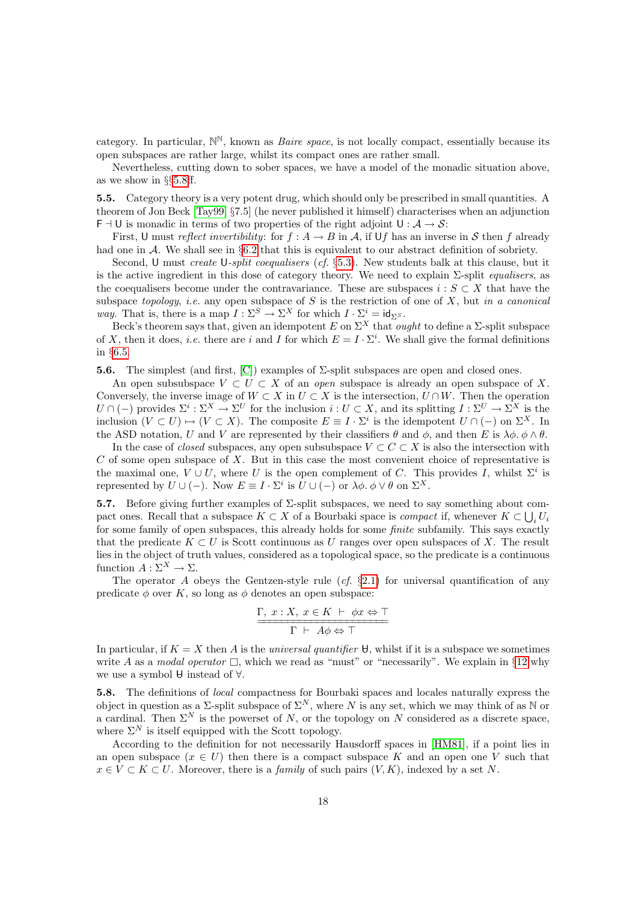category. In particular,  $\mathbb{N}^{\mathbb{N}}$ , known as *Baire space*, is not locally compact, essentially because its open subspaces are rather large, whilst its compact ones are rather small.

Nevertheless, cutting down to sober spaces, we have a model of the monadic situation above, as we show in §§[5.8ff](#page-17-1).

<span id="page-17-2"></span>5.5. Category theory is a very potent drug, which should only be prescribed in small quantities. A theorem of Jon Beck [\[Tay99,](#page-56-1) §7.5] (he never published it himself) characterises when an adjunction  $F \dashv U$  is monadic in terms of two properties of the right adjoint  $U : A \to S$ :

First, U must reflect invertibility: for  $f : A \to B$  in A, if Uf has an inverse in S then f already had one in A. We shall see in §[6.2](#page-20-2) that this is equivalent to our abstract definition of sobriety.

Second, U must *create* U-split coequalisers (cf. §[5.3\)](#page-16-0). New students balk at this clause, but it is the active ingredient in this dose of category theory. We need to explain  $\Sigma$ -split *equalisers*, as the coequalisers become under the contravariance. These are subspaces  $i : S \subset X$  that have the subspace topology, i.e. any open subspace of S is the restriction of one of X, but in a canonical *way*. That is, there is a map  $I : \Sigma^S \to \Sigma^X$  for which  $I \cdot \Sigma^i = id_{\Sigma^S}$ .

Beck's theorem says that, given an idempotent E on  $\Sigma^X$  that *ought* to define a  $\Sigma$ -split subspace of X, then it does, *i.e.* there are i and I for which  $E = I \cdot \Sigma^{i}$ . We shall give the formal definitions in §[6.5.](#page-21-1)

<span id="page-17-3"></span>5.6. The simplest (and first,  $[C]$ ) examples of  $\Sigma$ -split subspaces are open and closed ones.

An open subsubspace  $V \subset U \subset X$  of an *open* subspace is already an open subspace of X. Conversely, the inverse image of  $W \subset X$  in  $U \subset X$  is the intersection,  $U \cap W$ . Then the operation  $U \cap (-)$  provides  $\Sigma^i : \Sigma^X \to \Sigma^U$  for the inclusion  $i : U \subset X$ , and its splitting  $I : \Sigma^U \to \Sigma^X$  is the inclusion  $(V \subset U) \mapsto (V \subset X)$ . The composite  $E \equiv I \cdot \Sigma^i$  is the idempotent  $U \cap (-)$  on  $\Sigma^X$ . In the ASD notation, U and V are represented by their classifiers  $\theta$  and  $\phi$ , and then E is  $\lambda \phi$ .  $\phi \wedge \theta$ .

In the case of *closed* subspaces, any open subsubspace  $V \subset C \subset X$  is also the intersection with  $C$  of some open subspace of  $X$ . But in this case the most convenient choice of representative is the maximal one,  $V \cup U$ , where U is the open complement of C. This provides I, whilst  $\Sigma^i$  is represented by  $U \cup (-)$ . Now  $E \equiv I \cdot \Sigma^i$  is  $U \cup (-)$  or  $\lambda \phi$ .  $\phi \vee \theta$  on  $\Sigma^X$ .

<span id="page-17-0"></span>5.7. Before giving further examples of  $\Sigma$ -split subspaces, we need to say something about compact ones. Recall that a subspace  $K \subset X$  of a Bourbaki space is *compact* if, whenever  $K \subset \bigcup_i U_i$ for some family of open subspaces, this already holds for some *finite* subfamily. This says exactly that the predicate  $K \subset U$  is Scott continuous as U ranges over open subspaces of X. The result lies in the object of truth values, considered as a topological space, so the predicate is a continuous function  $A: \Sigma^X \to \Sigma$ .

The operator A obeys the Gentzen-style rule  $(cf. \S 2.1)$  $(cf. \S 2.1)$  for universal quantification of any predicate  $\phi$  over K, so long as  $\phi$  denotes an open subspace:

$$
\frac{\Gamma, x : X, x \in K \vdash \phi x \Leftrightarrow \top}{\Gamma \vdash A\phi \Leftrightarrow \top}
$$

In particular, if  $K = X$  then A is the universal quantifier  $\theta$ , whilst if it is a subspace we sometimes write A as a modal operator  $\Box$ , which we read as "must" or "necessarily". We explain in §[12](#page-45-0) why we use a symbol  $\theta$  instead of  $\forall$ .

<span id="page-17-1"></span>5.8. The definitions of local compactness for Bourbaki spaces and locales naturally express the object in question as a  $\Sigma$ -split subspace of  $\Sigma^N$ , where N is any set, which we may think of as N or a cardinal. Then  $\Sigma^N$  is the powerset of N, or the topology on N considered as a discrete space, where  $\Sigma^N$  is itself equipped with the Scott topology.

According to the definition for not necessarily Hausdorff spaces in [\[HM81\]](#page-54-9), if a point lies in an open subspace  $(x \in U)$  then there is a compact subspace K and an open one V such that  $x \in V \subset K \subset U$ . Moreover, there is a *family* of such pairs  $(V, K)$ , indexed by a set N.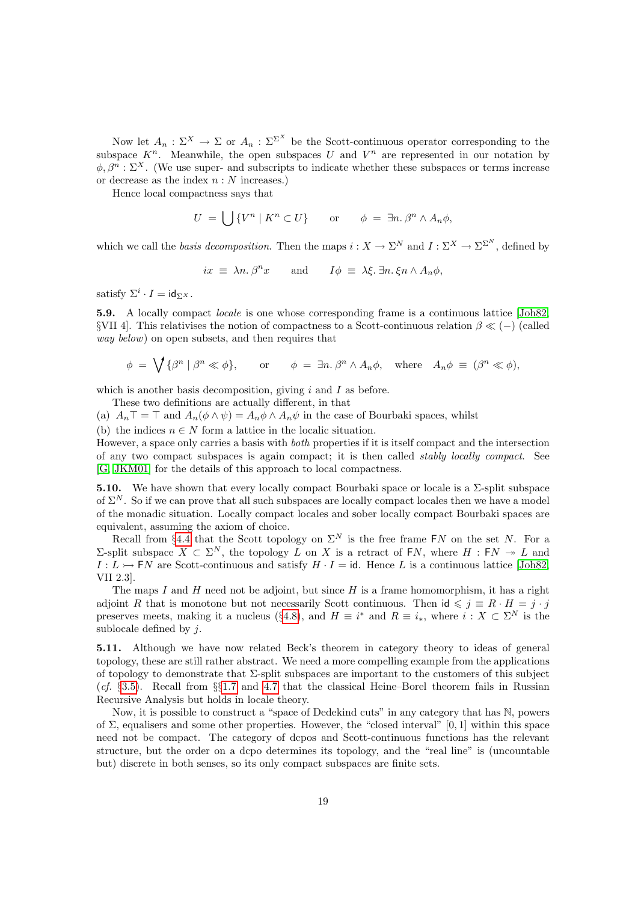Now let  $A_n: \Sigma^X \to \Sigma$  or  $A_n: \Sigma^{\Sigma^X}$  be the Scott-continuous operator corresponding to the subspace  $K<sup>n</sup>$ . Meanwhile, the open subspaces U and  $V<sup>n</sup>$  are represented in our notation by  $\phi, \beta^n : \Sigma^X$ . (We use super- and subscripts to indicate whether these subspaces or terms increase or decrease as the index  $n : N$  increases.)

Hence local compactness says that

$$
U = \bigcup \{ V^n \mid K^n \subset U \} \qquad \text{or} \qquad \phi = \exists n. \beta^n \wedge A_n \phi,
$$

which we call the basis decomposition. Then the maps  $i: X \to \Sigma^N$  and  $I: \Sigma^X \to \Sigma^{\Sigma^N}$ , defined by

$$
ix \equiv \lambda n. \beta^n x
$$
 and  $I\phi \equiv \lambda \xi. \exists n. \xi n \wedge A_n \phi,$ 

satisfy  $\Sigma^i \cdot I = \text{id}_{\Sigma^X}.$ 

5.9. A locally compact locale is one whose corresponding frame is a continuous lattice [\[Joh82,](#page-54-6) §VII 4]. This relativises the notion of compactness to a Scott-continuous relation  $\beta \ll (-)$  (called way below) on open subsets, and then requires that

$$
\phi = \bigvee \{ \beta^n \mid \beta^n \ll \phi \}, \quad \text{or} \quad \phi = \exists n. \, \beta^n \land A_n \phi, \quad \text{where} \quad A_n \phi \equiv (\beta^n \ll \phi),
$$

which is another basis decomposition, giving  $i$  and  $I$  as before.

These two definitions are actually different, in that

(a)  $A_n\top = \top$  and  $A_n(\phi \wedge \psi) = A_n\phi \wedge A_n\psi$  in the case of Bourbaki spaces, whilst

(b) the indices  $n \in N$  form a lattice in the localic situation.

However, a space only carries a basis with both properties if it is itself compact and the intersection of any two compact subspaces is again compact; it is then called stably locally compact. See [\[G,](#page-57-3) [JKM01\]](#page-54-10) for the details of this approach to local compactness.

<span id="page-18-0"></span>5.10. We have shown that every locally compact Bourbaki space or locale is a  $\Sigma$ -split subspace of  $\Sigma^N$ . So if we can prove that all such subspaces are locally compact locales then we have a model of the monadic situation. Locally compact locales and sober locally compact Bourbaki spaces are equivalent, assuming the axiom of choice.

Recall from §[4.4](#page-14-1) that the Scott topology on  $\Sigma^N$  is the free frame FN on the set N. For a Σ-split subspace  $X \subset \Sigma^N$ , the topology L on X is a retract of FN, where H : FN → L and  $I: L \rightarrow \textsf{F}N$  are Scott-continuous and satisfy  $H \cdot I = id$ . Hence L is a continuous lattice [\[Joh82,](#page-54-6) VII 2.3].

The maps  $I$  and  $H$  need not be adjoint, but since  $H$  is a frame homomorphism, it has a right adjoint R that is monotone but not necessarily Scott continuous. Then id  $\leqslant j \equiv R \cdot H = j \cdot j$ preserves meets, making it a nucleus (§[4.8\)](#page-15-1), and  $H \equiv i^*$  and  $R \equiv i_*,$  where  $i : X \subset \Sigma^N$  is the sublocale defined by  $i$ .

5.11. Although we have now related Beck's theorem in category theory to ideas of general topology, these are still rather abstract. We need a more compelling example from the applications of topology to demonstrate that  $\Sigma$ -split subspaces are important to the customers of this subject (cf. §[3.5\)](#page-10-1). Recall from §§[1.7](#page-3-0) and [4.7](#page-15-2) that the classical Heine–Borel theorem fails in Russian Recursive Analysis but holds in locale theory.

Now, it is possible to construct a "space of Dedekind cuts" in any category that has N, powers of  $\Sigma$ , equalisers and some other properties. However, the "closed interval" [0, 1] within this space need not be compact. The category of dcpos and Scott-continuous functions has the relevant structure, but the order on a dcpo determines its topology, and the "real line" is (uncountable but) discrete in both senses, so its only compact subspaces are finite sets.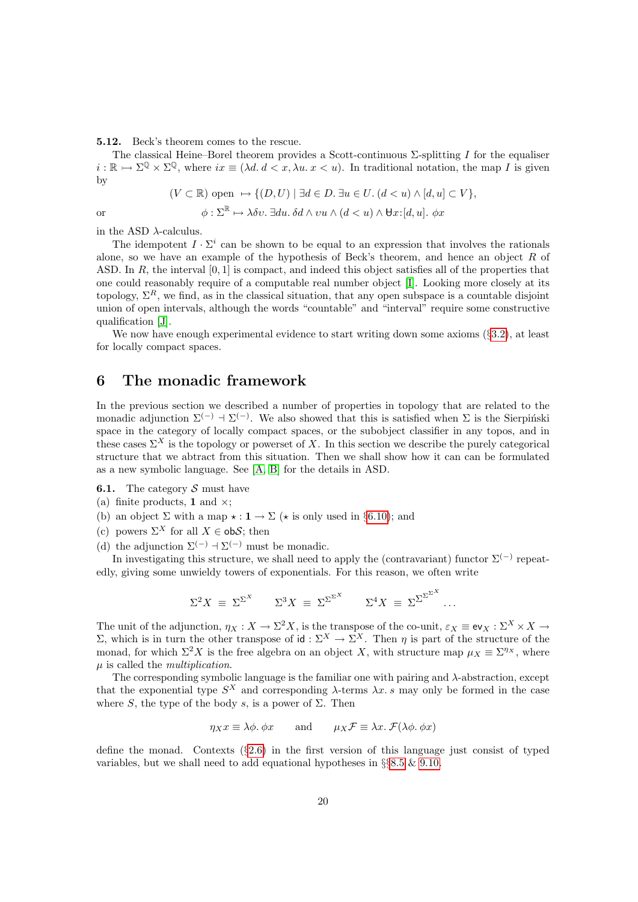<span id="page-19-2"></span>5.12. Beck's theorem comes to the rescue.

The classical Heine–Borel theorem provides a Scott-continuous  $\Sigma$ -splitting I for the equaliser  $i : \mathbb{R} \to \Sigma^{\mathbb{Q}} \times \Sigma^{\mathbb{Q}}$ , where  $ix \equiv (\lambda d. d < x, \lambda u. x < u)$ . In traditional notation, the map I is given by

$$
(V\subset \mathbb{R})\text{ open }\mapsto \{(D,U)\mid \exists d\in D.\ \exists u\in U.\ (d
$$

or  $\phi : \Sigma^{\mathbb{R}} \mapsto \lambda \delta v$ .  $\exists du \, \delta d \wedge vu \wedge (d < u) \wedge \forall x : [d, u] \, \phi x$ 

in the ASD  $\lambda$ -calculus.

The idempotent  $I \cdot \Sigma^i$  can be shown to be equal to an expression that involves the rationals alone, so we have an example of the hypothesis of Beck's theorem, and hence an object  $R$  of ASD. In  $R$ , the interval  $[0, 1]$  is compact, and indeed this object satisfies all of the properties that one could reasonably require of a computable real number object [\[I\]](#page-57-0). Looking more closely at its topology,  $\Sigma^R$ , we find, as in the classical situation, that any open subspace is a countable disjoint union of open intervals, although the words "countable" and "interval" require some constructive qualification [\[J\]](#page-57-1).

We now have enough experimental evidence to start writing down some axioms (§[3.2\)](#page-9-1), at least for locally compact spaces.

# <span id="page-19-0"></span>6 The monadic framework

In the previous section we described a number of properties in topology that are related to the monadic adjunction  $\Sigma^{(-)}$  +  $\Sigma^{(-)}$ . We also showed that this is satisfied when  $\Sigma$  is the Sierpinski space in the category of locally compact spaces, or the subobject classifier in any topos, and in these cases  $\Sigma^X$  is the topology or powerset of X. In this section we describe the purely categorical structure that we abtract from this situation. Then we shall show how it can can be formulated as a new symbolic language. See [\[A,](#page-56-9) [B\]](#page-56-10) for the details in ASD.

<span id="page-19-1"></span>**6.1.** The category  $S$  must have

- (a) finite products, 1 and  $\times$ ;
- <span id="page-19-3"></span>(b) an object  $\Sigma$  with a map  $\star : \mathbf{1} \to \Sigma$  ( $\star$  is only used in §[6.10\)](#page-23-1); and
- (c) powers  $\Sigma^X$  for all  $X \in obS$ ; then
- (d) the adjunction  $\Sigma^{(-)}$  +  $\Sigma^{(-)}$  must be monadic.

In investigating this structure, we shall need to apply the (contravariant) functor  $\Sigma^{(-)}$  repeatedly, giving some unwieldy towers of exponentials. For this reason, we often write

$$
\Sigma^2 X = \Sigma^{\Sigma^X} \qquad \Sigma^3 X = \Sigma^{\Sigma^{\Sigma^X}} \qquad \Sigma^4 X = \Sigma^{\Sigma^{\Sigma^{\Sigma^X}}} \dots
$$

The unit of the adjunction,  $\eta_X : X \to \Sigma^2 X$ , is the transpose of the co-unit,  $\varepsilon_X \equiv \text{ev}_X : \Sigma^X \times X \to$ Σ, which is in turn the other transpose of id : Σ<sup>X</sup> → Σ<sup>X</sup>. Then  $η$  is part of the structure of the monad, for which  $\Sigma^2 X$  is the free algebra on an object X, with structure map  $\mu_X \equiv \Sigma^{\eta_X}$ , where µ is called the multiplication.

The corresponding symbolic language is the familiar one with pairing and  $\lambda$ -abstraction, except that the exponential type  $S^X$  and corresponding  $\lambda$ -terms  $\lambda x. s$  may only be formed in the case where S, the type of the body s, is a power of  $\Sigma$ . Then

$$
\eta_X x \equiv \lambda \phi
$$
.  $\phi x$  and  $\mu_X \mathcal{F} \equiv \lambda x$ .  $\mathcal{F}(\lambda \phi, \phi x)$ 

define the monad. Contexts (§[2.6\)](#page-6-1) in the first version of this language just consist of typed variables, but we shall need to add equational hypotheses in §§[8.5](#page-28-0) & [9.10.](#page-36-1)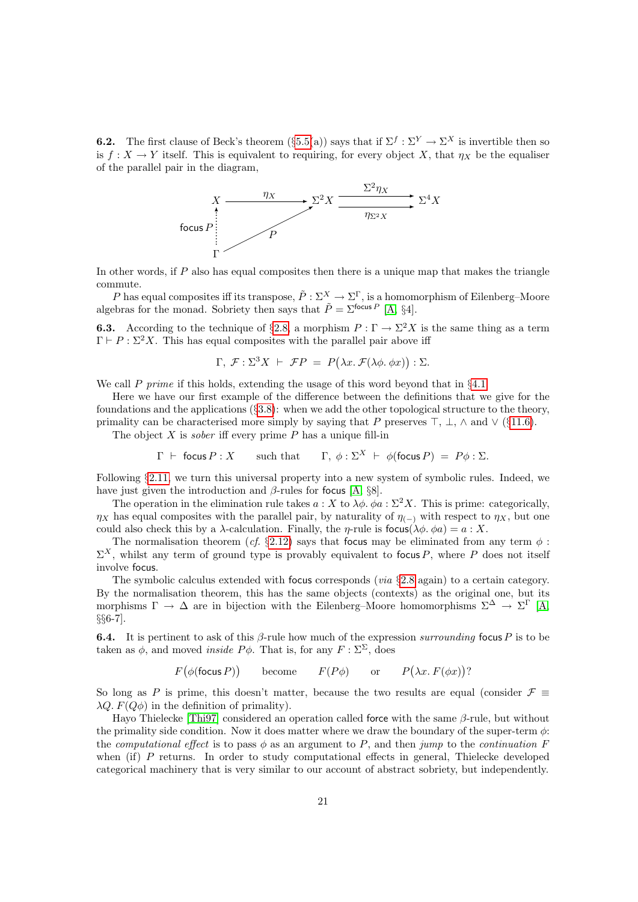<span id="page-20-2"></span>**6.2.** The first clause of Beck's theorem  $(\S 5.5(a))$  $(\S 5.5(a))$  $(\S 5.5(a))$  says that if  $\Sigma^f : \Sigma^Y \to \Sigma^X$  is invertible then so is  $f: X \to Y$  itself. This is equivalent to requiring, for every object X, that  $\eta_X$  be the equaliser of the parallel pair in the diagram,



In other words, if  $P$  also has equal composites then there is a unique map that makes the triangle commute.

P has equal composites iff its transpose,  $\tilde{P}: \Sigma^X \to \Sigma^{\Gamma}$ , is a homomorphism of Eilenberg–Moore algebras for the monad. Sobriety then says that  $\tilde{P} = \Sigma^{\text{focus }P}$  [\[A,](#page-56-9) §4].

<span id="page-20-1"></span>**6.3.** According to the technique of §[2.8,](#page-7-1) a morphism  $P : \Gamma \to \Sigma^2 X$  is the same thing as a term  $\Gamma \vdash P : \Sigma^2 X$ . This has equal composites with the parallel pair above iff

$$
\Gamma, \mathcal{F}: \Sigma^3 X \vdash \mathcal{F}P = P(\lambda x. \mathcal{F}(\lambda \phi. \phi x)) : \Sigma.
$$

We call P prime if this holds, extending the usage of this word beyond that in  $\S 4.1$ .

Here we have our first example of the difference between the definitions that we give for the foundations and the applications  $(\S3.8)$  $(\S3.8)$ : when we add the other topological structure to the theory, primality can be characterised more simply by saying that P preserves  $\top$ ,  $\bot$ ,  $\land$  and  $\lor$  (§[11.6\)](#page-43-0).

The object  $X$  is *sober* iff every prime  $P$  has a unique fill-in

$$
\Gamma \vdash
$$
 focus  $P : X$  such that  $\Gamma$ ,  $\phi : \Sigma^X \vdash \phi(\text{focus } P) = P\phi : \Sigma$ .

Following §[2.11,](#page-8-2) we turn this universal property into a new system of symbolic rules. Indeed, we have just given the introduction and  $\beta$ -rules for focus [\[A,](#page-56-9) §8].

The operation in the elimination rule takes  $a: X$  to  $\lambda \phi$ .  $\phi a: \Sigma^2 X$ . This is prime: categorically,  $\eta_X$  has equal composites with the parallel pair, by naturality of  $\eta_{(-)}$  with respect to  $\eta_X$ , but one could also check this by a  $\lambda$ -calculation. Finally, the *η*-rule is focus( $\lambda \phi$ .  $\phi a$ ) = a : X.

The normalisation theorem (cf. §[2.12\)](#page-8-3) says that focus may be eliminated from any term  $\phi$ :  $\Sigma^X$ , whilst any term of ground type is provably equivalent to focus P, where P does not itself involve focus.

The symbolic calculus extended with focus corresponds (via §[2.8](#page-7-1) again) to a certain category. By the normalisation theorem, this has the same objects (contexts) as the original one, but its morphisms  $\Gamma \to \Delta$  are in bijection with the Eilenberg–Moore homomorphisms  $\Sigma^{\Delta} \to \Sigma^{\Gamma}$  [\[A,](#page-56-9) §§6-7].

<span id="page-20-0"></span>**6.4.** It is pertinent to ask of this  $\beta$ -rule how much of the expression surrounding focus P is to be taken as  $\phi$ , and moved *inside P* $\phi$ . That is, for any  $F : \Sigma^{\Sigma}$ , does

 $F(\phi(\text{focus } P))$  become  $F(P\phi)$  or  $P(\lambda x. F(\phi x))$ ?

So long as P is prime, this doesn't matter, because the two results are equal (consider  $\mathcal{F} \equiv$  $\lambda Q. F(Q\phi)$  in the definition of primality).

Hayo Thielecke [\[Thi97\]](#page-56-11) considered an operation called force with the same β-rule, but without the primality side condition. Now it does matter where we draw the boundary of the super-term  $\phi$ : the computational effect is to pass  $\phi$  as an argument to P, and then jump to the continuation F when (if) P returns. In order to study computational effects in general, Thielecke developed categorical machinery that is very similar to our account of abstract sobriety, but independently.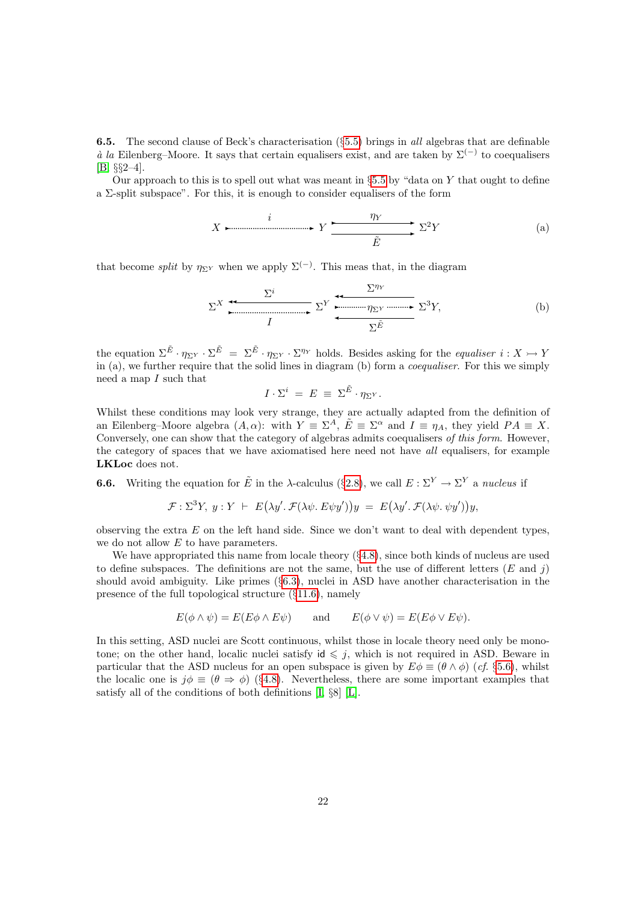<span id="page-21-1"></span>**6.5.** The second clause of Beck's characterisation ( $\S 5.5$ ) brings in all algebras that are definable à la Eilenberg–Moore. It says that certain equalisers exist, and are taken by  $\Sigma^{(-)}$  to coequalisers [\[B,](#page-56-10) §§2–4].

Our approach to this is to spell out what was meant in  $\S 5.5$  $\S 5.5$  by "data on Y that ought to define a Σ-split subspace". For this, it is enough to consider equalisers of the form

$$
X \xrightarrow{\hspace{1cm}} Y \xrightarrow{\hspace{1cm}} Y \xrightarrow{\hspace{1cm}} \Sigma^2 Y \hspace{1cm} (a)
$$

that become *split* by  $\eta_{\Sigma^Y}$  when we apply  $\Sigma^{(-)}$ . This meas that, in the diagram

$$
\Sigma^{X} \stackrel{\overbrace{\Sigma^{i}}}{\overbrace{\phantom{X^{i} \cdots \cdots X^{j}}}^{I}} \Sigma^{Y} \stackrel{\overbrace{\phantom{X^{i} \cdots X^{j}}}^{I_{\text{min}}}}{\overbrace{\phantom{X^{i} \cdots X^{j}}}^{I_{\text{min}}}} \Sigma^{3} Y, \tag{b}
$$

the equation  $\Sigma^{\tilde{E}} \cdot \eta_{\Sigma^{Y}} \cdot \Sigma^{\tilde{E}} = \Sigma^{\tilde{E}} \cdot \eta_{\Sigma^{Y}} \cdot \Sigma^{\eta_{Y}}$  holds. Besides asking for the *equaliser*  $i: X \rightarrow Y$ in (a), we further require that the solid lines in diagram (b) form a coequaliser. For this we simply need a map  $I$  such that

$$
I\cdot\Sigma^i\ =\ E\ \equiv\ \Sigma^{\tilde E}\cdot\eta_{\Sigma^Y}.
$$

Whilst these conditions may look very strange, they are actually adapted from the definition of an Eilenberg–Moore algebra  $(A, \alpha)$ : with  $Y \equiv \Sigma^A$ ,  $\tilde{E} \equiv \Sigma^{\alpha}$  and  $I \equiv \eta_A$ , they yield  $PA \equiv X$ . Conversely, one can show that the category of algebras admits coequalisers of this form. However, the category of spaces that we have axiomatised here need not have all equalisers, for example LKLoc does not.

<span id="page-21-0"></span>**6.6.** Writing the equation for  $\tilde{E}$  in the  $\lambda$ -calculus (§[2.8\)](#page-7-1), we call  $E : \Sigma^Y \to \Sigma^Y$  a nucleus if

$$
\mathcal{F}: \Sigma^3 Y, \ y: Y \ \vdash \ E(\lambda y'. \ \mathcal{F}(\lambda \psi. \ E\psi y'))y \ = \ E(\lambda y'. \ \mathcal{F}(\lambda \psi. \ \psi y'))y,
$$

observing the extra  $E$  on the left hand side. Since we don't want to deal with dependent types, we do not allow E to have parameters.

We have appropriated this name from locale theory  $(\S4.8)$  $(\S4.8)$ , since both kinds of nucleus are used to define subspaces. The definitions are not the same, but the use of different letters  $(E \text{ and } j)$ should avoid ambiguity. Like primes  $(\S6.3)$  $(\S6.3)$ , nuclei in ASD have another characterisation in the presence of the full topological structure (§[11.6\)](#page-43-0), namely

$$
E(\phi \wedge \psi) = E(E\phi \wedge E\psi)
$$
 and  $E(\phi \vee \psi) = E(E\phi \vee E\psi)$ .

In this setting, ASD nuclei are Scott continuous, whilst those in locale theory need only be monotone; on the other hand, localic nuclei satisfy  $id \leq j$ , which is not required in ASD. Beware in particular that the ASD nucleus for an open subspace is given by  $E\phi \equiv (\theta \wedge \phi)$  (cf. §[5.6\)](#page-17-3), whilst the localic one is  $j\phi \equiv (\theta \Rightarrow \phi)$  (§[4.8\)](#page-15-1). Nevertheless, there are some important examples that satisfy all of the conditions of both definitions [\[I,](#page-57-0) §8] [\[L\]](#page-57-4).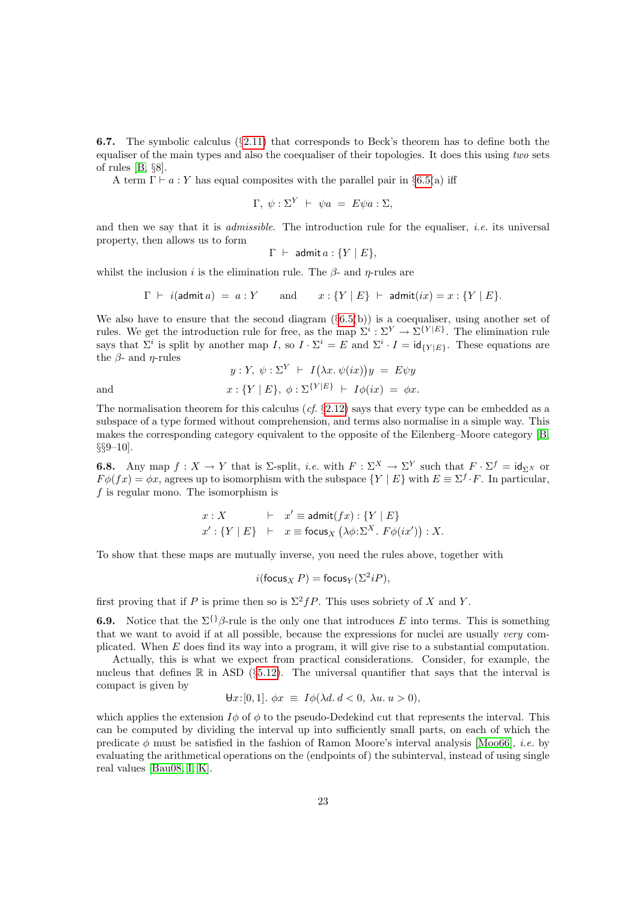<span id="page-22-0"></span>6.7. The symbolic calculus (§[2.11\)](#page-8-2) that corresponds to Beck's theorem has to define both the equaliser of the main types and also the coequaliser of their topologies. It does this using two sets of rules [\[B,](#page-56-10) §8].

A term  $\Gamma \vdash a : Y$  has equal composites with the parallel pair in §[6.5\(](#page-21-1)a) iff

$$
\Gamma, \ \psi : \Sigma^{Y} \ \vdash \ \psi a \ = \ E \psi a : \Sigma,
$$

and then we say that it is *admissible*. The introduction rule for the equaliser, *i.e.* its universal property, then allows us to form

$$
\Gamma \ \vdash \ \mathsf{admit}\, a : \{Y \mid E\},
$$

whilst the inclusion i is the elimination rule. The  $\beta$ - and  $\eta$ -rules are

$$
\Gamma \ \vdash \ i(\text{admit}\,a) \ = \ a : Y \qquad \text{and} \qquad x : \{Y \mid E\} \ \vdash \ \text{admit}(ix) = x : \{Y \mid E\}.
$$

We also have to ensure that the second diagram  $(\S 6.5(b))$  $(\S 6.5(b))$  $(\S 6.5(b))$  is a coequaliser, using another set of rules. We get the introduction rule for free, as the map  $\Sigma^i : \Sigma^Y \to \Sigma^{\{Y|E\}}$ . The elimination rule says that  $\Sigma^i$  is split by another map I, so  $I \cdot \Sigma^i = E$  and  $\Sigma^i \cdot I = id_{\{Y|E\}}$ . These equations are the  $\beta$ - and  $\eta$ -rules

$$
y: Y, \psi: \Sigma^{Y} \vdash I(\lambda x. \psi(ix))y = E\psi y
$$
  
and  

$$
x: \{Y \mid E\}, \phi: \Sigma^{\{Y \mid E\}} \vdash I\phi(ix) = \phi x.
$$

The normalisation theorem for this calculus (cf.  $\S2.12$ ) says that every type can be embedded as a subspace of a type formed without comprehension, and terms also normalise in a simple way. This makes the corresponding category equivalent to the opposite of the Eilenberg–Moore category [\[B,](#page-56-10)  $\S 9-10$ .

<span id="page-22-1"></span>**6.8.** Any map  $f: X \to Y$  that is  $\Sigma$ -split, *i.e.* with  $F: \Sigma^X \to \Sigma^Y$  such that  $F \cdot \Sigma^f = id_{\Sigma^X}$  or  $F\phi(fx) = \phi x$ , agrees up to isomorphism with the subspace  $\{Y \mid E\}$  with  $E \equiv \Sigma^f \cdot F$ . In particular,  $f$  is regular mono. The isomorphism is

$$
x: X \qquad \vdash \quad x' \equiv \text{admit}(fx) : \{Y \mid E\}
$$

$$
x' : \{Y \mid E\} \quad \vdash \quad x \equiv \text{focus}_X \left(\lambda \phi : \Sigma^X. F \phi(ix')\right) : X.
$$

To show that these maps are mutually inverse, you need the rules above, together with

$$
i(\mathsf{focus}_X P) = \mathsf{focus}_Y(\Sigma^2 iP),
$$

first proving that if P is prime then so is  $\Sigma^2 fP$ . This uses sobriety of X and Y.

**6.9.** Notice that the  $\Sigma^{\{\}}\beta$ -rule is the only one that introduces E into terms. This is something that we want to avoid if at all possible, because the expressions for nuclei are usually very complicated. When E does find its way into a program, it will give rise to a substantial computation.

Actually, this is what we expect from practical considerations. Consider, for example, the nucleus that defines  $\mathbb R$  in ASD (§[5.12\)](#page-19-2). The universal quantifier that says that the interval is compact is given by

$$
\forall x:[0,1]. \ \phi x \equiv I\phi(\lambda d. d < 0, \ \lambda u. u > 0),
$$

which applies the extension  $I\phi$  of  $\phi$  to the pseudo-Dedekind cut that represents the interval. This can be computed by dividing the interval up into sufficiently small parts, on each of which the predicate  $\phi$  must be satisfied in the fashion of Ramon Moore's interval analysis [\[Moo66\]](#page-55-9), *i.e.* by evaluating the arithmetical operations on the (endpoints of) the subinterval, instead of using single real values [\[Bau08,](#page-52-0) [I,](#page-57-0) [K\]](#page-57-2).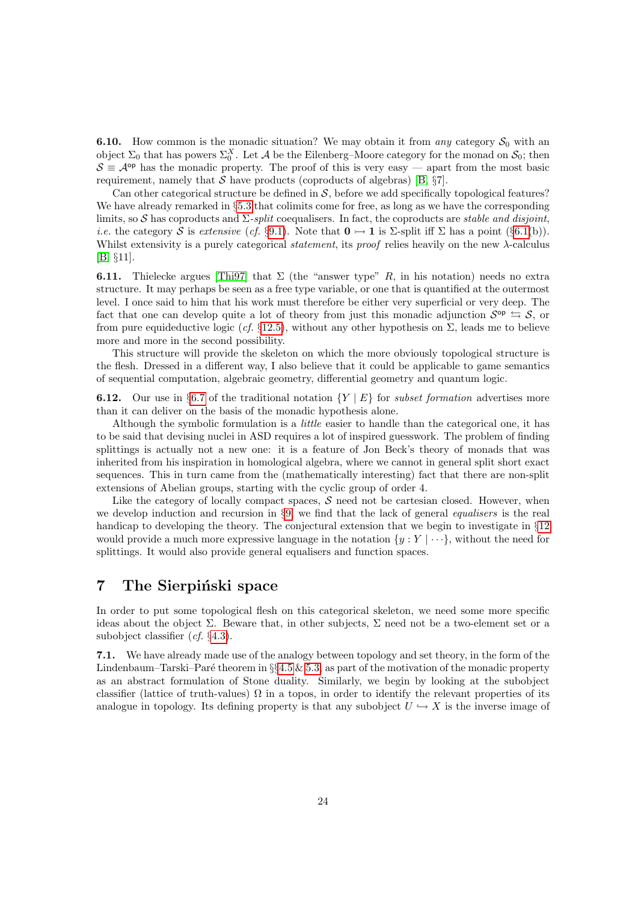<span id="page-23-1"></span>**6.10.** How common is the monadic situation? We may obtain it from any category  $S_0$  with an object  $\Sigma_0$  that has powers  $\Sigma_0^X$ . Let A be the Eilenberg–Moore category for the monad on  $\mathcal{S}_0$ ; then  $S \equiv A^{op}$  has the monadic property. The proof of this is very easy — apart from the most basic requirement, namely that  $S$  have products (coproducts of algebras) [\[B,](#page-56-10)  $\S7$ ].

Can other categorical structure be defined in  $S$ , before we add specifically topological features? We have already remarked in §[5.3](#page-16-0) that colimits come for free, as long as we have the corresponding limits, so S has coproducts and  $\Sigma$ -split coequalisers. In fact, the coproducts are stable and disjoint, *i.e.* the category S is extensive (cf. §[9.1\)](#page-33-2). Note that  $\mathbf{0} \rightarrow \mathbf{1}$  is  $\Sigma$ -split iff  $\Sigma$  has a point (§[6.1\(](#page-19-1)b)). Whilst extensivity is a purely categorical statement, its proof relies heavily on the new λ-calculus [\[B,](#page-56-10) §11].

**6.11.** Thielecke argues [\[Thi97\]](#page-56-11) that  $\Sigma$  (the "answer type" R, in his notation) needs no extra structure. It may perhaps be seen as a free type variable, or one that is quantified at the outermost level. I once said to him that his work must therefore be either very superficial or very deep. The fact that one can develop quite a lot of theory from just this monadic adjunction  $S^{\text{op}} \subseteq S$ , or from pure equideductive logic (cf. §[12.5\)](#page-47-0), without any other hypothesis on  $\Sigma$ , leads me to believe more and more in the second possibility.

This structure will provide the skeleton on which the more obviously topological structure is the flesh. Dressed in a different way, I also believe that it could be applicable to game semantics of sequential computation, algebraic geometry, differential geometry and quantum logic.

**6.12.** Our use in §[6.7](#page-22-0) of the traditional notation  ${Y | E}$  for *subset formation* advertises more than it can deliver on the basis of the monadic hypothesis alone.

Although the symbolic formulation is a little easier to handle than the categorical one, it has to be said that devising nuclei in ASD requires a lot of inspired guesswork. The problem of finding splittings is actually not a new one: it is a feature of Jon Beck's theory of monads that was inherited from his inspiration in homological algebra, where we cannot in general split short exact sequences. This in turn came from the (mathematically interesting) fact that there are non-split extensions of Abelian groups, starting with the cyclic group of order 4.

Like the category of locally compact spaces,  $S$  need not be cartesian closed. However, when we develop induction and recursion in §[9,](#page-32-0) we find that the lack of general equalisers is the real handicap to developing the theory. The conjectural extension that we begin to investigate in §[12](#page-45-0) would provide a much more expressive language in the notation  $\{y : Y | \cdots\}$ , without the need for splittings. It would also provide general equalisers and function spaces.

## <span id="page-23-0"></span>7 The Sierpinski space

In order to put some topological flesh on this categorical skeleton, we need some more specific ideas about the object  $\Sigma$ . Beware that, in other subjects,  $\Sigma$  need not be a two-element set or a subobject classifier (cf. §[4.3\)](#page-13-2).

<span id="page-23-2"></span>7.1. We have already made use of the analogy between topology and set theory, in the form of the Lindenbaum–Tarski–Paré theorem in  $\S$ [4.5](#page-14-0) & [5.3,](#page-16-0) as part of the motivation of the monadic property as an abstract formulation of Stone duality. Similarly, we begin by looking at the subobject classifier (lattice of truth-values)  $\Omega$  in a topos, in order to identify the relevant properties of its analogue in topology. Its defining property is that any subobject  $U \hookrightarrow X$  is the inverse image of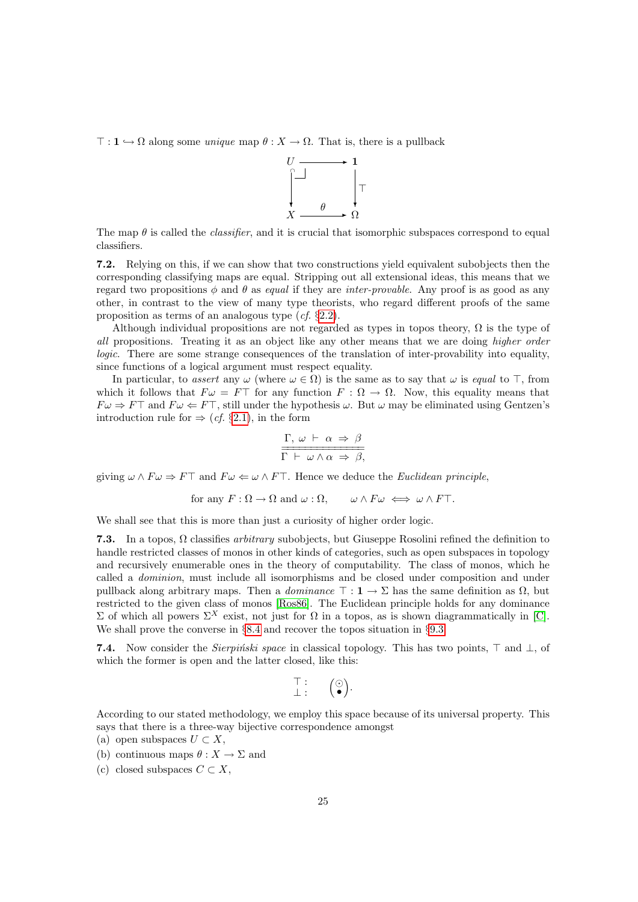$\top : \mathbf{1} \hookrightarrow \Omega$  along some *unique* map  $\theta : X \to \Omega$ . That is, there is a pullback



The map  $\theta$  is called the *classifier*, and it is crucial that isomorphic subspaces correspond to equal classifiers.

<span id="page-24-0"></span>7.2. Relying on this, if we can show that two constructions yield equivalent subobjects then the corresponding classifying maps are equal. Stripping out all extensional ideas, this means that we regard two propositions  $\phi$  and  $\theta$  as equal if they are inter-provable. Any proof is as good as any other, in contrast to the view of many type theorists, who regard different proofs of the same proposition as terms of an analogous type (cf. §[2.2\)](#page-4-1).

Although individual propositions are not regarded as types in topos theory,  $\Omega$  is the type of all propositions. Treating it as an object like any other means that we are doing higher order logic. There are some strange consequences of the translation of inter-provability into equality, since functions of a logical argument must respect equality.

In particular, to assert any  $\omega$  (where  $\omega \in \Omega$ ) is the same as to say that  $\omega$  is equal to  $\top$ , from which it follows that  $F \omega = F \top$  for any function  $F : \Omega \to \Omega$ . Now, this equality means that  $F\omega \Rightarrow F\top$  and  $F\omega \Leftarrow F\top$ , still under the hypothesis  $\omega$ . But  $\omega$  may be eliminated using Gentzen's introduction rule for  $\Rightarrow$  (*cf.* §[2.1\)](#page-4-2), in the form

$$
\frac{\Gamma, \omega \vdash \alpha \Rightarrow \beta}{\Gamma \vdash \omega \wedge \alpha \Rightarrow \beta,}
$$

giving  $\omega \wedge F \omega \Rightarrow F\top$  and  $F\omega \Leftarrow \omega \wedge F\top$ . Hence we deduce the *Euclidean principle*,

for any 
$$
F : \Omega \to \Omega
$$
 and  $\omega : \Omega$ ,  $\omega \wedge F\omega \iff \omega \wedge F\top$ .

We shall see that this is more than just a curiosity of higher order logic.

<span id="page-24-2"></span>7.3. In a topos,  $\Omega$  classifies *arbitrary* subobjects, but Giuseppe Rosolini refined the definition to handle restricted classes of monos in other kinds of categories, such as open subspaces in topology and recursively enumerable ones in the theory of computability. The class of monos, which he called a dominion, must include all isomorphisms and be closed under composition and under pullback along arbitrary maps. Then a *dominance*  $\top : \mathbf{1} \to \Sigma$  has the same definition as  $\Omega$ , but restricted to the given class of monos [\[Ros86\]](#page-55-10). The Euclidean principle holds for any dominance  $\Sigma$  of which all powers  $\Sigma^X$  exist, not just for Ω in a topos, as is shown diagrammatically in [\[C\]](#page-56-8). We shall prove the converse in  $\S 8.4$  $\S 8.4$  and recover the topos situation in  $\S 9.3$ .

<span id="page-24-1"></span>7.4. Now consider the Sierpinski space in classical topology. This has two points,  $\top$  and  $\bot$ , of which the former is open and the latter closed, like this:

$$
\begin{array}{c}\top:\\ \bot: \end{array} \quad \ \ \left(\begin{matrix}\odot\\ \bullet\end{matrix}\right).
$$

According to our stated methodology, we employ this space because of its universal property. This says that there is a three-way bijective correspondence amongst

- (a) open subspaces  $U \subset X$ ,
- (b) continuous maps  $\theta : X \to \Sigma$  and
- (c) closed subspaces  $C \subset X$ .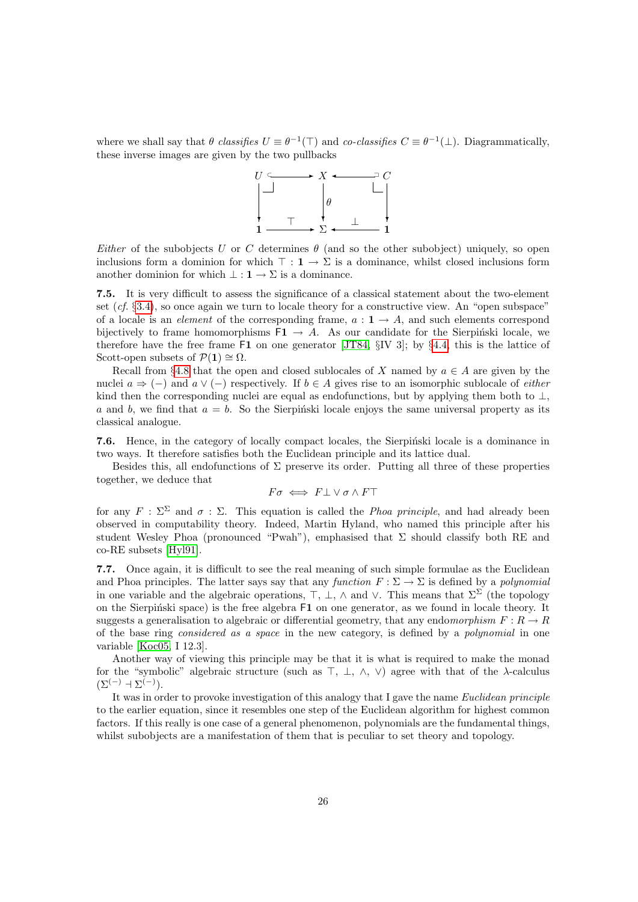where we shall say that  $\theta$  classifies  $U \equiv \theta^{-1}(\top)$  and co-classifies  $C \equiv \theta^{-1}(\bot)$ . Diagrammatically, these inverse images are given by the two pullbacks



Either of the subobjects U or C determines  $\theta$  (and so the other subobject) uniquely, so open inclusions form a dominion for which  $\top : \mathbf{1} \to \Sigma$  is a dominance, whilst closed inclusions form another dominion for which  $\bot : \mathbf{1} \to \Sigma$  is a dominance.

<span id="page-25-1"></span>7.5. It is very difficult to assess the significance of a classical statement about the two-element set  $(cf. §3.4)$  $(cf. §3.4)$ , so once again we turn to locale theory for a constructive view. An "open subspace" of a locale is an *element* of the corresponding frame,  $a: 1 \rightarrow A$ , and such elements correspond bijectively to frame homomorphisms  $F1 \rightarrow A$ . As our candidate for the Sierpinski locale, we therefore have the free frame F1 on one generator [\[JT84,](#page-54-11) §IV 3]; by §[4.4,](#page-14-1) this is the lattice of Scott-open subsets of  $\mathcal{P}(1) \cong \Omega$ .

Recall from §[4.8](#page-15-1) that the open and closed sublocales of X named by  $a \in A$  are given by the nuclei  $a \Rightarrow (-)$  and  $a \vee (-)$  respectively. If  $b \in A$  gives rise to an isomorphic sublocale of *either* kind then the corresponding nuclei are equal as endofunctions, but by applying them both to  $\perp$ , a and b, we find that  $a = b$ . So the Sierpinski locale enjoys the same universal property as its classical analogue.

7.6. Hence, in the category of locally compact locales, the Sierpinski locale is a dominance in two ways. It therefore satisfies both the Euclidean principle and its lattice dual.

Besides this, all endofunctions of  $\Sigma$  preserve its order. Putting all three of these properties together, we deduce that

$$
F\sigma \iff F\bot \lor \sigma \land F\top
$$

for any  $F : \Sigma^{\Sigma}$  and  $\sigma : \Sigma$ . This equation is called the *Phoa principle*, and had already been observed in computability theory. Indeed, Martin Hyland, who named this principle after his student Wesley Phoa (pronounced "Pwah"), emphasised that  $\Sigma$  should classify both RE and co-RE subsets [\[Hyl91\]](#page-54-12).

<span id="page-25-0"></span>7.7. Once again, it is difficult to see the real meaning of such simple formulae as the Euclidean and Phoa principles. The latter says say that any function  $F : \Sigma \to \Sigma$  is defined by a polynomial in one variable and the algebraic operations,  $\top$ ,  $\bot$ ,  $\wedge$  and  $\vee$ . This means that  $\Sigma^{\Sigma}$  (the topology on the Sierpinski space) is the free algebra  $F1$  on one generator, as we found in locale theory. It suggests a generalisation to algebraic or differential geometry, that any endomorphism  $F: R \to R$ of the base ring considered as a space in the new category, is defined by a polynomial in one variable [\[Koc05,](#page-54-13) I 12.3].

Another way of viewing this principle may be that it is what is required to make the monad for the "symbolic" algebraic structure (such as  $\top$ ,  $\bot$ ,  $\land$ ,  $\lor$ ) agree with that of the  $\lambda$ -calculus  $(\Sigma^{(-)} + \Sigma^{(-)})$ .

It was in order to provoke investigation of this analogy that I gave the name Euclidean principle to the earlier equation, since it resembles one step of the Euclidean algorithm for highest common factors. If this really is one case of a general phenomenon, polynomials are the fundamental things, whilst subobjects are a manifestation of them that is peculiar to set theory and topology.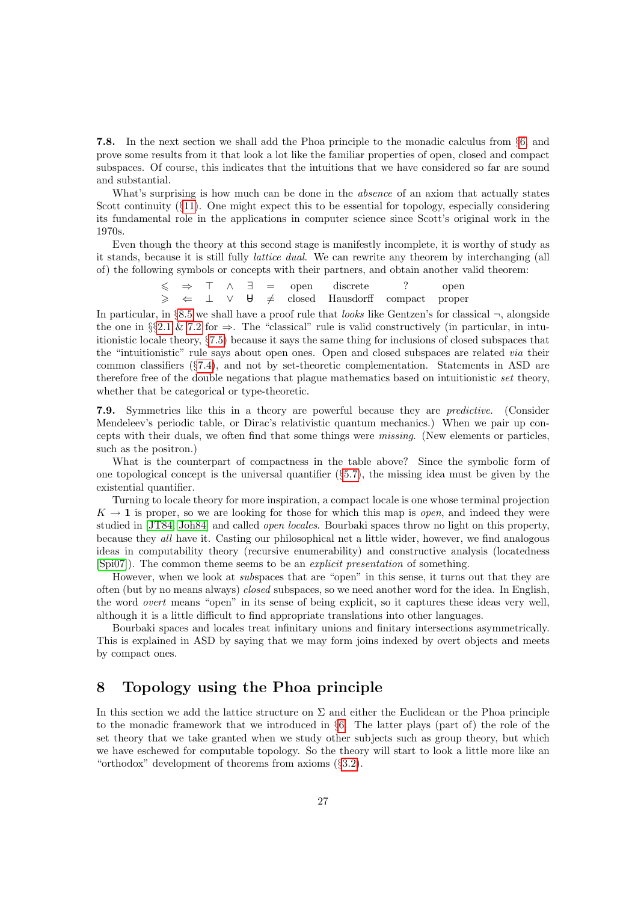<span id="page-26-1"></span>7.8. In the next section we shall add the Phoa principle to the monadic calculus from §[6,](#page-19-0) and prove some results from it that look a lot like the familiar properties of open, closed and compact subspaces. Of course, this indicates that the intuitions that we have considered so far are sound and substantial.

What's surprising is how much can be done in the *absence* of an axiom that actually states Scott continuity (§[11\)](#page-41-0). One might expect this to be essential for topology, especially considering its fundamental role in the applications in computer science since Scott's original work in the 1970s.

Even though the theory at this second stage is manifestly incomplete, it is worthy of study as it stands, because it is still fully lattice dual. We can rewrite any theorem by interchanging (all of) the following symbols or concepts with their partners, and obtain another valid theorem:

> $\leq$   $\Rightarrow$   $\top$   $\wedge$   $\exists$  = open discrete ? open<br>  $\geq$   $\Leftarrow$   $\bot$   $\vee$   $\forall$   $\neq$  closed Hausdorff compact prope  $\geq$   $\Leftarrow$   $\perp$   $\vee$   $\forall$   $\neq$  closed Hausdorff compact proper

In particular, in §[8.5](#page-28-0) we shall have a proof rule that *looks* like Gentzen's for classical  $\neg$ , alongside the one in §§[2.1](#page-4-2) & [7.2](#page-24-0) for  $\Rightarrow$ . The "classical" rule is valid constructively (in particular, in intuitionistic locale theory, §[7.5\)](#page-25-1) because it says the same thing for inclusions of closed subspaces that the "intuitionistic" rule says about open ones. Open and closed subspaces are related via their common classifiers (§[7.4\)](#page-24-1), and not by set-theoretic complementation. Statements in ASD are therefore free of the double negations that plague mathematics based on intuitionistic set theory, whether that be categorical or type-theoretic.

<span id="page-26-2"></span>7.9. Symmetries like this in a theory are powerful because they are predictive. (Consider Mendeleev's periodic table, or Dirac's relativistic quantum mechanics.) When we pair up concepts with their duals, we often find that some things were missing. (New elements or particles, such as the positron.)

What is the counterpart of compactness in the table above? Since the symbolic form of one topological concept is the universal quantifier (§[5.7\)](#page-17-0), the missing idea must be given by the existential quantifier.

Turning to locale theory for more inspiration, a compact locale is one whose terminal projection  $K \to 1$  is proper, so we are looking for those for which this map is *open*, and indeed they were studied in [\[JT84,](#page-54-11) [Joh84\]](#page-54-14) and called open locales. Bourbaki spaces throw no light on this property, because they all have it. Casting our philosophical net a little wider, however, we find analogous ideas in computability theory (recursive enumerability) and constructive analysis (locatedness [\[Spi07\]](#page-56-12)). The common theme seems to be an explicit presentation of something.

However, when we look at *subspaces* that are "open" in this sense, it turns out that they are often (but by no means always) closed subspaces, so we need another word for the idea. In English, the word overt means "open" in its sense of being explicit, so it captures these ideas very well, although it is a little difficult to find appropriate translations into other languages.

Bourbaki spaces and locales treat infinitary unions and finitary intersections asymmetrically. This is explained in ASD by saying that we may form joins indexed by overt objects and meets by compact ones.

# <span id="page-26-0"></span>8 Topology using the Phoa principle

In this section we add the lattice structure on  $\Sigma$  and either the Euclidean or the Phoa principle to the monadic framework that we introduced in §[6.](#page-19-0) The latter plays (part of) the role of the set theory that we take granted when we study other subjects such as group theory, but which we have eschewed for computable topology. So the theory will start to look a little more like an "orthodox" development of theorems from axioms (§[3.2\)](#page-9-1).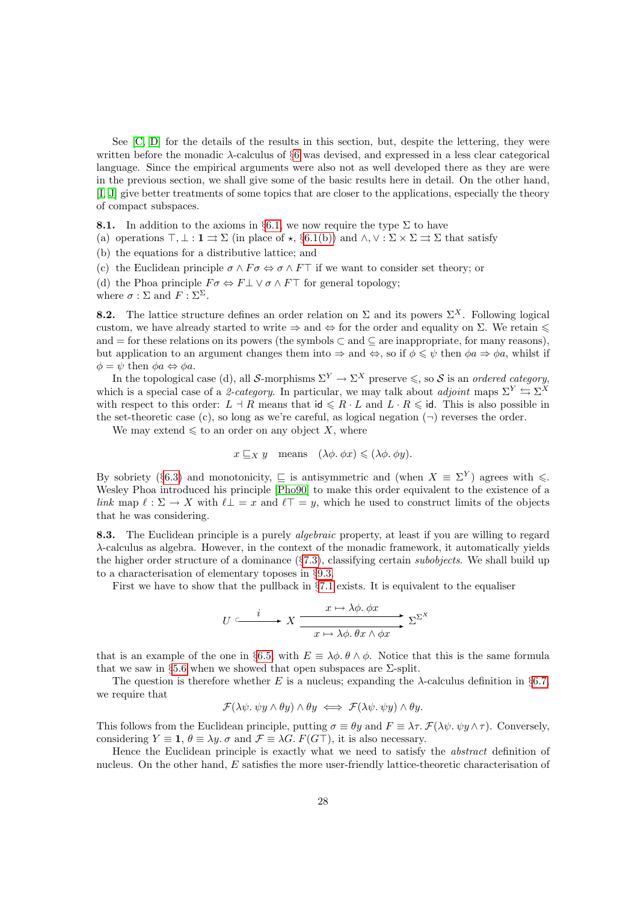See [\[C,](#page-56-8) [D\]](#page-56-13) for the details of the results in this section, but, despite the lettering, they were written before the monadic  $\lambda$ -calculus of §[6](#page-19-0) was devised, and expressed in a less clear categorical language. Since the empirical arguments were also not as well developed there as they are were in the previous section, we shall give some of the basic results here in detail. On the other hand, [\[I,](#page-57-0) [J\]](#page-57-1) give better treatments of some topics that are closer to the applications, especially the theory of compact subspaces.

<span id="page-27-4"></span>**8.1.** In addition to the axioms in §[6.1,](#page-19-1) we now require the type  $\Sigma$  to have

(a) operations  $\top, \bot : \mathbf{1} \rightrightarrows \Sigma$  (in place of  $\star$ , §[6.1\(b\)\)](#page-19-3) and  $\wedge, \vee : \Sigma \times \Sigma \rightrightarrows \Sigma$  that satisfy

(b) the equations for a distributive lattice; and

<span id="page-27-1"></span>(c) the Euclidean principle  $\sigma \wedge F \sigma \Leftrightarrow \sigma \wedge F\top$  if we want to consider set theory; or

<span id="page-27-2"></span>(d) the Phoa principle  $F \sigma \Leftrightarrow F \bot \vee \sigma \wedge F \top$  for general topology;

where  $\sigma : \Sigma$  and  $F : \Sigma^{\Sigma}$ .

<span id="page-27-0"></span>**8.2.** The lattice structure defines an order relation on  $\Sigma$  and its powers  $\Sigma^X$ . Following logical custom, we have already started to write  $\Rightarrow$  and  $\Leftrightarrow$  for the order and equality on  $\Sigma$ . We retain  $\leq$ and = for these relations on its powers (the symbols  $\subset$  and  $\subset$  are inappropriate, for many reasons), but application to an argument changes them into  $\Rightarrow$  and  $\Leftrightarrow$ , so if  $\phi \leq \psi$  then  $\phi a \Rightarrow \phi a$ , whilst if  $\phi = \psi$  then  $\phi a \Leftrightarrow \phi a$ .

In the topological case (d), all S-morphisms  $\Sigma^Y \to \Sigma^X$  preserve  $\leq$ , so S is an ordered category, which is a special case of a 2-category. In particular, we may talk about adjoint maps  $\Sigma^Y \subseteq \Sigma^X$ with respect to this order:  $L \dashv R$  means that  $\mathsf{id} \leq R \cdot L$  and  $L \cdot R \leq \mathsf{id}$ . This is also possible in the set-theoretic case (c), so long as we're careful, as logical negation  $(\neg)$  reverses the order.

We may extend  $\leq$  to an order on any object X, where

$$
x \sqsubseteq_X y
$$
 means  $(\lambda \phi, \phi x) \leq (\lambda \phi, \phi y)$ .

By sobriety (§[6.3\)](#page-20-1) and monotonicity,  $\subseteq$  is antisymmetric and (when  $X = \Sigma^{Y}$ ) agrees with  $\leq$ . Wesley Phoa introduced his principle [\[Pho90\]](#page-55-11) to make this order equivalent to the existence of a link map  $\ell : \Sigma \to X$  with  $\ell \bot = x$  and  $\ell \top = y$ , which he used to construct limits of the objects that he was considering.

<span id="page-27-3"></span>8.3. The Euclidean principle is a purely *algebraic* property, at least if you are willing to regard λ-calculus as algebra. However, in the context of the monadic framework, it automatically yields the higher order structure of a dominance  $(\S7.3)$  $(\S7.3)$ , classifying certain *subobjects*. We shall build up to a characterisation of elementary toposes in §[9.3.](#page-33-0)

First we have to show that the pullback in §[7.1](#page-23-2) exists. It is equivalent to the equaliser

$$
U \xrightarrow{\qquad i \qquad x \mapsto \lambda \phi. \phi x} \sum_{x \mapsto \lambda \phi. \theta x \wedge \phi x} x^{\sum x}
$$

that is an example of the one in §[6.5,](#page-21-1) with  $E \equiv \lambda \phi$ .  $\theta \wedge \phi$ . Notice that this is the same formula that we saw in §[5.6](#page-17-3) when we showed that open subspaces are  $\Sigma$ -split.

The question is therefore whether E is a nucleus; expanding the  $\lambda$ -calculus definition in §[6.7,](#page-22-0) we require that

$$
\mathcal{F}(\lambda \psi. \ \psi y \wedge \theta y) \wedge \theta y \iff \mathcal{F}(\lambda \psi. \ \psi y) \wedge \theta y.
$$

This follows from the Euclidean principle, putting  $\sigma \equiv \theta y$  and  $F \equiv \lambda \tau$ .  $\mathcal{F}(\lambda \psi, \psi \psi \wedge \tau)$ . Conversely, considering  $Y \equiv \mathbf{1}, \theta \equiv \lambda y$ .  $\sigma$  and  $\mathcal{F} \equiv \lambda G$ .  $F(G\top)$ , it is also necessary.

Hence the Euclidean principle is exactly what we need to satisfy the abstract definition of nucleus. On the other hand, E satisfies the more user-friendly lattice-theoretic characterisation of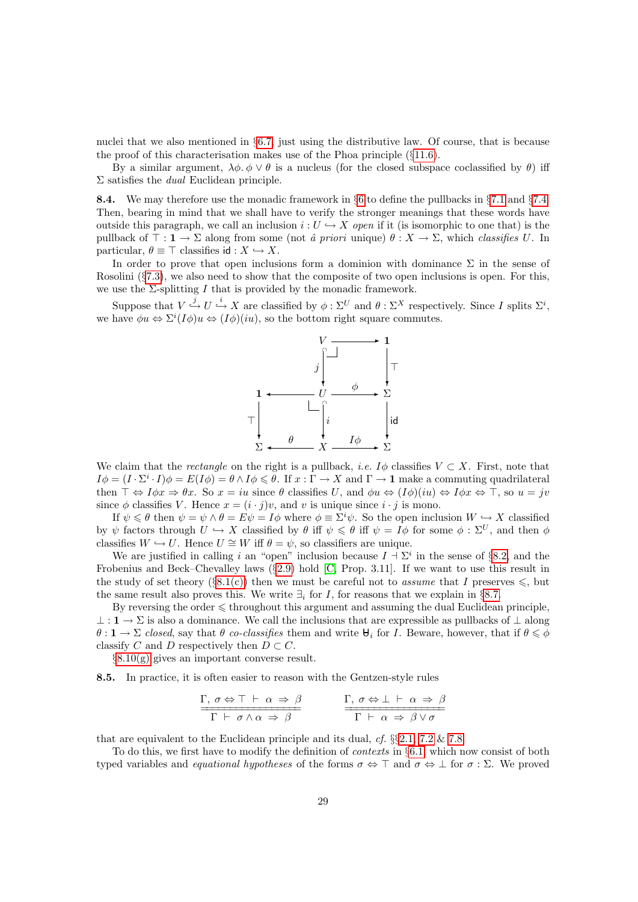nuclei that we also mentioned in §[6.7,](#page-22-0) just using the distributive law. Of course, that is because the proof of this characterisation makes use of the Phoa principle  $(\S11.6)$  $(\S11.6)$ .

By a similar argument,  $\lambda \phi \phi \vee \theta$  is a nucleus (for the closed subspace coclassified by  $\theta$ ) iff  $\Sigma$  satisfies the *dual* Euclidean principle.

<span id="page-28-1"></span>**8.4.** We may therefore use the monadic framework in §[6](#page-19-0) to define the pullbacks in §[7.1](#page-23-2) and §[7.4.](#page-24-1) Then, bearing in mind that we shall have to verify the stronger meanings that these words have outside this paragraph, we call an inclusion  $i: U \hookrightarrow X$  open if it (is isomorphic to one that) is the pullback of  $\top : \mathbf{1} \to \Sigma$  along from some (not *â priori* unique)  $\theta : X \to \Sigma$ , which *classifies U*. In particular,  $\theta \equiv \top$  classifies id :  $X \hookrightarrow X$ .

In order to prove that open inclusions form a dominion with dominance  $\Sigma$  in the sense of Rosolini (§[7.3\)](#page-24-2), we also need to show that the composite of two open inclusions is open. For this, we use the  $\Sigma$ -splitting I that is provided by the monadic framework.

Suppose that  $V \stackrel{j}{\hookrightarrow} U \stackrel{i}{\hookrightarrow} X$  are classified by  $\phi : \Sigma^U$  and  $\theta : \Sigma^X$  respectively. Since I splits  $\Sigma^i$ , we have  $\phi u \Leftrightarrow \Sigma^{i}(I\phi)u \Leftrightarrow (I\phi)(iu)$ , so the bottom right square commutes.



We claim that the *rectangle* on the right is a pullback, *i.e.* I $\phi$  classifies  $V \subset X$ . First, note that  $I\phi = (I \cdot \Sigma^i \cdot I)\phi = E(I\phi) = \theta \wedge I\phi \leq \theta$ . If  $x : \Gamma \to X$  and  $\Gamma \to \mathbf{1}$  make a commuting quadrilateral then  $\top \Leftrightarrow I\phi x \Rightarrow \theta x$ . So  $x = iu$  since  $\theta$  classifies U, and  $\phi u \Leftrightarrow (I\phi)(iu) \Leftrightarrow I\phi x \Leftrightarrow \top$ , so  $u = jv$ since  $\phi$  classifies V. Hence  $x = (i \cdot j)v$ , and v is unique since  $i \cdot j$  is mono.

If  $\psi \leq \theta$  then  $\psi = \psi \wedge \theta = E\psi = I\phi$  where  $\phi \equiv \Sigma^i \psi$ . So the open inclusion  $W \hookrightarrow X$  classified by  $\psi$  factors through  $U \hookrightarrow X$  classified by  $\theta$  iff  $\psi \leq \theta$  iff  $\psi = I\phi$  for some  $\phi : \Sigma^U$ , and then  $\phi$ classifies  $W \hookrightarrow U$ . Hence  $U \cong W$  iff  $\theta = \psi$ , so classifiers are unique.

We are justified in calling i an "open" inclusion because  $I \doteq \Sigma^i$  in the sense of §[8.2,](#page-27-0) and the Frobenius and Beck–Chevalley laws (§[2.9\)](#page-7-0) hold [\[C,](#page-56-8) Prop. 3.11]. If we want to use this result in the study of set theory (§[8.1\(c\)\)](#page-27-1) then we must be careful not to assume that I preserves  $\leqslant$ , but the same result also proves this. We write  $\exists_i$  for I, for reasons that we explain in §[8.7.](#page-30-0)

By reversing the order  $\leq$  throughout this argument and assuming the dual Euclidean principle,  $\perp: \mathbf{1} \to \Sigma$  is also a dominance. We call the inclusions that are expressible as pullbacks of  $\perp$  along  $\theta$ :  $1 \to \Sigma$  closed, say that  $\theta$  co-classifies them and write  $\theta_i$  for *I*. Beware, however, that if  $\theta \leq \phi$ classify C and D respectively then  $D \subset C$ .

§[8.10\(g\)](#page-31-0) gives an important converse result.

<span id="page-28-0"></span>8.5. In practice, it is often easier to reason with the Gentzen-style rules

$$
\frac{\Gamma, \sigma \Leftrightarrow \Gamma \vdash \alpha \Rightarrow \beta}{\Gamma \vdash \sigma \land \alpha \Rightarrow \beta} \qquad \qquad \frac{\Gamma, \sigma \Leftrightarrow \bot \vdash \alpha \Rightarrow \beta}{\Gamma \vdash \alpha \Rightarrow \beta \lor \sigma}
$$

that are equivalent to the Euclidean principle and its dual,  $cf. \S_{2}^{6}2.1$ , [7.2](#page-24-0) & [7.8.](#page-26-1)

To do this, we first have to modify the definition of *contexts* in §[6.1,](#page-19-1) which now consist of both typed variables and *equational hypotheses* of the forms  $\sigma \Leftrightarrow \top$  and  $\sigma \Leftrightarrow \bot$  for  $\sigma : \Sigma$ . We proved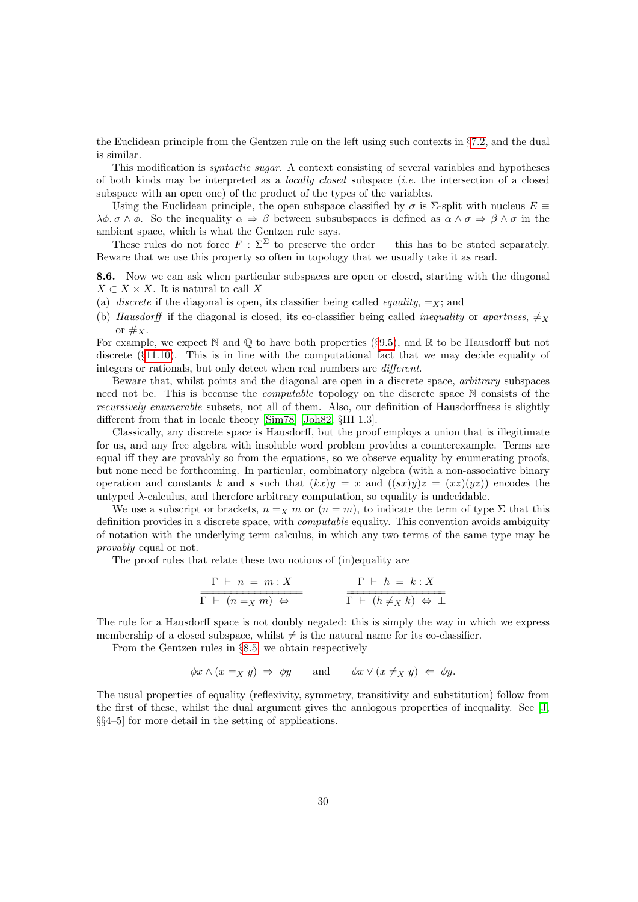the Euclidean principle from the Gentzen rule on the left using such contexts in  $\S 7.2$ , and the dual is similar.

This modification is syntactic sugar. A context consisting of several variables and hypotheses of both kinds may be interpreted as a locally closed subspace (i.e. the intersection of a closed subspace with an open one) of the product of the types of the variables.

Using the Euclidean principle, the open subspace classified by  $\sigma$  is  $\Sigma$ -split with nucleus  $E \equiv$  $\lambda \phi$ .  $\sigma \wedge \phi$ . So the inequality  $\alpha \Rightarrow \beta$  between subsubspaces is defined as  $\alpha \wedge \sigma \Rightarrow \beta \wedge \sigma$  in the ambient space, which is what the Gentzen rule says.

These rules do not force  $F : \Sigma^{\Sigma}$  to preserve the order — this has to be stated separately. Beware that we use this property so often in topology that we usually take it as read.

<span id="page-29-0"></span>8.6. Now we can ask when particular subspaces are open or closed, starting with the diagonal  $X \subset X \times X$ . It is natural to call X

- (a) discrete if the diagonal is open, its classifier being called *equality*,  $=x$ ; and
- (b) Hausdorff if the diagonal is closed, its co-classifier being called *inequality* or apartness,  $\neq$ or  $\#_X$ .

For example, we expect  $\mathbb N$  and  $\mathbb Q$  to have both properties (§[9.5\)](#page-34-0), and  $\mathbb R$  to be Hausdorff but not discrete (§[11.10\)](#page-44-1). This is in line with the computational fact that we may decide equality of integers or rationals, but only detect when real numbers are different.

Beware that, whilst points and the diagonal are open in a discrete space, arbitrary subspaces need not be. This is because the computable topology on the discrete space N consists of the recursively enumerable subsets, not all of them. Also, our definition of Hausdorffness is slightly different from that in locale theory [\[Sim78\]](#page-56-14) [\[Joh82,](#page-54-6) §III 1.3].

Classically, any discrete space is Hausdorff, but the proof employs a union that is illegitimate for us, and any free algebra with insoluble word problem provides a counterexample. Terms are equal iff they are provably so from the equations, so we observe equality by enumerating proofs, but none need be forthcoming. In particular, combinatory algebra (with a non-associative binary operation and constants k and s such that  $(kx)y = x$  and  $((sx)y)z = (xz)(yz)$  encodes the untyped  $\lambda$ -calculus, and therefore arbitrary computation, so equality is undecidable.

We use a subscript or brackets,  $n =_X m$  or  $(n = m)$ , to indicate the term of type  $\Sigma$  that this definition provides in a discrete space, with computable equality. This convention avoids ambiguity of notation with the underlying term calculus, in which any two terms of the same type may be provably equal or not.

The proof rules that relate these two notions of (in)equality are

$$
\frac{\Gamma \vdash n = m : X}{\Gamma \vdash (n =_X m) \Leftrightarrow \top} \qquad \qquad \frac{\Gamma \vdash h = k : X}{\Gamma \vdash (h \neq_X k) \Leftrightarrow \bot}
$$

The rule for a Hausdorff space is not doubly negated: this is simply the way in which we express membership of a closed subspace, whilst  $\neq$  is the natural name for its co-classifier.

From the Gentzen rules in §[8.5,](#page-28-0) we obtain respectively

$$
\phi x \wedge (x =_X y) \Rightarrow \phi y \quad \text{and} \quad \phi x \vee (x \neq_X y) \Leftarrow \phi y.
$$

The usual properties of equality (reflexivity, symmetry, transitivity and substitution) follow from the first of these, whilst the dual argument gives the analogous properties of inequality. See [\[J,](#page-57-1) §§4–5] for more detail in the setting of applications.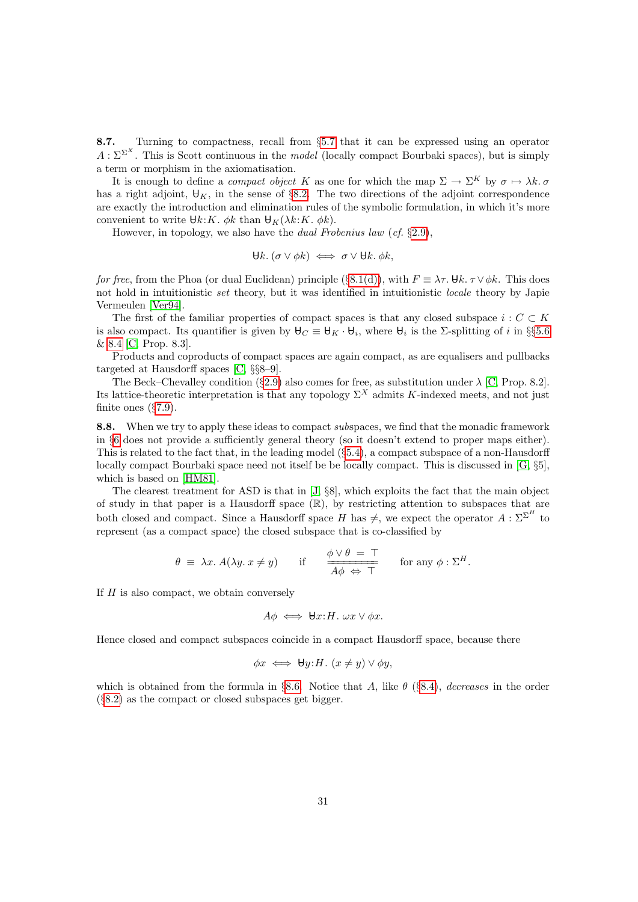<span id="page-30-0"></span>8.7. Turning to compactness, recall from §[5.7](#page-17-0) that it can be expressed using an operator  $A: \Sigma^{\Sigma^{X}}$ . This is Scott continuous in the *model* (locally compact Bourbaki spaces), but is simply a term or morphism in the axiomatisation.

It is enough to define a *compact object* K as one for which the map  $\Sigma \to \Sigma^K$  by  $\sigma \mapsto \lambda k$ . has a right adjoint,  $\mathbf{\Theta}_K$ , in the sense of §[8.2.](#page-27-0) The two directions of the adjoint correspondence are exactly the introduction and elimination rules of the symbolic formulation, in which it's more convenient to write  $\forall k:K. \phi k$  than  $\forall K (k:K. \phi k)$ .

However, in topology, we also have the dual Frobenius law (cf. §[2.9\)](#page-7-0),

$$
\forall k. (\sigma \vee \phi k) \iff \sigma \vee \forall k. \phi k,
$$

for free, from the Phoa (or dual Euclidean) principle (§[8.1\(d\)\)](#page-27-2), with  $F \equiv \lambda \tau$ . Uk.  $\tau \vee \phi k$ . This does not hold in intuitionistic set theory, but it was identified in intuitionistic locale theory by Japie Vermeulen [\[Ver94\]](#page-56-15).

The first of the familiar properties of compact spaces is that any closed subspace  $i : C \subset K$ is also compact. Its quantifier is given by  $\mathbf{\Theta}_C \equiv \mathbf{\Theta}_K \cdot \mathbf{\Theta}_i$ , where  $\mathbf{\Theta}_i$  is the  $\Sigma$ -splitting of i in §§[5.6](#page-17-3) & [8.4](#page-28-1) [\[C,](#page-56-8) Prop. 8.3].

Products and coproducts of compact spaces are again compact, as are equalisers and pullbacks targeted at Hausdorff spaces [\[C,](#page-56-8) §§8–9].

The Beck–Chevalley condition (§[2.9\)](#page-7-0) also comes for free, as substitution under  $\lambda$  [\[C,](#page-56-8) Prop. 8.2]. Its lattice-theoretic interpretation is that any topology  $\Sigma^X$  admits K-indexed meets, and not just finite ones (§[7.9\)](#page-26-2).

<span id="page-30-1"></span>8.8. When we try to apply these ideas to compact subspaces, we find that the monadic framework in §[6](#page-19-0) does not provide a sufficiently general theory (so it doesn't extend to proper maps either). This is related to the fact that, in the leading model (§[5.4\)](#page-16-1), a compact subspace of a non-Hausdorff locally compact Bourbaki space need not itself be be locally compact. This is discussed in [\[G,](#page-57-3) §5], which is based on [\[HM81\]](#page-54-9).

The clearest treatment for ASD is that in [\[J,](#page-57-1) §8], which exploits the fact that the main object of study in that paper is a Hausdorff space (R), by restricting attention to subspaces that are both closed and compact. Since a Hausdorff space H has  $\neq$ , we expect the operator  $A : \Sigma^{\Sigma^H}$  to represent (as a compact space) the closed subspace that is co-classified by

$$
\theta \equiv \lambda x. A(\lambda y. x \neq y) \quad \text{if} \quad \frac{\phi \lor \theta = \top}{A\phi \Leftrightarrow \top} \quad \text{for any } \phi : \Sigma^H.
$$

If  $H$  is also compact, we obtain conversely

$$
A\phi \iff \forall x \colon H. \ \omega x \lor \phi x.
$$

Hence closed and compact subspaces coincide in a compact Hausdorff space, because there

$$
\phi x \iff \forall y \colon H. \ (x \neq y) \lor \phi y,
$$

which is obtained from the formula in §[8.6.](#page-29-0) Notice that A, like  $\theta$  (§[8.4\)](#page-28-1), decreases in the order (§[8.2\)](#page-27-0) as the compact or closed subspaces get bigger.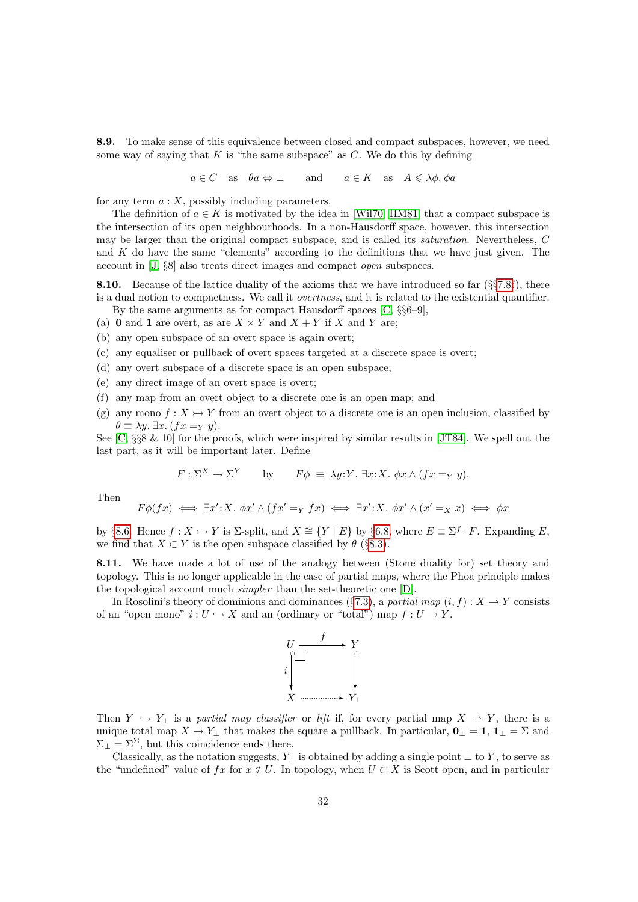<span id="page-31-3"></span>8.9. To make sense of this equivalence between closed and compact subspaces, however, we need some way of saying that  $K$  is "the same subspace" as  $C$ . We do this by defining

 $a \in C$  as  $\theta a \Leftrightarrow \bot$  and  $a \in K$  as  $A \leq \lambda \phi$ .  $\phi a$ 

for any term  $a: X$ , possibly including parameters.

The definition of  $a \in K$  is motivated by the idea in [\[Wil70,](#page-56-7) [HM81\]](#page-54-9) that a compact subspace is the intersection of its open neighbourhoods. In a non-Hausdorff space, however, this intersection may be larger than the original compact subspace, and is called its saturation. Nevertheless, C and  $K$  do have the same "elements" according to the definitions that we have just given. The account in [\[J,](#page-57-1) §8] also treats direct images and compact open subspaces.

<span id="page-31-1"></span>8.10. Because of the lattice duality of the axioms that we have introduced so far (§§[7.8f](#page-26-1)), there is a dual notion to compactness. We call it overtness, and it is related to the existential quantifier. By the same arguments as for compact Hausdorff spaces [\[C,](#page-56-8) §§6–9],

- (a) 0 and 1 are overt, as are  $X \times Y$  and  $X + Y$  if X and Y are;
- (b) any open subspace of an overt space is again overt;
- (c) any equaliser or pullback of overt spaces targeted at a discrete space is overt;
- (d) any overt subspace of a discrete space is an open subspace;
- (e) any direct image of an overt space is overt;
- (f) any map from an overt object to a discrete one is an open map; and
- <span id="page-31-0"></span>(g) any mono  $f: X \rightarrow Y$  from an overt object to a discrete one is an open inclusion, classified by  $\theta \equiv \lambda y$ .  $\exists x.$   $(fx =_Y y)$ .

See  $[C, \S\$ 8  $\&$  10 for the proofs, which were inspired by similar results in [\[JT84\]](#page-54-11). We spell out the last part, as it will be important later. Define

$$
F: \Sigma^X \to \Sigma^Y
$$
 by  $F\phi \equiv \lambda y: Y. \exists x: X. \phi x \wedge (fx =_Y y).$ 

Then

$$
F\phi(fx) \iff \exists x' \colon X. \phi x' \land (fx' =_Y fx) \iff \exists x' \colon X. \phi x' \land (x' =_X x) \iff \phi x
$$

by §[8.6.](#page-29-0) Hence  $f: X \rightarrow Y$  is  $\Sigma$ -split, and  $X \cong \{Y \mid E\}$  by §[6.8,](#page-22-1) where  $E \equiv \Sigma^f \cdot F$ . Expanding E, we find that  $X \subset Y$  is the open subspace classified by  $\theta$  (§[8.3\)](#page-27-3).

<span id="page-31-2"></span>8.11. We have made a lot of use of the analogy between (Stone duality for) set theory and topology. This is no longer applicable in the case of partial maps, where the Phoa principle makes the topological account much simpler than the set-theoretic one [\[D\]](#page-56-13).

In Rosolini's theory of dominions and dominances (§[7.3\)](#page-24-2), a partial map  $(i, f) : X \to Y$  consists of an "open mono"  $i: U \hookrightarrow X$  and an (ordinary or "total") map  $f: U \to Y$ .



Then  $Y \hookrightarrow Y_{\perp}$  is a partial map classifier or lift if, for every partial map  $X \to Y$ , there is a unique total map  $X \to Y_{\perp}$  that makes the square a pullback. In particular,  $\mathbf{0}_{\perp} = \mathbf{1}, \mathbf{1}_{\perp} = \Sigma$  and  $\Sigma_{\perp} = \Sigma^{\Sigma}$ , but this coincidence ends there.

Classically, as the notation suggests, Y<sub>⊥</sub> is obtained by adding a single point  $\perp$  to Y, to serve as the "undefined" value of fx for  $x \notin U$ . In topology, when  $U \subset X$  is Scott open, and in particular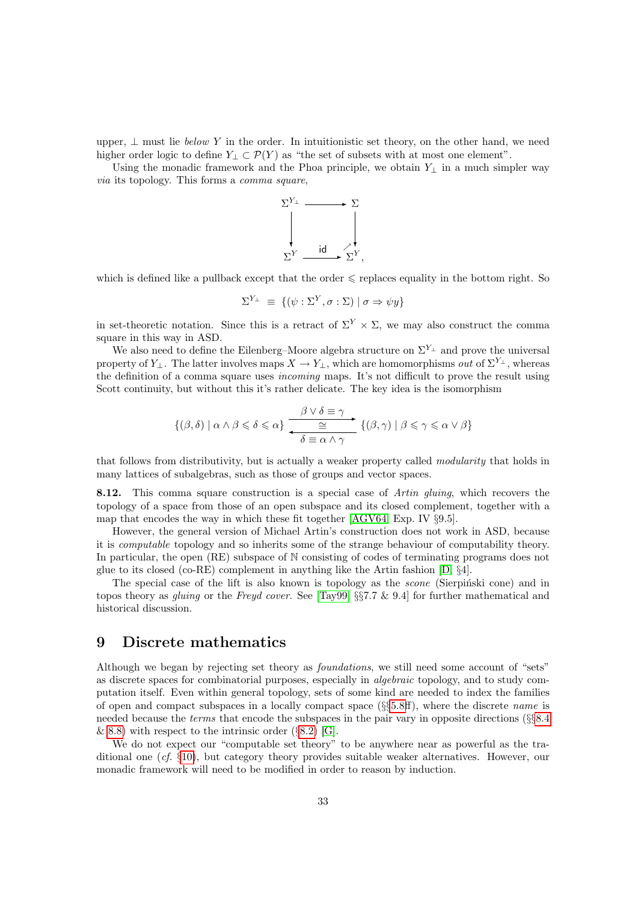upper,  $\perp$  must lie below Y in the order. In intuitionistic set theory, on the other hand, we need higher order logic to define  $Y_{\perp} \subset \mathcal{P}(Y)$  as "the set of subsets with at most one element".

Using the monadic framework and the Phoa principle, we obtain  $Y_\perp$  in a much simpler way via its topology. This forms a comma square,



which is defined like a pullback except that the order  $\leq$  replaces equality in the bottom right. So

$$
\Sigma^{Y_{\perp}} \equiv \{ (\psi : \Sigma^{Y}, \sigma : \Sigma) \mid \sigma \Rightarrow \psi y \}
$$

in set-theoretic notation. Since this is a retract of  $\Sigma^Y \times \Sigma$ , we may also construct the comma square in this way in ASD.

We also need to define the Eilenberg–Moore algebra structure on  $\Sigma^{Y_{\perp}}$  and prove the universal property of  $Y_{\perp}$ . The latter involves maps  $X \to Y_{\perp}$ , which are homomorphisms *out* of  $\Sigma^{Y_{\perp}}$ , whereas the definition of a comma square uses incoming maps. It's not difficult to prove the result using Scott continuity, but without this it's rather delicate. The key idea is the isomorphism

$$
\{(\beta,\delta) \mid \alpha \wedge \beta \leqslant \delta \leqslant \alpha\} \xrightarrow{\beta \vee \delta \equiv \gamma} \{(\beta,\gamma) \mid \beta \leqslant \gamma \leqslant \alpha \vee \beta\}
$$

that follows from distributivity, but is actually a weaker property called modularity that holds in many lattices of subalgebras, such as those of groups and vector spaces.

8.12. This comma square construction is a special case of *Artin gluing*, which recovers the topology of a space from those of an open subspace and its closed complement, together with a map that encodes the way in which these fit together [\[AGV64,](#page-52-2) Exp. IV §9.5].

However, the general version of Michael Artin's construction does not work in ASD, because it is computable topology and so inherits some of the strange behaviour of computability theory. In particular, the open (RE) subspace of N consisting of codes of terminating programs does not glue to its closed (co-RE) complement in anything like the Artin fashion [\[D,](#page-56-13) §4].

The special case of the lift is also known is topology as the *scone* (Sierpinski cone) and in topos theory as gluing or the Freyd cover. See [\[Tay99,](#page-56-1) §§7.7 & 9.4] for further mathematical and historical discussion.

#### <span id="page-32-0"></span>9 Discrete mathematics

Although we began by rejecting set theory as foundations, we still need some account of "sets" as discrete spaces for combinatorial purposes, especially in algebraic topology, and to study computation itself. Even within general topology, sets of some kind are needed to index the families of open and compact subspaces in a locally compact space  $(\S_{5}5.8ff)$  $(\S_{5}5.8ff)$  $(\S_{5}5.8ff)$ , where the discrete *name* is needed because the terms that encode the subspaces in the pair vary in opposite directions (§§[8.4](#page-28-1) & [8.8\)](#page-30-1) with respect to the intrinsic order  $(\S 8.2)$  $(\S 8.2)$  [\[G\]](#page-57-3).

We do not expect our "computable set theory" to be anywhere near as powerful as the traditional one (cf. §[10\)](#page-37-0), but category theory provides suitable weaker alternatives. However, our monadic framework will need to be modified in order to reason by induction.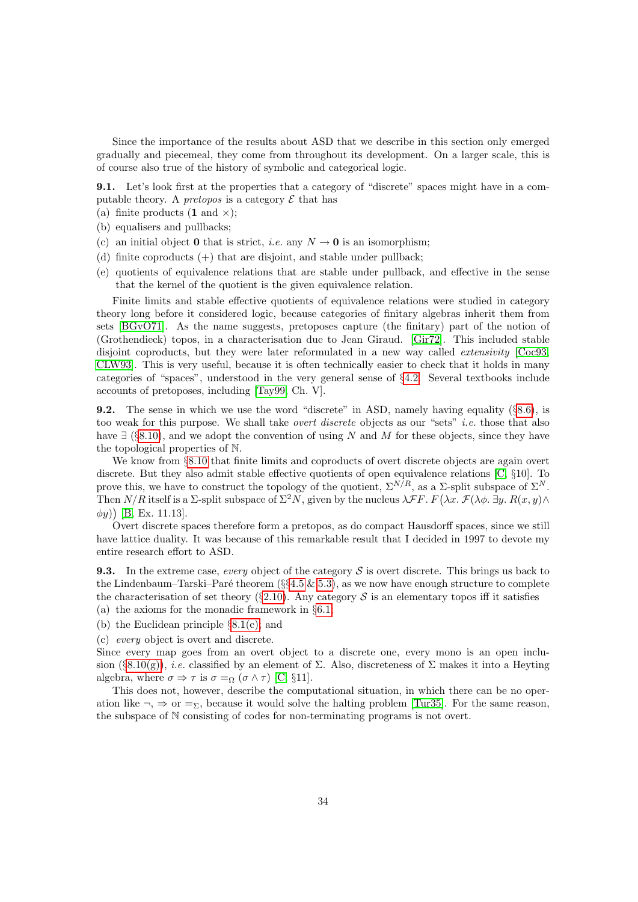Since the importance of the results about ASD that we describe in this section only emerged gradually and piecemeal, they come from throughout its development. On a larger scale, this is of course also true of the history of symbolic and categorical logic.

<span id="page-33-2"></span>9.1. Let's look first at the properties that a category of "discrete" spaces might have in a computable theory. A *pretopos* is a category  $\mathcal E$  that has

- (a) finite products  $(1 \text{ and } x);$
- (b) equalisers and pullbacks;
- (c) an initial object **0** that is strict, *i.e.* any  $N \rightarrow 0$  is an isomorphism;
- (d) finite coproducts  $(+)$  that are disjoint, and stable under pullback;
- <span id="page-33-1"></span>(e) quotients of equivalence relations that are stable under pullback, and effective in the sense that the kernel of the quotient is the given equivalence relation.

Finite limits and stable effective quotients of equivalence relations were studied in category theory long before it considered logic, because categories of finitary algebras inherit them from sets [\[BGvO71\]](#page-53-14). As the name suggests, pretoposes capture (the finitary) part of the notion of (Grothendieck) topos, in a characterisation due to Jean Giraud. [\[Gir72\]](#page-53-15). This included stable disjoint coproducts, but they were later reformulated in a new way called *extensivity* [\[Coc93,](#page-53-16) [CLW93\]](#page-53-17). This is very useful, because it is often technically easier to check that it holds in many categories of "spaces", understood in the very general sense of §[4.2.](#page-13-0) Several textbooks include accounts of pretoposes, including [\[Tay99,](#page-56-1) Ch. V].

<span id="page-33-3"></span>**9.2.** The sense in which we use the word "discrete" in ASD, namely having equality  $(\S 8.6)$  $(\S 8.6)$ , is too weak for this purpose. We shall take *overt discrete* objects as our "sets" *i.e.* those that also have  $\exists$  (§[8.10\)](#page-31-1), and we adopt the convention of using N and M for these objects, since they have the topological properties of N.

We know from §[8.10](#page-31-1) that finite limits and coproducts of overt discrete objects are again overt discrete. But they also admit stable effective quotients of open equivalence relations [\[C,](#page-56-8) §10]. To prove this, we have to construct the topology of the quotient,  $\Sigma^{N/R}$ , as a  $\Sigma$ -split subspace of  $\Sigma^N$ . Then  $N/R$  itself is a  $\Sigma$ -split subspace of  $\Sigma^2 N$ , given by the nucleus  $\lambda \mathcal{F}F$ .  $F(\lambda x. \mathcal{F}(\lambda \phi, \exists y. R(x, y) \land \phi)$  $(\phi y)$  [\[B,](#page-56-10) Ex. 11.13].

Overt discrete spaces therefore form a pretopos, as do compact Hausdorff spaces, since we still have lattice duality. It was because of this remarkable result that I decided in 1997 to devote my entire research effort to ASD.

<span id="page-33-0"></span>**9.3.** In the extreme case, every object of the category S is overt discrete. This brings us back to the Lindenbaum–Tarski–Paré theorem (§§[4.5](#page-14-0)  $\&$  [5.3\)](#page-16-0), as we now have enough structure to complete the characterisation of set theory (§[2.10\)](#page-8-1). Any category  $S$  is an elementary topos iff it satisfies

- (a) the axioms for the monadic framework in §[6.1;](#page-19-1)
- (b) the Euclidean principle §[8.1\(c\);](#page-27-1) and

(c) every object is overt and discrete.

Since every map goes from an overt object to a discrete one, every mono is an open inclu-sion (§[8.10\(g\)\)](#page-31-0), *i.e.* classified by an element of  $\Sigma$ . Also, discreteness of  $\Sigma$  makes it into a Heyting algebra, where  $\sigma \Rightarrow \tau$  is  $\sigma =_{\Omega} (\sigma \wedge \tau)$  [\[C,](#page-56-8) §11].

This does not, however, describe the computational situation, in which there can be no operation like  $\neg$ ,  $\Rightarrow$  or  $\Rightarrow$ <sub>2</sub>, because it would solve the halting problem [\[Tur35\]](#page-56-16). For the same reason, the subspace of N consisting of codes for non-terminating programs is not overt.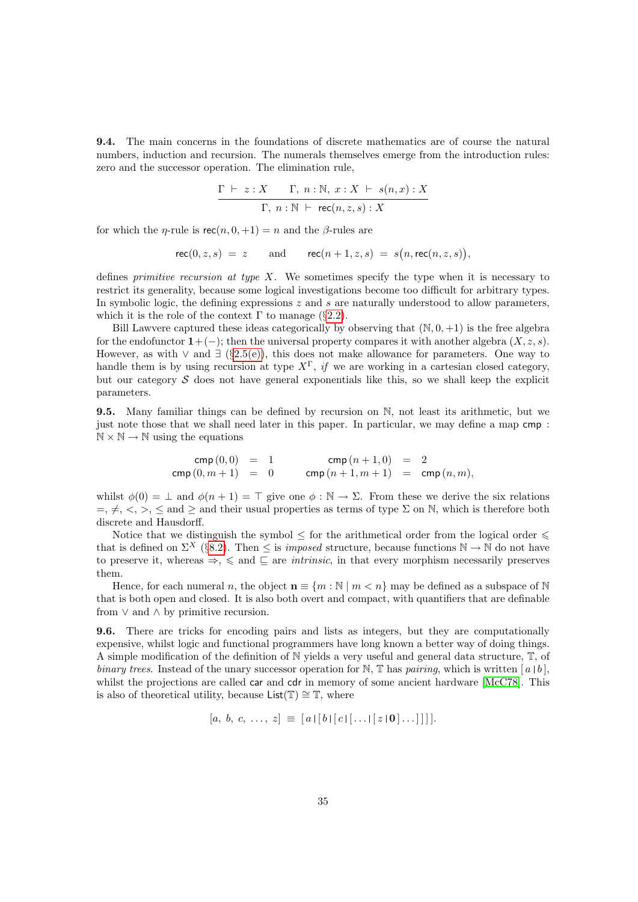9.4. The main concerns in the foundations of discrete mathematics are of course the natural numbers, induction and recursion. The numerals themselves emerge from the introduction rules: zero and the successor operation. The elimination rule,

$$
\frac{\Gamma \vdash z : X \qquad \Gamma, \ n : \mathbb{N}, \ x : X \vdash s(n,x) : X}{\Gamma, \ n : \mathbb{N} \vdash \mathsf{rec}(n,z,s) : X}
$$

for which the *η*-rule is  $\operatorname{rec}(n, 0, +1) = n$  and the *β*-rules are

$$
\mathsf{rec}(0,z,s) = z \qquad \text{and} \qquad \mathsf{rec}(n+1,z,s) = s(n,\mathsf{rec}(n,z,s)),
$$

defines *primitive recursion at type X*. We sometimes specify the type when it is necessary to restrict its generality, because some logical investigations become too difficult for arbitrary types. In symbolic logic, the defining expressions  $z$  and  $s$  are naturally understood to allow parameters, which it is the role of the context  $\Gamma$  to manage (§[2.2\)](#page-4-1).

Bill Lawvere captured these ideas categorically by observing that  $(N, 0, +1)$  is the free algebra for the endofunctor  $1+(-)$ ; then the universal property compares it with another algebra  $(X, z, s)$ . However, as with  $\vee$  and  $\exists$  (§[2.5\(e\)\)](#page-6-2), this does not make allowance for parameters. One way to handle them is by using recursion at type  $X^{\Gamma}$ , if we are working in a cartesian closed category, but our category  $S$  does not have general exponentials like this, so we shall keep the explicit parameters.

<span id="page-34-0"></span>9.5. Many familiar things can be defined by recursion on N, not least its arithmetic, but we just note those that we shall need later in this paper. In particular, we may define a map cmp :  $\mathbb{N} \times \mathbb{N} \to \mathbb{N}$  using the equations

$$
\begin{array}{rcl}\n\textsf{cmp}\,(0,0) & = & 1 \\
\textsf{cmp}\,(0,m+1) & = & 0 \\
\end{array}\n\qquad\n\begin{array}{rcl}\n\textsf{cmp}\,(n+1,0) & = & 2 \\
\textsf{cmp}\,(n+1,m+1) & = & \textsf{cmp}\,(n,m),\n\end{array}
$$

whilst  $\phi(0) = \perp$  and  $\phi(n+1) = \top$  give one  $\phi : \mathbb{N} \to \Sigma$ . From these we derive the six relations  $=, \neq, \leq, \geq, \leq$  and  $\geq$  and their usual properties as terms of type  $\Sigma$  on N, which is therefore both discrete and Hausdorff.

Notice that we distinguish the symbol  $\leq$  for the arithmetical order from the logical order  $\leq$ that is defined on  $\Sigma^X$  (§[8.2\)](#page-27-0). Then  $\leq$  is *imposed* structure, because functions  $\mathbb{N} \to \mathbb{N}$  do not have to preserve it, whereas  $\Rightarrow$ ,  $\leq$  and  $\sqsubseteq$  are *intrinsic*, in that every morphism necessarily preserves them.

Hence, for each numeral n, the object  $\mathbf{n} \equiv \{m : \mathbb{N} \mid m \leq n\}$  may be defined as a subspace of N that is both open and closed. It is also both overt and compact, with quantifiers that are definable from  $\vee$  and  $\wedge$  by primitive recursion.

<span id="page-34-1"></span>9.6. There are tricks for encoding pairs and lists as integers, but they are computationally expensive, whilst logic and functional programmers have long known a better way of doing things. A simple modification of the definition of N yields a very useful and general data structure, T, of binary trees. Instead of the unary successor operation for N, T has pairing, which is written  $[a \mid b]$ , whilst the projections are called car and cdr in memory of some ancient hardware [\[McC78\]](#page-55-12). This is also of theoretical utility, because List( $\mathbb{T}$ ) ≅  $\mathbb{T}$ , where

$$
[a, b, c, \ldots, z] \equiv [a \mid [b \mid [c \mid [\ldots \mid [z \mid \mathbf{0} \mid \ldots]]]]].
$$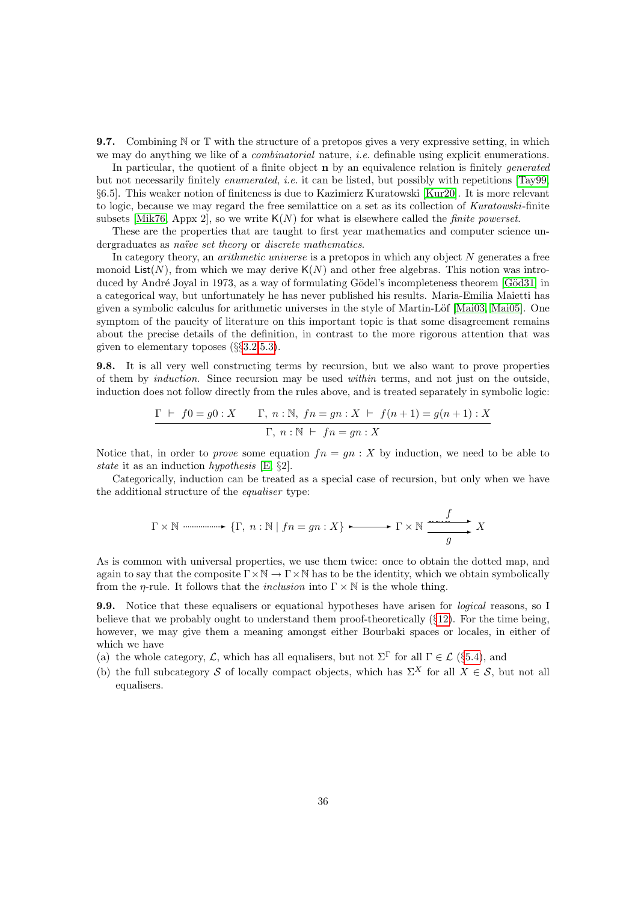<span id="page-35-0"></span>**9.7.** Combining  $\mathbb N$  or  $\mathbb T$  with the structure of a pretopos gives a very expressive setting, in which we may do anything we like of a *combinatorial* nature, *i.e.* definable using explicit enumerations.

In particular, the quotient of a finite object **n** by an equivalence relation is finitely generated but not necessarily finitely enumerated, i.e. it can be listed, but possibly with repetitions [\[Tay99,](#page-56-1) §6.5]. This weaker notion of finiteness is due to Kazimierz Kuratowski [\[Kur20\]](#page-54-15). It is more relevant to logic, because we may regard the free semilattice on a set as its collection of Kuratowski-finite subsets [\[Mik76,](#page-55-13) Appx 2], so we write  $K(N)$  for what is elsewhere called the *finite powerset*.

These are the properties that are taught to first year mathematics and computer science undergraduates as naïve set theory or discrete mathematics.

In category theory, an *arithmetic universe* is a pretopos in which any object  $N$  generates a free monoid List(N), from which we may derive  $K(N)$  and other free algebras. This notion was introduced by André Joyal in 1973, as a way of formulating Gödel's incompleteness theorem [Göd31] in a categorical way, but unfortunately he has never published his results. Maria-Emilia Maietti has given a symbolic calculus for arithmetic universes in the style of Martin-Löf  $[Mai03, Mai05]$  $[Mai03, Mai05]$ . One symptom of the paucity of literature on this important topic is that some disagreement remains about the precise details of the definition, in contrast to the more rigorous attention that was given to elementary toposes (§§[3.2,](#page-9-1)[5.3\)](#page-16-0).

<span id="page-35-1"></span>9.8. It is all very well constructing terms by recursion, but we also want to prove properties of them by induction. Since recursion may be used within terms, and not just on the outside, induction does not follow directly from the rules above, and is treated separately in symbolic logic:

$$
\Gamma \vdash f0 = g0: X \qquad \Gamma, n: \mathbb{N}, \, fn = gn: X \vdash f(n+1) = g(n+1): X
$$

$$
\Gamma, n: \mathbb{N} \vdash fn = gn: X
$$

Notice that, in order to *prove* some equation  $fn = gn : X$  by induction, we need to be able to state it as an induction hypothesis [\[E,](#page-56-17) §2].

Categorically, induction can be treated as a special case of recursion, but only when we have the additional structure of the equaliser type:

$$
\Gamma \times \mathbb{N} \longrightarrow \{ \Gamma, n : \mathbb{N} \mid fn = gn : X \} \longrightarrow \Gamma \times \mathbb{N} \longrightarrow X
$$

As is common with universal properties, we use them twice: once to obtain the dotted map, and again to say that the composite  $\Gamma \times \mathbb{N} \to \Gamma \times \mathbb{N}$  has to be the identity, which we obtain symbolically from the *η*-rule. It follows that the *inclusion* into  $\Gamma \times \mathbb{N}$  is the whole thing.

9.9. Notice that these equalisers or equational hypotheses have arisen for logical reasons, so I believe that we probably ought to understand them proof-theoretically  $(\S12)$  $(\S12)$ . For the time being, however, we may give them a meaning amongst either Bourbaki spaces or locales, in either of which we have

- (a) the whole category,  $\mathcal{L}$ , which has all equalisers, but not  $\Sigma^{\Gamma}$  for all  $\Gamma \in \mathcal{L}$  (§[5.4\)](#page-16-1), and
- (b) the full subcategory S of locally compact objects, which has  $\Sigma^X$  for all  $X \in S$ , but not all equalisers.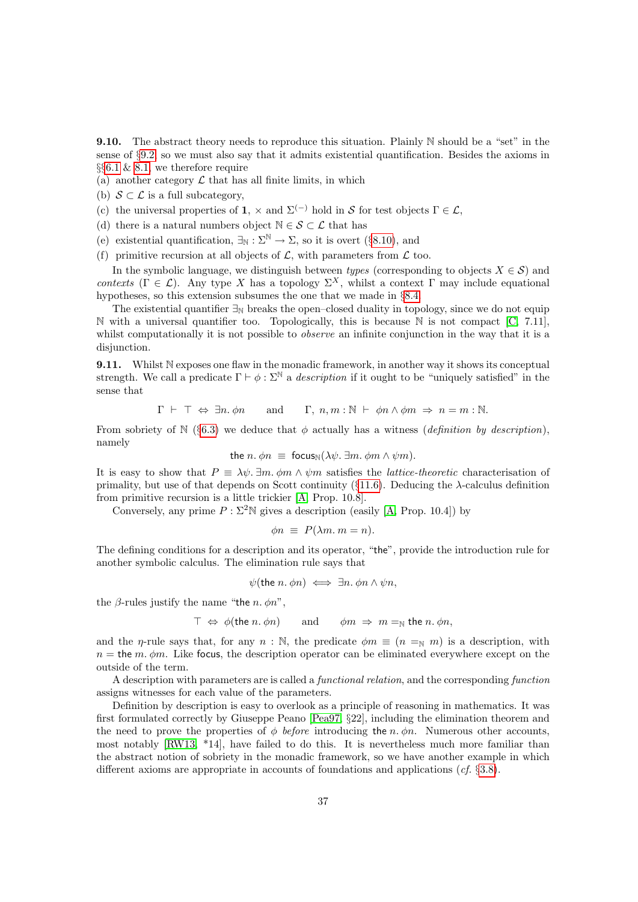<span id="page-36-1"></span>**9.10.** The abstract theory needs to reproduce this situation. Plainly N should be a "set" in the sense of §[9.2,](#page-33-3) so we must also say that it admits existential quantification. Besides the axioms in §§[6.1](#page-19-1) & [8.1,](#page-27-4) we therefore require

- (a) another category  $\mathcal L$  that has all finite limits, in which
- (b)  $S \subset \mathcal{L}$  is a full subcategory,
- (c) the universal properties of 1,  $\times$  and  $\Sigma^{(-)}$  hold in S for test objects  $\Gamma \in \mathcal{L}$ ,
- (d) there is a natural numbers object  $\mathbb{N} \in \mathcal{S} \subset \mathcal{L}$  that has
- (e) existential quantification,  $\exists_N : \Sigma^N \to \Sigma$ , so it is overt (§[8.10\)](#page-31-1), and
- (f) primitive recursion at all objects of  $\mathcal{L}$ , with parameters from  $\mathcal{L}$  too.

In the symbolic language, we distinguish between *types* (corresponding to objects  $X \in \mathcal{S}$ ) and contexts ( $\Gamma \in \mathcal{L}$ ). Any type X has a topology  $\Sigma^X$ , whilst a context  $\Gamma$  may include equational hypotheses, so this extension subsumes the one that we made in §[8.4.](#page-28-1)

The existential quantifier  $\exists_N$  breaks the open–closed duality in topology, since we do not equip N with a universal quantifier too. Topologically, this is because N is not compact [\[C,](#page-56-8) 7.11], whilst computationally it is not possible to *observe* an infinite conjunction in the way that it is a disjunction.

<span id="page-36-0"></span>9.11. Whilst N exposes one flaw in the monadic framework, in another way it shows its conceptual strength. We call a predicate  $\Gamma \vdash \phi : \Sigma^{\mathbb{N}}$  a *description* if it ought to be "uniquely satisfied" in the sense that

$$
\Gamma \vdash \top \Leftrightarrow \exists n. \phi n
$$
 and  $\Gamma, n, m : \mathbb{N} \vdash \phi n \wedge \phi m \Rightarrow n = m : \mathbb{N}.$ 

From sobriety of N (§[6.3\)](#page-20-1) we deduce that  $\phi$  actually has a witness (definition by description), namely

the *n*. 
$$
\phi n \equiv
$$
 focus<sub>N</sub> $(\lambda \psi, \exists m, \phi m \land \psi m)$ .

It is easy to show that  $P = \lambda \psi$ .  $\exists m \ldots m \wedge \psi m$  satisfies the *lattice-theoretic* characterisation of primality, but use of that depends on Scott continuity ( $\S11.6$ ). Deducing the  $\lambda$ -calculus definition from primitive recursion is a little trickier [\[A,](#page-56-9) Prop. 10.8].

Conversely, any prime  $P : \Sigma^2 N$  gives a description (easily [\[A,](#page-56-9) Prop. 10.4]) by

$$
\phi n \equiv P(\lambda m. m = n).
$$

The defining conditions for a description and its operator, "the", provide the introduction rule for another symbolic calculus. The elimination rule says that

$$
\psi(\text{the } n. \phi n) \iff \exists n. \phi n \land \psi n,
$$

the  $\beta$ -rules justify the name "the *n*.  $\phi n$ ",

$$
\top \Leftrightarrow \phi(\text{the } n. \phi n) \quad \text{and} \quad \phi m \Rightarrow m =_{\mathbb{N}} \text{the } n. \phi n,
$$

and the *η*-rule says that, for any  $n : \mathbb{N}$ , the predicate  $\phi m \equiv (n =_N m)$  is a description, with  $n =$  the m.  $\phi$ m. Like focus, the description operator can be eliminated everywhere except on the outside of the term.

A description with parameters are is called a functional relation, and the corresponding function assigns witnesses for each value of the parameters.

Definition by description is easy to overlook as a principle of reasoning in mathematics. It was first formulated correctly by Giuseppe Peano [\[Pea97,](#page-55-16) §22], including the elimination theorem and the need to prove the properties of  $\phi$  before introducing the n.  $\phi$ n. Numerous other accounts, most notably [\[RW13,](#page-55-2) \*14], have failed to do this. It is nevertheless much more familiar than the abstract notion of sobriety in the monadic framework, so we have another example in which different axioms are appropriate in accounts of foundations and applications (cf.  $\S 3.8$ ).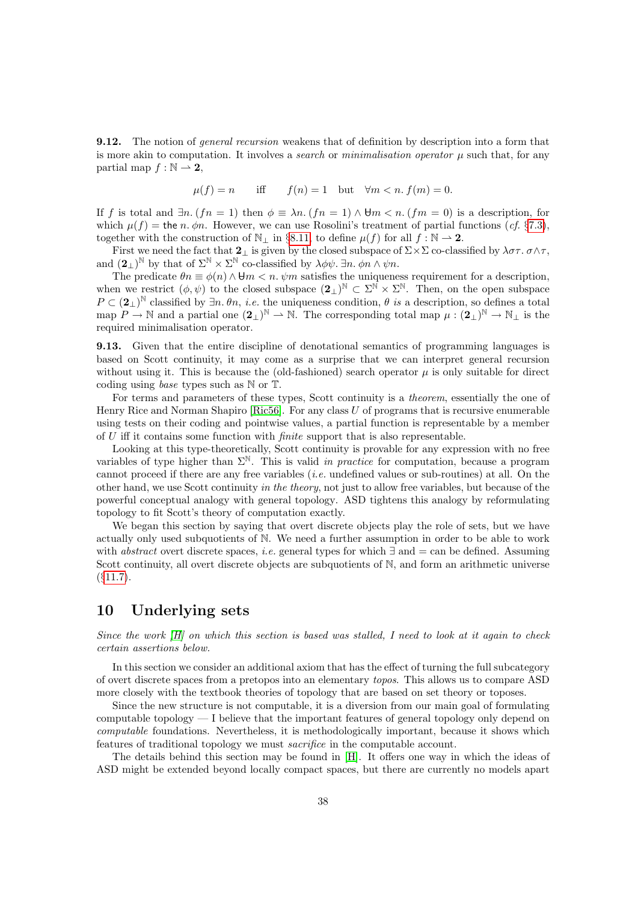<span id="page-37-1"></span>**9.12.** The notion of *general recursion* weakens that of definition by description into a form that is more akin to computation. It involves a *search* or *minimalisation operator*  $\mu$  such that, for any partial map  $f : \mathbb{N} \to \mathbf{2}$ ,

$$
\mu(f) = n \quad \text{iff} \quad f(n) = 1 \quad \text{but} \quad \forall m < n. \ f(m) = 0.
$$

If f is total and  $\exists n. (fn = 1)$  then  $\phi \equiv \lambda n. (fn = 1) \wedge \theta m < n. (fm = 0)$  is a description, for which  $\mu(f)$  = the *n. φn.* However, we can use Rosolini's treatment of partial functions (*cf.* §[7.3\)](#page-24-2), together with the construction of  $\mathbb{N}_\perp$  in §[8.11,](#page-31-2) to define  $\mu(f)$  for all  $f : \mathbb{N} \to \mathbb{2}$ .

First we need the fact that  $2_\perp$  is given by the closed subspace of  $\Sigma \times \Sigma$  co-classified by  $\lambda \sigma \tau$ .  $\sigma \wedge \tau$ , and  $(2_\perp)^\mathbb{N}$  by that of  $\Sigma^\mathbb{N} \times \Sigma^\mathbb{N}$  co-classified by  $\lambda \phi \psi$ .  $\exists n. \phi n \wedge \psi n$ .

The predicate  $\theta n \equiv \phi(n) \wedge \theta m < n$ .  $\psi m$  satisfies the uniqueness requirement for a description, when we restrict  $(\phi, \psi)$  to the closed subspace  $(2_\perp)^N \subset \Sigma^{\tilde{N}} \times \Sigma^N$ . Then, on the open subspace  $P \subset (\mathbf{2}_{\perp})^{\mathbb{N}}$  classified by  $\exists n. \theta n, i.e.$  the uniqueness condition,  $\theta$  is a description, so defines a total map  $P \to \mathbb{N}$  and a partial one  $(2_\perp)^{\mathbb{N}} \to \mathbb{N}$ . The corresponding total map  $\mu : (2_\perp)^{\mathbb{N}} \to \mathbb{N}_\perp$  is the required minimalisation operator.

<span id="page-37-2"></span>9.13. Given that the entire discipline of denotational semantics of programming languages is based on Scott continuity, it may come as a surprise that we can interpret general recursion without using it. This is because the (old-fashioned) search operator  $\mu$  is only suitable for direct coding using base types such as N or T.

For terms and parameters of these types, Scott continuity is a theorem, essentially the one of Henry Rice and Norman Shapiro [\[Ric56\]](#page-55-17). For any class U of programs that is recursive enumerable using tests on their coding and pointwise values, a partial function is representable by a member of  $U$  iff it contains some function with *finite* support that is also representable.

Looking at this type-theoretically, Scott continuity is provable for any expression with no free variables of type higher than  $\Sigma^N$ . This is valid in practice for computation, because a program cannot proceed if there are any free variables  $(i.e.$  undefined values or sub-routines) at all. On the other hand, we use Scott continuity in the theory, not just to allow free variables, but because of the powerful conceptual analogy with general topology. ASD tightens this analogy by reformulating topology to fit Scott's theory of computation exactly.

We began this section by saying that overt discrete objects play the role of sets, but we have actually only used subquotients of N. We need a further assumption in order to be able to work with *abstract* overt discrete spaces, *i.e.* general types for which  $\exists$  and  $=$  can be defined. Assuming Scott continuity, all overt discrete objects are subquotients of N, and form an arithmetic universe  $(§11.7).$  $(§11.7).$  $(§11.7).$ 

# <span id="page-37-0"></span>10 Underlying sets

Since the work  $[H]$  on which this section is based was stalled, I need to look at it again to check certain assertions below.

In this section we consider an additional axiom that has the effect of turning the full subcategory of overt discrete spaces from a pretopos into an elementary topos. This allows us to compare ASD more closely with the textbook theories of topology that are based on set theory or toposes.

Since the new structure is not computable, it is a diversion from our main goal of formulating computable topology  $-1$  believe that the important features of general topology only depend on computable foundations. Nevertheless, it is methodologically important, because it shows which features of traditional topology we must sacrifice in the computable account.

The details behind this section may be found in [\[H\]](#page-57-5). It offers one way in which the ideas of ASD might be extended beyond locally compact spaces, but there are currently no models apart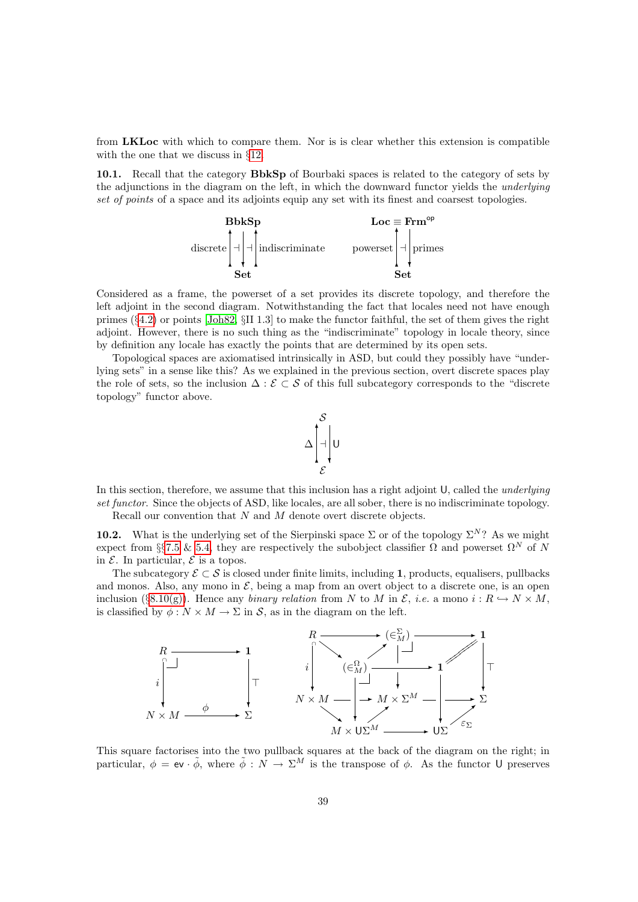from LKLoc with which to compare them. Nor is is clear whether this extension is compatible with the one that we discuss in §[12.](#page-45-0)

<span id="page-38-0"></span>10.1. Recall that the category BbkSp of Bourbaki spaces is related to the category of sets by the adjunctions in the diagram on the left, in which the downward functor yields the underlying set of points of a space and its adjoints equip any set with its finest and coarsest topologies.



Considered as a frame, the powerset of a set provides its discrete topology, and therefore the left adjoint in the second diagram. Notwithstanding the fact that locales need not have enough primes (§[4.2\)](#page-13-0) or points [\[Joh82,](#page-54-6) §II 1.3] to make the functor faithful, the set of them gives the right adjoint. However, there is no such thing as the "indiscriminate" topology in locale theory, since by definition any locale has exactly the points that are determined by its open sets.

Topological spaces are axiomatised intrinsically in ASD, but could they possibly have "underlying sets" in a sense like this? As we explained in the previous section, overt discrete spaces play the role of sets, so the inclusion  $\Delta : \mathcal{E} \subset \mathcal{S}$  of this full subcategory corresponds to the "discrete" topology" functor above.



In this section, therefore, we assume that this inclusion has a right adjoint U, called the *underlying* set functor. Since the objects of ASD, like locales, are all sober, there is no indiscriminate topology. Recall our convention that N and M denote overt discrete objects.

**10.2.** What is the underlying set of the Sierpinski space  $\Sigma$  or of the topology  $\Sigma^N$ ? As we might expect from §§[7.5](#page-25-1) & [5.4,](#page-16-1) they are respectively the subobject classifier  $\Omega$  and powerset  $\Omega^N$  of N in  $\mathcal E$ . In particular,  $\mathcal E$  is a topos.

The subcategory  $\mathcal{E} \subset \mathcal{S}$  is closed under finite limits, including 1, products, equalisers, pullbacks and monos. Also, any mono in  $\mathcal{E}$ , being a map from an overt object to a discrete one, is an open inclusion (§[8.10\(g\)\)](#page-31-0). Hence any binary relation from N to M in  $\mathcal{E}$ , i.e. a mono  $i: R \hookrightarrow N \times M$ , is classified by  $\phi: N \times M \to \Sigma$  in S, as in the diagram on the left.



This square factorises into the two pullback squares at the back of the diagram on the right; in particular,  $\phi = eV \cdot \tilde{\phi}$ , where  $\tilde{\phi} : N \to \Sigma^M$  is the transpose of  $\phi$ . As the functor U preserves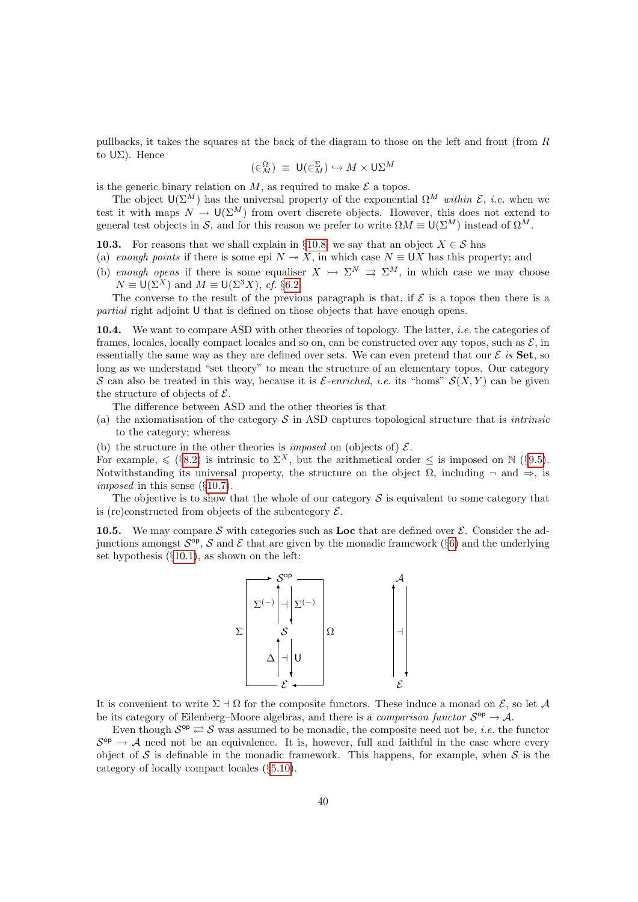pullbacks, it takes the squares at the back of the diagram to those on the left and front (from R to UΣ). Hence

$$
(\in_M^{\Omega}) \equiv \mathsf{U}(\in_M^{\Sigma}) \hookrightarrow M \times \mathsf{U}\Sigma^M
$$

is the generic binary relation on M, as required to make  $\mathcal E$  a topos.

The object  $\mathsf{U}(\Sigma^M)$  has the universal property of the exponential  $\Omega^M$  within  $\mathcal{E}$ , i.e. when we test it with maps  $N \to U(\Sigma^M)$  from overt discrete objects. However, this does not extend to general test objects in S, and for this reason we prefer to write  $\Omega M \equiv \mathsf{U}(\Sigma^M)$  instead of  $\Omega^M$ .

<span id="page-39-0"></span>10.3. For reasons that we shall explain in §[10.8,](#page-40-1) we say that an object  $X \in \mathcal{S}$  has

- (a) enough points if there is some epi  $N \to X$ , in which case  $N \equiv \bigcup X$  has this property; and
- (b) enough opens if there is some equaliser  $X \rightarrow \Sigma^N \Rightarrow \Sigma^M$ , in which case we may choose  $N \equiv U(\Sigma^X)$  and  $M \equiv U(\Sigma^3 X)$ , cf. §[6.2.](#page-20-2)

The converse to the result of the previous paragraph is that, if  $\mathcal E$  is a topos then there is a partial right adjoint U that is defined on those objects that have enough opens.

10.4. We want to compare ASD with other theories of topology. The latter, *i.e.* the categories of frames, locales, locally compact locales and so on, can be constructed over any topos, such as  $\mathcal{E}$ , in essentially the same way as they are defined over sets. We can even pretend that our  $\mathcal E$  is Set, so long as we understand "set theory" to mean the structure of an elementary topos. Our category S can also be treated in this way, because it is  $\mathcal{E}\text{-enriched, } i.e.$  its "homs"  $\mathcal{S}(X, Y)$  can be given the structure of objects of  $\mathcal{E}$ .

The difference between ASD and the other theories is that

- (a) the axiomatisation of the category  $S$  in ASD captures topological structure that is *intrinsic* to the category; whereas
- (b) the structure in the other theories is *imposed* on (objects of)  $\mathcal{E}$ .

For example,  $\leq$  (§[8.2\)](#page-27-0) is intrinsic to  $\Sigma^X$ , but the arithmetical order  $\leq$  is imposed on N (§[9.5\)](#page-34-0). Notwithstanding its universal property, the structure on the object  $\Omega$ , including  $\neg$  and  $\Rightarrow$ , is imposed in this sense (§[10.7\)](#page-40-2).

The objective is to show that the whole of our category  $\mathcal S$  is equivalent to some category that is (re)constructed from objects of the subcategory  $\mathcal{E}$ .

<span id="page-39-1"></span>10.5. We may compare S with categories such as Loc that are defined over  $\mathcal{E}$ . Consider the adjunctions amongst  $S^{op}$ , S and E that are given by the monadic framework (§[6\)](#page-19-0) and the underlying set hypothesis  $(\S10.1)$  $(\S10.1)$ , as shown on the left:



It is convenient to write  $\Sigma \doteq \Omega$  for the composite functors. These induce a monad on  $\mathcal{E}$ , so let A be its category of Eilenberg–Moore algebras, and there is a *comparison functor*  $S^{op} \to A$ .

Even though  $S^{\text{op}} \rightleftarrows S$  was assumed to be monadic, the composite need not be, *i.e.* the functor  $S^{\text{op}} \to A$  need not be an equivalence. It is, however, full and faithful in the case where every object of S is definable in the monadic framework. This happens, for example, when  $S$  is the category of locally compact locales (§[5.10\)](#page-18-0).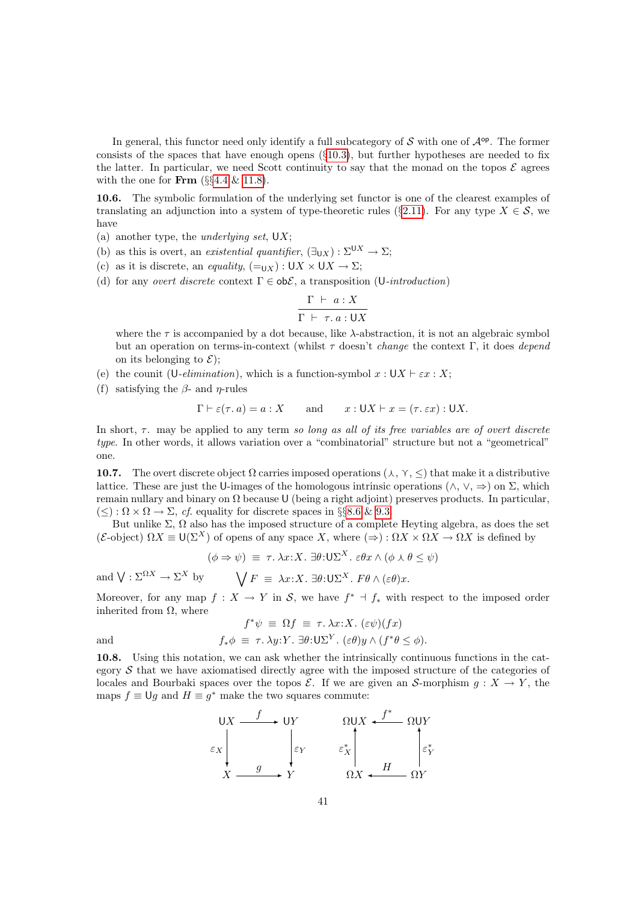In general, this functor need only identify a full subcategory of  $S$  with one of  $\mathcal{A}^{op}$ . The former consists of the spaces that have enough opens  $(\S10.3)$  $(\S10.3)$ , but further hypotheses are needed to fix the latter. In particular, we need Scott continuity to say that the monad on the topos  $\mathcal E$  agrees with the one for  $\textbf{Frm}$  (§§[4.4](#page-14-1) & [11.8\)](#page-43-2).

<span id="page-40-0"></span>10.6. The symbolic formulation of the underlying set functor is one of the clearest examples of translating an adjunction into a system of type-theoretic rules (§[2.11\)](#page-8-2). For any type  $X \in \mathcal{S}$ , we have

- (a) another type, the *underlying set*,  $UX$ ;
- (b) as this is overt, an existential quantifier,  $(\exists_{\mathbf{U}X}) : \Sigma^{\mathbf{U}X} \to \Sigma$ ;
- (c) as it is discrete, an equality,  $(=_{UX}) : UX \times UX \rightarrow \Sigma$ ;
- (d) for any *overt discrete* context  $\Gamma \in ob\mathcal{E}$ , a transposition (U-*introduction*)

$$
\frac{\Gamma \vdash a : X}{\Gamma \vdash \tau. a : \mathsf{U} X}
$$

where the  $\tau$  is accompanied by a dot because, like  $\lambda$ -abstraction, it is not an algebraic symbol but an operation on terms-in-context (whilst  $\tau$  doesn't *change* the context Γ, it does *depend* on its belonging to  $\mathcal{E}$ );

- (e) the counit (U-elimination), which is a function-symbol  $x : U X \vdash \varepsilon x : X;$
- (f) satisfying the  $\beta$  and  $\eta$ -rules

$$
\Gamma \vdash \varepsilon(\tau, a) = a : X
$$
 and  $x : \mathsf{U}X \vdash x = (\tau, \varepsilon x) : \mathsf{U}X$ .

In short,  $\tau$ , may be applied to any term so long as all of its free variables are of overt discrete type. In other words, it allows variation over a "combinatorial" structure but not a "geometrical" one.

<span id="page-40-2"></span>10.7. The overt discrete object  $\Omega$  carries imposed operations  $(\lambda, \gamma, \leq)$  that make it a distributive lattice. These are just the U-images of the homologous intrinsic operations  $(\wedge, \vee, \Rightarrow)$  on  $\Sigma$ , which remain nullary and binary on Ω because U (being a right adjoint) preserves products. In particular,  $(\leq): \Omega \times \Omega \to \Sigma$ , cf. equality for discrete spaces in §§[8.6](#page-29-0) & [9.3.](#page-33-0)

But unlike  $\Sigma$ ,  $\Omega$  also has the imposed structure of a complete Heyting algebra, as does the set (E-object)  $\Omega X \equiv U(\Sigma^X)$  of opens of any space X, where  $(\Rightarrow) : \Omega X \times \Omega X \to \Omega X$  is defined by

$$
(\phi \Rightarrow \psi) \equiv \tau. \lambda x: X. \exists \theta: \mathsf{U}\Sigma^{X}. \varepsilon \theta x \wedge (\phi \wedge \theta \leq \psi)
$$

and  $\bigvee : \Sigma^{\Omega X} \to \Sigma^X$  by  $\bigvee F \equiv \lambda x : X$ .  $\exists \theta : \bigcup \Sigma^X$ .  $F\theta \wedge (\varepsilon \theta)x$ .

Moreover, for any map  $f: X \to Y$  in S, we have  $f^* \dashv f_*$  with respect to the imposed order inherited from  $\Omega$ , where  $\frac{1}{2}$  =  $\frac{1}{2}$   $\frac{1}{2}$   $\frac{1}{2}$   $\frac{1}{2}$   $\frac{1}{2}$   $\frac{1}{2}$   $\frac{1}{2}$   $\frac{1}{2}$   $\frac{1}{2}$ 

$$
f^*\psi \equiv \Omega f \equiv \tau. \lambda x:X. \ (\varepsilon\psi)(fx)
$$
  
and  

$$
f_*\phi \equiv \tau. \lambda y:Y. \ \exists \theta: U\Sigma^Y. \ (\varepsilon\theta)y \wedge (f^*\theta \le \phi).
$$

<span id="page-40-1"></span>10.8. Using this notation, we can ask whether the intrinsically continuous functions in the category  $S$  that we have axiomatised directly agree with the imposed structure of the categories of locales and Bourbaki spaces over the topos  $\mathcal{E}$ . If we are given an S-morphism  $g: X \to Y$ , the maps  $f \equiv \bigcup g$  and  $H \equiv g^*$  make the two squares commute:

$$
\begin{array}{ccc}\n & \text{U}X & \xrightarrow{f} & \text{U}Y & \text{V} \\
\downarrow & & \downarrow & & \downarrow \\
 & & \downarrow & & \downarrow \\
 & & \downarrow & & \downarrow \\
 & & X & \xrightarrow{g} & Y & \text{V} \\
 & & & \text{V} & & \text{V} & & \text{V}\n\end{array}
$$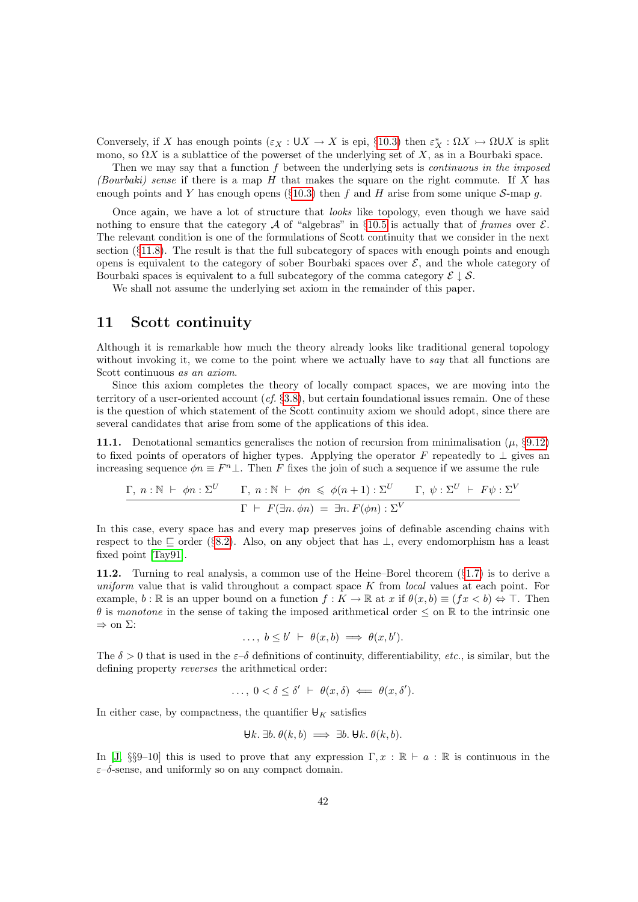Conversely, if X has enough points  $(\varepsilon_X : \mathsf{U} X \to X$  is epi, §[10.3\)](#page-39-0) then  $\varepsilon_X^* : \Omega X \to \Omega \mathsf{U} X$  is split mono, so  $\Omega X$  is a sublattice of the powerset of the underlying set of X, as in a Bourbaki space.

Then we may say that a function  $f$  between the underlying sets is *continuous in the imposed* (Bourbaki) sense if there is a map  $H$  that makes the square on the right commute. If X has enough points and Y has enough opens (§[10.3\)](#page-39-0) then f and H arise from some unique S-map g.

Once again, we have a lot of structure that looks like topology, even though we have said nothing to ensure that the category A of "algebras" in §[10.5](#page-39-1) is actually that of frames over  $\mathcal{E}$ . The relevant condition is one of the formulations of Scott continuity that we consider in the next section  $(\S11.8)$  $(\S11.8)$ . The result is that the full subcategory of spaces with enough points and enough opens is equivalent to the category of sober Bourbaki spaces over  $\mathcal{E}$ , and the whole category of Bourbaki spaces is equivalent to a full subcategory of the comma category  $\mathcal{E} \downarrow \mathcal{S}$ .

We shall not assume the underlying set axiom in the remainder of this paper.

## <span id="page-41-0"></span>11 Scott continuity

Although it is remarkable how much the theory already looks like traditional general topology without invoking it, we come to the point where we actually have to say that all functions are Scott continuous as an axiom.

Since this axiom completes the theory of locally compact spaces, we are moving into the territory of a user-oriented account  $(cf. §3.8)$  $(cf. §3.8)$ , but certain foundational issues remain. One of these is the question of which statement of the Scott continuity axiom we should adopt, since there are several candidates that arise from some of the applications of this idea.

<span id="page-41-1"></span>11.1. Denotational semantics generalises the notion of recursion from minimalisation ( $\mu$ , §[9.12\)](#page-37-1) to fixed points of operators of higher types. Applying the operator F repeatedly to  $\perp$  gives an increasing sequence  $\phi n \equiv F^n \perp$ . Then F fixes the join of such a sequence if we assume the rule

$$
\frac{\Gamma, n : \mathbb{N} \vdash \phi n : \Sigma^U \qquad \Gamma, n : \mathbb{N} \vdash \phi n \leq \phi(n+1) : \Sigma^U \qquad \Gamma, \psi : \Sigma^U \vdash F\psi : \Sigma^V}{\Gamma \vdash F(\exists n. \phi n) = \exists n. F(\phi n) : \Sigma^V}
$$

In this case, every space has and every map preserves joins of definable ascending chains with respect to the  $\subseteq$  order (§[8.2\)](#page-27-0). Also, on any object that has  $\perp$ , every endomorphism has a least fixed point [\[Tay91\]](#page-56-18).

<span id="page-41-2"></span>11.2. Turning to real analysis, a common use of the Heine–Borel theorem  $(\S1.7)$  $(\S1.7)$  is to derive a uniform value that is valid throughout a compact space  $K$  from local values at each point. For example, b : R is an upper bound on a function  $f: K \to \mathbb{R}$  at x if  $\theta(x, b) \equiv (fx < b) \Leftrightarrow \top$ . Then  $\theta$  is monotone in the sense of taking the imposed arithmetical order  $\leq$  on  $\mathbb R$  to the intrinsic one  $\Rightarrow$  on  $\Sigma$ :

$$
\ldots, b \le b' \vdash \theta(x, b) \implies \theta(x, b').
$$

The  $\delta > 0$  that is used in the  $\varepsilon-\delta$  definitions of continuity, differentiability, etc., is similar, but the defining property reverses the arithmetical order:

 $\ldots, 0 < \delta \leq \delta' + \theta(x, \delta) \iff \theta(x, \delta').$ 

In either case, by compactness, the quantifier  $\mathbf{\Theta}_K$  satisfies

$$
\forall k. \exists b. \theta(k, b) \implies \exists b. \forall k. \theta(k, b).
$$

In [\[J,](#page-57-1) §§9–10] this is used to prove that any expression  $\Gamma, x : \mathbb{R} \vdash a : \mathbb{R}$  is continuous in the  $\varepsilon$ –δ-sense, and uniformly so on any compact domain.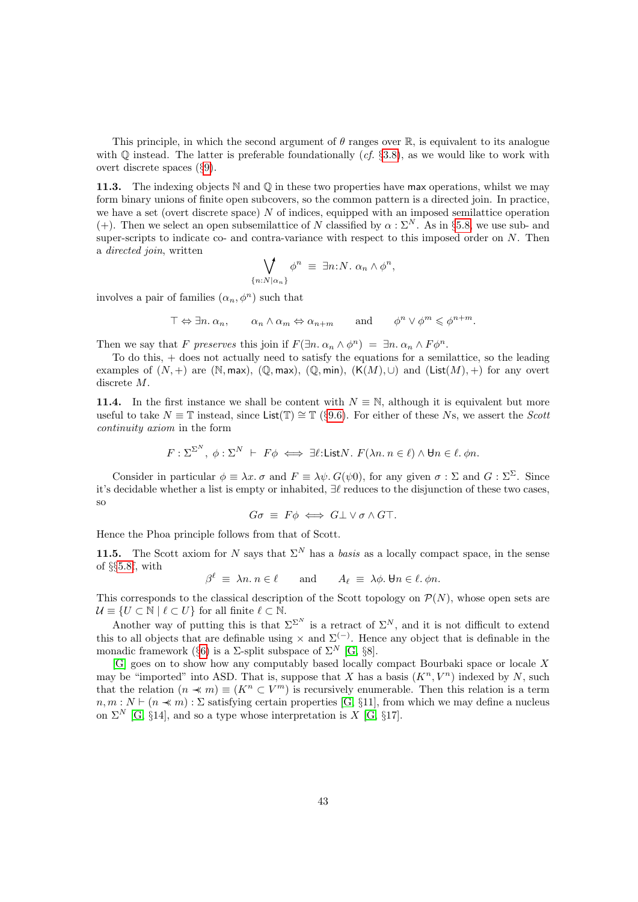This principle, in which the second argument of  $\theta$  ranges over  $\mathbb{R}$ , is equivalent to its analogue with  $\mathbb Q$  instead. The latter is preferable foundationally (cf. §[3.8\)](#page-12-1), as we would like to work with overt discrete spaces (§[9\)](#page-32-0).

11.3. The indexing objects  $\mathbb N$  and  $\mathbb Q$  in these two properties have max operations, whilst we may form binary unions of finite open subcovers, so the common pattern is a directed join. In practice, we have a set (overt discrete space) N of indices, equipped with an imposed semilattice operation (+). Then we select an open subsemilattice of N classified by  $\alpha : \Sigma^N$ . As in §[5.8,](#page-17-1) we use sub- and super-scripts to indicate co- and contra-variance with respect to this imposed order on  $N$ . Then a directed join, written

$$
\bigvee_{\{n:N|\alpha_n\}} \phi^n \equiv \exists n: N. \ \alpha_n \wedge \phi^n,
$$

involves a pair of families  $(\alpha_n, \phi^n)$  such that

$$
\top \Leftrightarrow \exists n \ldotp \alpha_n, \qquad \alpha_n \wedge \alpha_m \Leftrightarrow \alpha_{n+m} \qquad \text{and} \qquad \phi^n \vee \phi^m \leq \phi^{n+m}.
$$

Then we say that F preserves this join if  $F(\exists n \cdot \alpha_n \wedge \phi^n) = \exists n \cdot \alpha_n \wedge F\phi^n$ .

To do this, + does not actually need to satisfy the equations for a semilattice, so the leading examples of  $(N,+)$  are  $(\mathbb{N}, \text{max})$ ,  $(\mathbb{Q}, \text{max})$ ,  $(\mathbb{Q}, \text{min})$ ,  $(K(M), \cup)$  and  $(List(M), +)$  for any overt discrete M.

<span id="page-42-0"></span>11.4. In the first instance we shall be content with  $N \equiv N$ , although it is equivalent but more useful to take  $N \equiv \mathbb{T}$  instead, since List( $\mathbb{T}$ ) ≅  $\mathbb{T}$  (§[9.6\)](#page-34-1). For either of these Ns, we assert the *Scott* continuity axiom in the form

$$
F: \Sigma^{\Sigma^N}, \phi: \Sigma^N \vdash F\phi \iff \exists \ell: \text{List} N. \ F(\lambda n. \ n \in \ell) \land \forall n \in \ell. \ \phi n.
$$

Consider in particular  $\phi \equiv \lambda x$ .  $\sigma$  and  $F \equiv \lambda \psi$ .  $G(\psi 0)$ , for any given  $\sigma : \Sigma$  and  $G : \Sigma^{\Sigma}$ . Since it's decidable whether a list is empty or inhabited, ∃` reduces to the disjunction of these two cases, so

$$
G\sigma \equiv F\phi \iff G\bot \lor \sigma \land G\top.
$$

Hence the Phoa principle follows from that of Scott.

11.5. The Scott axiom for N says that  $\Sigma^N$  has a basis as a locally compact space, in the sense of §§[5.8f](#page-17-1), with

 $\beta^{\ell} \equiv \lambda n. n \in \ell \quad \text{and} \quad A_{\ell} \equiv \lambda \phi. \forall n \in \ell. \phi n.$ 

This corresponds to the classical description of the Scott topology on  $\mathcal{P}(N)$ , whose open sets are  $\mathcal{U} \equiv \{ U \subset \mathbb{N} \mid \ell \subset U \}$  for all finite  $\ell \subset \mathbb{N}$ .

Another way of putting this is that  $\Sigma^N$  is a retract of  $\Sigma^N$ , and it is not difficult to extend this to all objects that are definable using  $\times$  and  $\Sigma^{(-)}$ . Hence any object that is definable in the monadic framework (§[6\)](#page-19-0) is a  $\Sigma$ -split subspace of  $\Sigma^N$  [\[G,](#page-57-3) §8].

[\[G\]](#page-57-3) goes on to show how any computably based locally compact Bourbaki space or locale X may be "imported" into ASD. That is, suppose that X has a basis  $(K^n, V^n)$  indexed by N, such that the relation  $(n \prec m) \equiv (K^n \subset V^m)$  is recursively enumerable. Then this relation is a term  $n, m : N \vdash (n \ll m) : \Sigma$  satisfying certain properties [\[G,](#page-57-3) §11], from which we may define a nucleus on  $\Sigma^N$  [\[G,](#page-57-3) §14], and so a type whose interpretation is X [G, §17].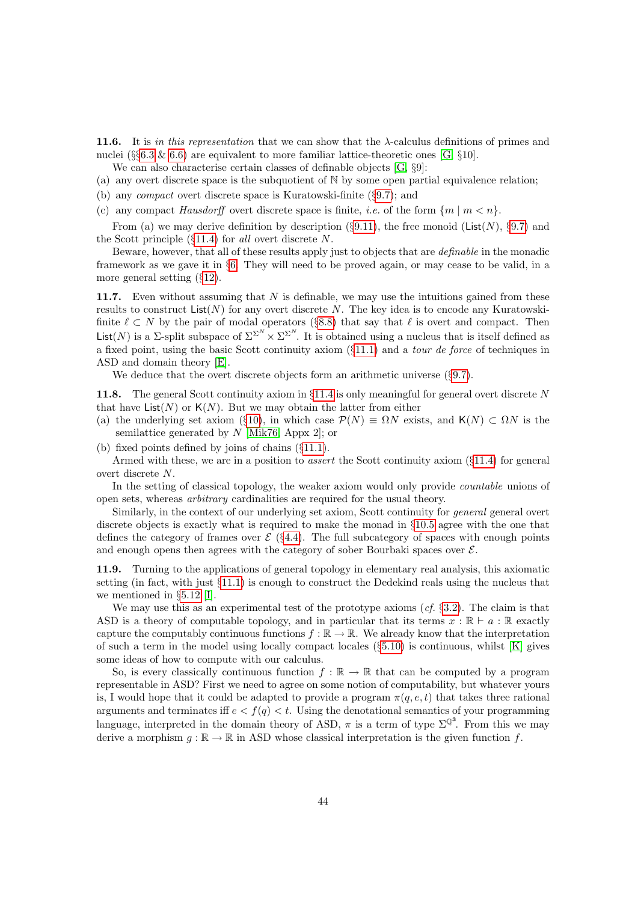<span id="page-43-0"></span>11.6. It is in this representation that we can show that the  $\lambda$ -calculus definitions of primes and nuclei (§§[6.3](#page-20-1) & [6.6\)](#page-21-0) are equivalent to more familiar lattice-theoretic ones [\[G,](#page-57-3) §10].

We can also characterise certain classes of definable objects [\[G,](#page-57-3) §9]:

- (a) any overt discrete space is the subquotient of  $\mathbb N$  by some open partial equivalence relation;
- (b) any compact overt discrete space is Kuratowski-finite (§[9.7\)](#page-35-0); and
- (c) any compact Hausdorff overt discrete space is finite, *i.e.* of the form  $\{m \mid m \lt n\}$ .

From (a) we may derive definition by description (§[9.11\)](#page-36-0), the free monoid (List(N), §[9.7\)](#page-35-0) and the Scott principle  $(\S11.4)$  $(\S11.4)$  for all overt discrete N.

Beware, however, that all of these results apply just to objects that are definable in the monadic framework as we gave it in §[6.](#page-19-0) They will need to be proved again, or may cease to be valid, in a more general setting (§[12\)](#page-45-0).

<span id="page-43-1"></span>11.7. Even without assuming that  $N$  is definable, we may use the intuitions gained from these results to construct  $List(N)$  for any overt discrete N. The key idea is to encode any Kuratowskifinite  $\ell \subset N$  by the pair of modal operators (§[8.8\)](#page-30-1) that say that  $\ell$  is overt and compact. Then List(N) is a  $\Sigma$ -split subspace of  $\Sigma^{\Sigma^N} \times \Sigma^{\Sigma^N}$ . It is obtained using a nucleus that is itself defined as a fixed point, using the basic Scott continuity axiom (§[11.1\)](#page-41-1) and a tour de force of techniques in ASD and domain theory [\[E\]](#page-56-17).

We deduce that the overt discrete objects form an arithmetic universe  $(\S 9.7)$  $(\S 9.7)$ .

<span id="page-43-2"></span>11.8. The general Scott continuity axiom in §[11.4](#page-42-0) is only meaningful for general overt discrete N that have  $List(N)$  or  $K(N)$ . But we may obtain the latter from either

(a) the underlying set axiom (§[10\)](#page-37-0), in which case  $\mathcal{P}(N) \equiv \Omega N$  exists, and  $\mathsf{K}(N) \subset \Omega N$  is the semilattice generated by  $N$  [\[Mik76,](#page-55-13) Appx 2]; or

(b) fixed points defined by joins of chains (§[11.1\)](#page-41-1).

Armed with these, we are in a position to assert the Scott continuity axiom (§[11.4\)](#page-42-0) for general overt discrete N.

In the setting of classical topology, the weaker axiom would only provide *countable* unions of open sets, whereas arbitrary cardinalities are required for the usual theory.

Similarly, in the context of our underlying set axiom, Scott continuity for general general overt discrete objects is exactly what is required to make the monad in §[10.5](#page-39-1) agree with the one that defines the category of frames over  $\mathcal{E}$  (§[4.4\)](#page-14-1). The full subcategory of spaces with enough points and enough opens then agrees with the category of sober Bourbaki spaces over  $\mathcal{E}$ .

11.9. Turning to the applications of general topology in elementary real analysis, this axiomatic setting (in fact, with just §[11.1\)](#page-41-1) is enough to construct the Dedekind reals using the nucleus that we mentioned in §[5.12](#page-19-2) [\[I\]](#page-57-0).

We may use this as an experimental test of the prototype axioms  $(cf. §3.2)$  $(cf. §3.2)$ . The claim is that ASD is a theory of computable topology, and in particular that its terms  $x : \mathbb{R} \vdash a : \mathbb{R}$  exactly capture the computably continuous functions  $f : \mathbb{R} \to \mathbb{R}$ . We already know that the interpretation of such a term in the model using locally compact locales  $(\S 5.10)$  $(\S 5.10)$  is continuous, whilst [\[K\]](#page-57-2) gives some ideas of how to compute with our calculus.

So, is every classically continuous function  $f : \mathbb{R} \to \mathbb{R}$  that can be computed by a program representable in ASD? First we need to agree on some notion of computability, but whatever yours is, I would hope that it could be adapted to provide a program  $\pi(q, e, t)$  that takes three rational arguments and terminates iff  $e < f(q) < t$ . Using the denotational semantics of your programming language, interpreted in the domain theory of ASD,  $\pi$  is a term of type  $\Sigma^{\mathbb{Q}^3}$ . From this we may derive a morphism  $g : \mathbb{R} \to \mathbb{R}$  in ASD whose classical interpretation is the given function f.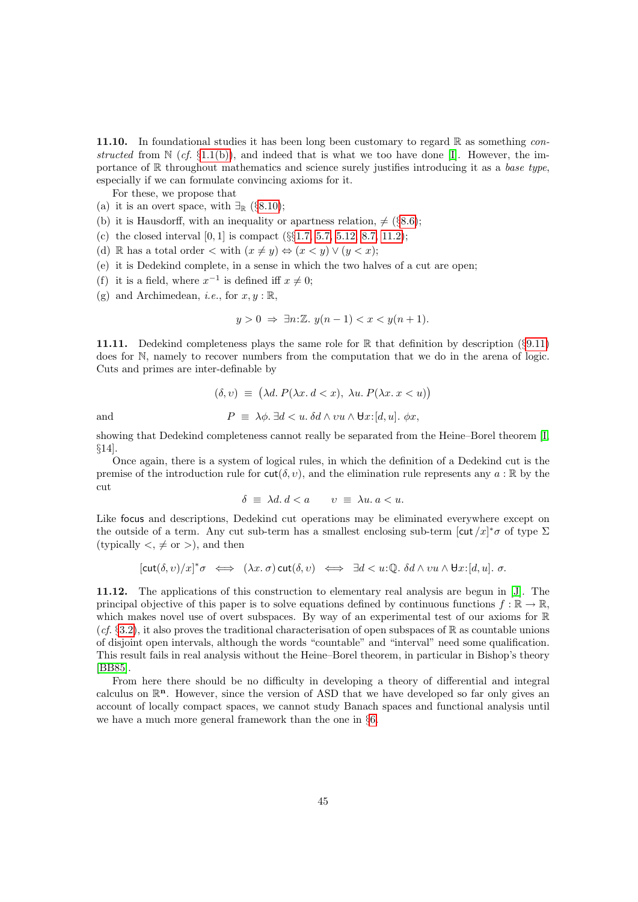<span id="page-44-1"></span>11.10. In foundational studies it has been long been customary to regard  $\mathbb R$  as something constructed from  $\mathbb{N}$  (cf. §[1.1\(b\)\)](#page-1-3), and indeed that is what we too have done [\[I\]](#page-57-0). However, the importance of  $\mathbb R$  throughout mathematics and science surely justifies introducing it as a base type, especially if we can formulate convincing axioms for it.

For these, we propose that

- (a) it is an overt space, with  $\exists_{\mathbb{R}}$  (§[8.10\)](#page-31-1);
- (b) it is Hausdorff, with an inequality or apartness relation,  $\neq$  (§[8.6\)](#page-29-0);
- (c) the closed interval  $[0, 1]$  is compact  $(\S_{\S}1.7, 5.7, 5.12, 8.7, 11.2);$  $(\S_{\S}1.7, 5.7, 5.12, 8.7, 11.2);$  $(\S_{\S}1.7, 5.7, 5.12, 8.7, 11.2);$  $(\S_{\S}1.7, 5.7, 5.12, 8.7, 11.2);$  $(\S_{\S}1.7, 5.7, 5.12, 8.7, 11.2);$  $(\S_{\S}1.7, 5.7, 5.12, 8.7, 11.2);$  $(\S_{\S}1.7, 5.7, 5.12, 8.7, 11.2);$
- (d) R has a total order  $\lt$  with  $(x \neq y) \Leftrightarrow (x \lt y) \vee (y \lt x);$
- (e) it is Dedekind complete, in a sense in which the two halves of a cut are open;
- (f) it is a field, where  $x^{-1}$  is defined iff  $x \neq 0$ ;
- (g) and Archimedean, *i.e.*, for  $x, y : \mathbb{R}$ ,

$$
y > 0 \implies \exists n: \mathbb{Z}. \ y(n-1) < x < y(n+1).
$$

<span id="page-44-0"></span>**11.11.** Dedekind completeness plays the same role for  $\mathbb R$  that definition by description (§[9.11\)](#page-36-0) does for N, namely to recover numbers from the computation that we do in the arena of logic. Cuts and primes are inter-definable by

$$
(\delta, v) \equiv (\lambda d. P(\lambda x. d < x), \lambda u. P(\lambda x. x < u))
$$
  
and  

$$
P \equiv \lambda \phi. \exists d < u. \delta d \land vu \land \forall x : [d, u]. \phi x,
$$

showing that Dedekind completeness cannot really be separated from the Heine–Borel theorem [\[I,](#page-57-0) §14].

Once again, there is a system of logical rules, in which the definition of a Dedekind cut is the premise of the introduction rule for  $\text{cut}(\delta, v)$ , and the elimination rule represents any  $a : \mathbb{R}$  by the cut

$$
\delta \equiv \lambda d. d < a \qquad v \equiv \lambda u. a < u.
$$

Like focus and descriptions, Dedekind cut operations may be eliminated everywhere except on the outside of a term. Any cut sub-term has a smallest enclosing sub-term  $[\text{cut}/x]^* \sigma$  of type  $\Sigma$ (typically  $\lt, \neq$  or  $\gt$ ), and then

$$
[\text{cut}(\delta, v)/x]^* \sigma \iff (\lambda x. \sigma) \text{cut}(\delta, v) \iff \exists d < u : \mathbb{Q}. \ \delta d \land vu \land \forall x : [d, u]. \ \sigma.
$$

11.12. The applications of this construction to elementary real analysis are begun in [\[J\]](#page-57-1). The principal objective of this paper is to solve equations defined by continuous functions  $f : \mathbb{R} \to \mathbb{R}$ , which makes novel use of overt subspaces. By way of an experimental test of our axioms for R  $(cf. \S3.2)$  $(cf. \S3.2)$ , it also proves the traditional characterisation of open subspaces of R as countable unions of disjoint open intervals, although the words "countable" and "interval" need some qualification. This result fails in real analysis without the Heine–Borel theorem, in particular in Bishop's theory [\[BB85\]](#page-53-7).

From here there should be no difficulty in developing a theory of differential and integral calculus on  $\mathbb{R}^n$ . However, since the version of ASD that we have developed so far only gives an account of locally compact spaces, we cannot study Banach spaces and functional analysis until we have a much more general framework than the one in §[6.](#page-19-0)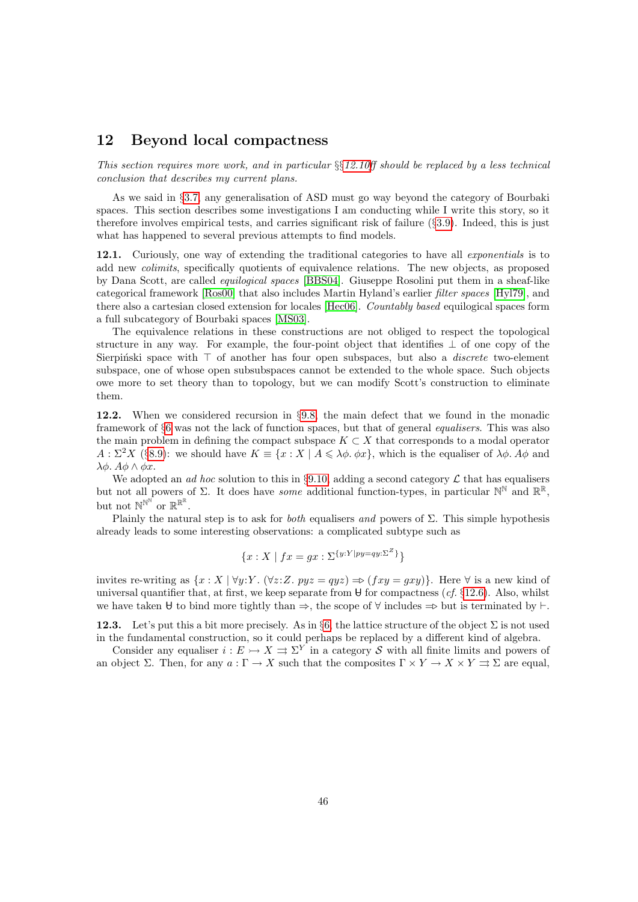#### <span id="page-45-0"></span>12 Beyond local compactness

This section requires more work, and in particular  $\S 12.10$ ff should be replaced by a less technical conclusion that describes my current plans.

As we said in §[3.7,](#page-11-1) any generalisation of ASD must go way beyond the category of Bourbaki spaces. This section describes some investigations I am conducting while I write this story, so it therefore involves empirical tests, and carries significant risk of failure (§[3.9\)](#page-12-2). Indeed, this is just what has happened to several previous attempts to find models.

12.1. Curiously, one way of extending the traditional categories to have all *exponentials* is to add new colimits, specifically quotients of equivalence relations. The new objects, as proposed by Dana Scott, are called equilogical spaces [\[BBS04\]](#page-53-19). Giuseppe Rosolini put them in a sheaf-like categorical framework [\[Ros00\]](#page-55-18) that also includes Martin Hyland's earlier filter spaces [\[Hyl79\]](#page-54-16), and there also a cartesian closed extension for locales [\[Hec06\]](#page-54-17). Countably based equilogical spaces form a full subcategory of Bourbaki spaces [\[MS03\]](#page-55-19).

The equivalence relations in these constructions are not obliged to respect the topological structure in any way. For example, the four-point object that identifies  $\perp$  of one copy of the Sierpinski space with  $\top$  of another has four open subspaces, but also a *discrete* two-element subspace, one of whose open subsubspaces cannot be extended to the whole space. Such objects owe more to set theory than to topology, but we can modify Scott's construction to eliminate them.

12.2. When we considered recursion in §[9.8,](#page-35-1) the main defect that we found in the monadic framework of §[6](#page-19-0) was not the lack of function spaces, but that of general equalisers. This was also the main problem in defining the compact subspace  $K \subset X$  that corresponds to a modal operator  $A: \Sigma^2 X$  (§[8.9\)](#page-31-3): we should have  $K = \{x: X \mid A \leq \lambda \phi, \phi x\}$ , which is the equaliser of  $\lambda \phi$ . A $\phi$  and λ $\phi$ . Α $\phi \wedge \phi x$ .

We adopted an *ad hoc* solution to this in §[9.10,](#page-36-1) adding a second category  $\mathcal L$  that has equalisers but not all powers of  $\Sigma$ . It does have *some* additional function-types, in particular  $\mathbb{N}^{\mathbb{N}}$  and  $\mathbb{R}^{\mathbb{R}}$ , but not  $\mathbb{N}^{\mathbb{N}^{\widetilde{N}}}$  or  $\mathbb{R}^{\mathbb{R}^{\mathbb{R}}}.$ 

Plainly the natural step is to ask for *both* equalisers and powers of  $\Sigma$ . This simple hypothesis already leads to some interesting observations: a complicated subtype such as

$$
\{x : X \mid fx = gx : \Sigma^{\{y:Y\mid py=qy:\Sigma^Z\}}\}
$$

invites re-writing as  $\{x : X \mid \forall y: Y \in (\forall z: Z. pyz = qyz) \Rightarrow (fxy = gxy)\}\.$  Here  $\forall$  is a new kind of universal quantifier that, at first, we keep separate from  $\theta$  for compactness (*cf.* §[12.6\)](#page-48-0). Also, whilst we have taken U to bind more tightly than  $\Rightarrow$ , the scope of  $\forall$  includes  $\Rightarrow$  but is terminated by  $\vdash$ .

<span id="page-45-1"></span>12.3. Let's put this a bit more precisely. As in §[6,](#page-19-0) the lattice structure of the object  $\Sigma$  is not used in the fundamental construction, so it could perhaps be replaced by a different kind of algebra.

Consider any equaliser  $i : E \rightarrow X \rightrightarrows \Sigma^Y$  in a category S with all finite limits and powers of an object Σ. Then, for any  $a: \Gamma \to X$  such that the composites  $\Gamma \times Y \to X \times Y \rightrightarrows \Sigma$  are equal,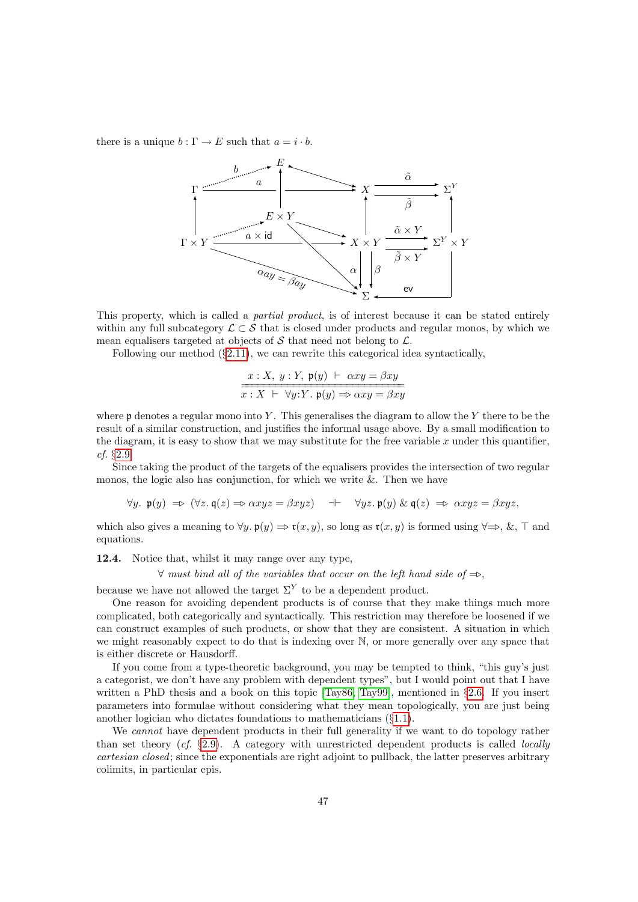there is a unique  $b : \Gamma \to E$  such that  $a = i \cdot b$ .



This property, which is called a *partial product*, is of interest because it can be stated entirely within any full subcategory  $\mathcal{L} \subset \mathcal{S}$  that is closed under products and regular monos, by which we mean equalisers targeted at objects of  $S$  that need not belong to  $\mathcal{L}$ .

Following our method (§[2.11\)](#page-8-2), we can rewrite this categorical idea syntactically,

$$
\frac{x:X, y:Y, \mathfrak{p}(y) \vdash \alpha xy = \beta xy}{x:X \vdash \forall y:Y. \mathfrak{p}(y) \Rightarrow \alpha xy = \beta xy}
$$

where  $\mathfrak p$  denotes a regular mono into Y. This generalises the diagram to allow the Y there to be the result of a similar construction, and justifies the informal usage above. By a small modification to the diagram, it is easy to show that we may substitute for the free variable  $x$  under this quantifier, cf. §[2.9.](#page-7-0)

Since taking the product of the targets of the equalisers provides the intersection of two regular monos, the logic also has conjunction, for which we write  $\&$ . Then we have

$$
\forall y. \ \mathfrak{p}(y) \ \Rightarrow \ (\forall z. \ \mathfrak{q}(z) \Rightarrow \alpha xyz = \beta xyz) \quad \dashv \quad \forall yz. \ \mathfrak{p}(y) \ \& \ \mathfrak{q}(z) \ \Rightarrow \ \alpha xyz = \beta xyz,
$$

which also gives a meaning to  $\forall y$ .  $\mathfrak{p}(y) \Rightarrow \mathfrak{r}(x, y)$ , so long as  $\mathfrak{r}(x, y)$  is formed using  $\forall \Rightarrow$ , &,  $\top$  and equations.

<span id="page-46-0"></span>12.4. Notice that, whilst it may range over any type,

 $\forall$  must bind all of the variables that occur on the left hand side of  $\Rightarrow$ .

because we have not allowed the target  $\Sigma^{Y}$  to be a dependent product.

One reason for avoiding dependent products is of course that they make things much more complicated, both categorically and syntactically. This restriction may therefore be loosened if we can construct examples of such products, or show that they are consistent. A situation in which we might reasonably expect to do that is indexing over N, or more generally over any space that is either discrete or Hausdorff.

If you come from a type-theoretic background, you may be tempted to think, "this guy's just a categorist, we don't have any problem with dependent types", but I would point out that I have written a PhD thesis and a book on this topic [\[Tay86,](#page-56-19) [Tay99\]](#page-56-1), mentioned in §[2.6.](#page-6-1) If you insert parameters into formulae without considering what they mean topologically, you are just being another logician who dictates foundations to mathematicians (§[1.1\)](#page-1-4).

We *cannot* have dependent products in their full generality if we want to do topology rather than set theory  $(cf. \S 2.9)$  $(cf. \S 2.9)$ . A category with unrestricted dependent products is called *locally* cartesian closed; since the exponentials are right adjoint to pullback, the latter preserves arbitrary colimits, in particular epis.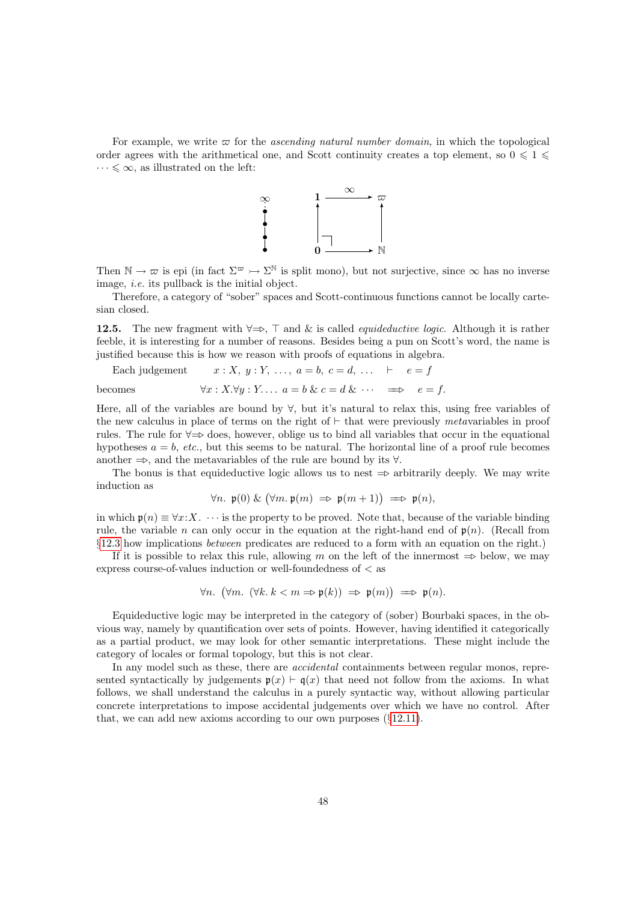For example, we write  $\varpi$  for the *ascending natural number domain*, in which the topological order agrees with the arithmetical one, and Scott continuity creates a top element, so  $0 \leq 1 \leq$  $\cdots \leqslant \infty$ , as illustrated on the left:



Then  $\mathbb{N} \to \varpi$  is epi (in fact  $\Sigma^{\varpi} \to \Sigma^{\mathbb{N}}$  is split mono), but not surjective, since  $\infty$  has no inverse image, i.e. its pullback is the initial object.

Therefore, a category of "sober" spaces and Scott-continuous functions cannot be locally cartesian closed.

<span id="page-47-0"></span>12.5. The new fragment with  $\forall \Rightarrow$ ,  $\top$  and & is called *equideductive logic*. Although it is rather feeble, it is interesting for a number of reasons. Besides being a pun on Scott's word, the name is justified because this is how we reason with proofs of equations in algebra.

Each judgement  $x : X, y : Y, \ldots, a = b, c = d, \ldots \vdash e = f$ becomes  $\forall x : X \forall y : Y \dots a = b \& c = d \& \dots \implies e = f.$ 

Here, all of the variables are bound by ∀, but it's natural to relax this, using free variables of the new calculus in place of terms on the right of  $\vdash$  that were previously metavariables in proof rules. The rule for  $\forall \Rightarrow$  does, however, oblige us to bind all variables that occur in the equational hypotheses  $a = b$ , etc., but this seems to be natural. The horizontal line of a proof rule becomes another  $\Rightarrow$ , and the metavariables of the rule are bound by its  $\forall$ .

The bonus is that equideductive logic allows us to nest  $\Rightarrow$  arbitrarily deeply. We may write induction as

$$
\forall n. \ \mathfrak{p}(0) \ \& \ \big(\forall m. \ \mathfrak{p}(m) \ \Rightarrow \ \mathfrak{p}(m+1)\big) \ \Longrightarrow \ \mathfrak{p}(n),
$$

in which  $p(n) \equiv \forall x: X$ .  $\cdots$  is the property to be proved. Note that, because of the variable binding rule, the variable n can only occur in the equation at the right-hand end of  $\mathfrak{p}(n)$ . (Recall from §[12.3](#page-45-1) how implications between predicates are reduced to a form with an equation on the right.)

If it is possible to relax this rule, allowing m on the left of the innermost  $\Rightarrow$  below, we may express course-of-values induction or well-foundedness of < as

$$
\forall n. \ (\forall m. \ (\forall k. \ k < m \Rightarrow \mathfrak{p}(k)) \ \Rightarrow \ \mathfrak{p}(m)) \ \Longrightarrow \ \mathfrak{p}(n).
$$

Equideductive logic may be interpreted in the category of (sober) Bourbaki spaces, in the obvious way, namely by quantification over sets of points. However, having identified it categorically as a partial product, we may look for other semantic interpretations. These might include the category of locales or formal topology, but this is not clear.

In any model such as these, there are *accidental* containments between regular monos, represented syntactically by judgements  $p(x) \vdash q(x)$  that need not follow from the axioms. In what follows, we shall understand the calculus in a purely syntactic way, without allowing particular concrete interpretations to impose accidental judgements over which we have no control. After that, we can add new axioms according to our own purposes (§[12.11\)](#page-51-0).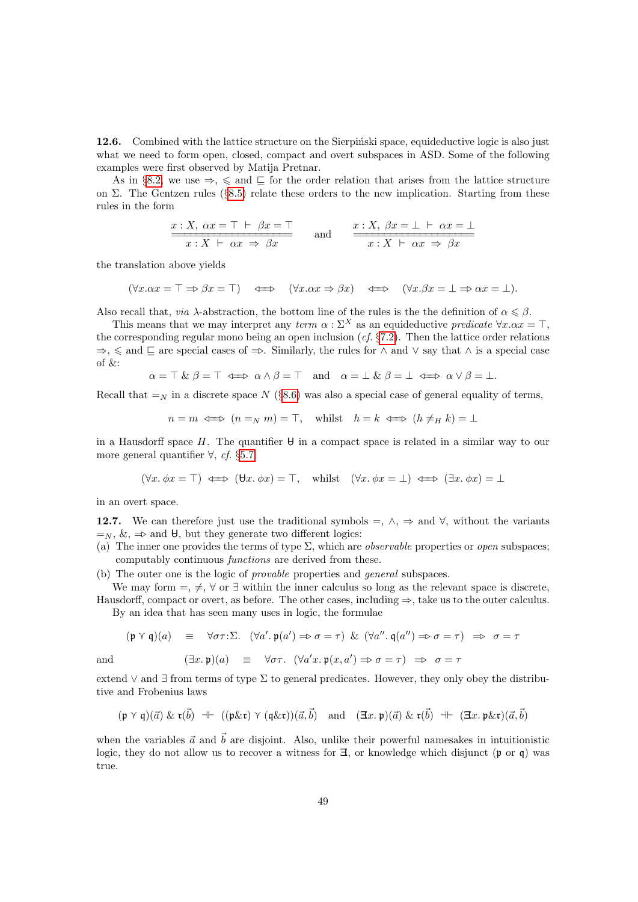<span id="page-48-0"></span>12.6. Combined with the lattice structure on the Sierpinski space, equideductive logic is also just what we need to form open, closed, compact and overt subspaces in ASD. Some of the following examples were first observed by Matija Pretnar.

As in §[8.2,](#page-27-0) we use  $\Rightarrow$ ,  $\leq$  and  $\subseteq$  for the order relation that arises from the lattice structure on Σ. The Gentzen rules (§[8.5\)](#page-28-0) relate these orders to the new implication. Starting from these rules in the form

$$
x: X, \ \alpha x = \top \vdash \beta x = \top
$$
\n
$$
x: X \vdash \alpha x \Rightarrow \beta x
$$
\nand\n
$$
x: X \vdash \alpha x \Rightarrow \beta x
$$
\nand\n
$$
x: X \vdash \alpha x \Rightarrow \beta x
$$

the translation above yields

 $(\forall x.\alpha x = \top \Rightarrow \beta x = \top)$   $\iff$   $(\forall x.\alpha x \Rightarrow \beta x)$   $\iff$   $(\forall x.\beta x = \bot \Rightarrow \alpha x = \bot).$ 

Also recall that, *via*  $\lambda$ -abstraction, the bottom line of the rules is the the definition of  $\alpha \leq \beta$ .

This means that we may interpret any term  $\alpha : \Sigma^X$  as an equideductive predicate  $\forall x . \alpha x = \top$ . the corresponding regular mono being an open inclusion  $(cf. §7.2)$  $(cf. §7.2)$ . Then the lattice order relations  $\Rightarrow$ ,  $\le$  and  $\subseteq$  are special cases of  $\Rightarrow$ . Similarly, the rules for  $\land$  and  $\lor$  say that  $\land$  is a special case of  $&$ :

$$
\alpha = \top \& \beta = \top \iff \alpha \wedge \beta = \top \quad \text{and} \quad \alpha = \bot \& \beta = \bot \iff \alpha \vee \beta = \bot.
$$

Recall that  $=y$  in a discrete space N (§[8.6\)](#page-29-0) was also a special case of general equality of terms,

$$
n = m \iff (n =_N m) = \top
$$
, whilst  $h = k \iff (h \neq_H k) = \bot$ 

in a Hausdorff space H. The quantifier  $\theta$  in a compact space is related in a similar way to our more general quantifier  $\forall$ , cf. §[5.7:](#page-17-0)

$$
(\forall x. \phi x = \top) \iff (\forall x. \phi x) = \top
$$
, whilst  $(\forall x. \phi x = \bot) \iff (\exists x. \phi x) = \bot$ 

in an overt space.

12.7. We can therefore just use the traditional symbols =,  $\land$ ,  $\Rightarrow$  and  $\forall$ , without the variants  $=_{N}$ ,  $\&$ ,  $\Rightarrow$  and  $\forall$ , but they generate two different logics:

- (a) The inner one provides the terms of type  $\Sigma$ , which are *observable* properties or *open* subspaces; computably continuous functions are derived from these.
- (b) The outer one is the logic of provable properties and general subspaces.

We may form  $=$ ,  $\neq$ ,  $\forall$  or  $\exists$  within the inner calculus so long as the relevant space is discrete, Hausdorff, compact or overt, as before. The other cases, including ⇒, take us to the outer calculus.

By an idea that has seen many uses in logic, the formulae

$$
(\mathfrak{p} \curlyvee \mathfrak{q})(a) \equiv \forall \sigma \tau : \Sigma. \quad (\forall a'. \; \mathfrak{p}(a') \Rightarrow \sigma = \tau) \; \& \; (\forall a''. \; \mathfrak{q}(a'') \Rightarrow \sigma = \tau) \;\; \Rightarrow \;\; \sigma = \tau
$$

and 
$$
(\exists x.\mathfrak{p})(a) \equiv \forall \sigma \tau. \ (\forall a'x.\mathfrak{p}(x,a') \Rightarrow \sigma = \tau) \Rightarrow \sigma = \tau
$$

extend  $\vee$  and  $\exists$  from terms of type  $\Sigma$  to general predicates. However, they only obey the distributive and Frobenius laws

$$
(\mathfrak{p} \curlyvee \mathfrak{q})(\vec{a}) \& \mathfrak{r}(\vec{b}) \dashv \vdash ((\mathfrak{p}\&\mathfrak{r}) \curlyvee (\mathfrak{q}\&\mathfrak{r}))(\vec{a},\vec{b}) \quad \text{and} \quad (\exists x.\ \mathfrak{p})(\vec{a}) \& \mathfrak{r}(\vec{b}) \dashv \vdash (\exists x.\ \mathfrak{p}\&\mathfrak{r})(\vec{a},\vec{b})
$$

when the variables  $\vec{a}$  and  $\vec{b}$  are disjoint. Also, unlike their powerful namesakes in intuitionistic logic, they do not allow us to recover a witness for  $\Xi$ , or knowledge which disjunct (p or q) was true.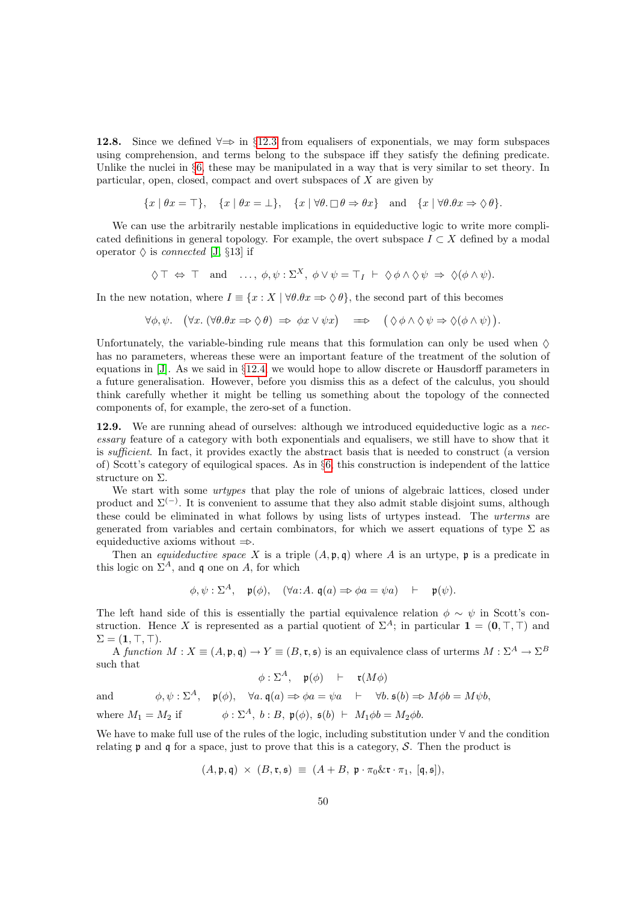<span id="page-49-1"></span>12.8. Since we defined  $\forall \Rightarrow$  in §[12.3](#page-45-1) from equalisers of exponentials, we may form subspaces using comprehension, and terms belong to the subspace iff they satisfy the defining predicate. Unlike the nuclei in §[6,](#page-19-0) these may be manipulated in a way that is very similar to set theory. In particular, open, closed, compact and overt subspaces of  $X$  are given by

$$
\{x \mid \theta x = \top\}, \quad \{x \mid \theta x = \bot\}, \quad \{x \mid \forall \theta \in \Box \theta \Rightarrow \theta x\} \quad \text{and} \quad \{x \mid \forall \theta \in \theta x \Rightarrow \Diamond \theta\}.
$$

We can use the arbitrarily nestable implications in equideductive logic to write more complicated definitions in general topology. For example, the overt subspace  $I \subset X$  defined by a modal operator  $\Diamond$  is *connected* [\[J,](#page-57-1) §13] if

 $\Diamond \top \Leftrightarrow \top \text{ and } \dots, \phi, \psi : \Sigma^X, \ \phi \vee \psi = \top_I \vdash \Diamond \phi \wedge \Diamond \psi \Rightarrow \Diamond(\phi \wedge \psi).$ 

In the new notation, where  $I \equiv \{x : X \mid \forall \theta . \theta x \Rightarrow \Diamond \theta\}$ , the second part of this becomes

$$
\forall \phi, \psi. \quad (\forall x. (\forall \theta. \theta x \Rightarrow \Diamond \theta) \Rightarrow \phi x \lor \psi x) \implies (\Diamond \phi \land \Diamond \psi \Rightarrow \Diamond (\phi \land \psi))
$$

.

Unfortunately, the variable-binding rule means that this formulation can only be used when  $\Diamond$ has no parameters, whereas these were an important feature of the treatment of the solution of equations in [\[J\]](#page-57-1). As we said in §[12.4,](#page-46-0) we would hope to allow discrete or Hausdorff parameters in a future generalisation. However, before you dismiss this as a defect of the calculus, you should think carefully whether it might be telling us something about the topology of the connected components of, for example, the zero-set of a function.

<span id="page-49-0"></span>12.9. We are running ahead of ourselves: although we introduced equideductive logic as a necessary feature of a category with both exponentials and equalisers, we still have to show that it is sufficient. In fact, it provides exactly the abstract basis that is needed to construct (a version of) Scott's category of equilogical spaces. As in §[6,](#page-19-0) this construction is independent of the lattice structure on Σ.

We start with some *urtypes* that play the role of unions of algebraic lattices, closed under product and  $\Sigma^{(-)}$ . It is convenient to assume that they also admit stable disjoint sums, although these could be eliminated in what follows by using lists of urtypes instead. The urterms are generated from variables and certain combinators, for which we assert equations of type  $\Sigma$  as equideductive axioms without  $\Rightarrow$ .

Then an *equideductive space* X is a triple  $(A, \mathfrak{p}, \mathfrak{q})$  where A is an urtype,  $\mathfrak{p}$  is a predicate in this logic on  $\Sigma^A$ , and q one on A, for which

$$
\phi, \psi : \Sigma^A
$$
,  $\mathfrak{p}(\phi)$ ,  $(\forall a:A. \mathfrak{q}(a) \Rightarrow \phi a = \psi a)$   $\vdash$   $\mathfrak{p}(\psi)$ .

The left hand side of this is essentially the partial equivalence relation  $\phi \sim \psi$  in Scott's construction. Hence X is represented as a partial quotient of  $\Sigma^A$ ; in particular  $\mathbf{1} = (\mathbf{0}, \top, \top)$  and  $\Sigma = (1, \top, \top).$ 

A function  $M: X \equiv (A, \mathfrak{p}, \mathfrak{q}) \rightarrow Y \equiv (B, \mathfrak{r}, \mathfrak{s})$  is an equivalence class of urterms  $M: \Sigma^A \rightarrow \Sigma^B$ such that

$$
\phi : \Sigma^A, \quad \mathfrak{p}(\phi) \quad \vdash \quad \mathfrak{r}(M\phi)
$$

and  $\phi, \psi : \Sigma^A$ ,  $\mathfrak{p}(\phi)$ ,  $\forall a \cdot \mathfrak{q}(a) \Rightarrow \phi a = \psi a + \forall b \cdot \mathfrak{s}(b) \Rightarrow M \phi b = M \psi b$ .

where  $M_1 = M_2$  if  $\phi : \Sigma^A$ ,  $b : B$ ,  $\mathfrak{p}(\phi)$ ,  $\mathfrak{s}(b) \vdash M_1 \phi b = M_2 \phi b$ .

We have to make full use of the rules of the logic, including substitution under ∀ and the condition relating  $\mathfrak p$  and  $\mathfrak q$  for a space, just to prove that this is a category, S. Then the product is

$$
(A, \mathfrak{p}, \mathfrak{q}) \times (B, \mathfrak{r}, \mathfrak{s}) \equiv (A + B, \mathfrak{p} \cdot \pi_0 \& \mathfrak{r} \cdot \pi_1, \, [\mathfrak{q}, \mathfrak{s}]),
$$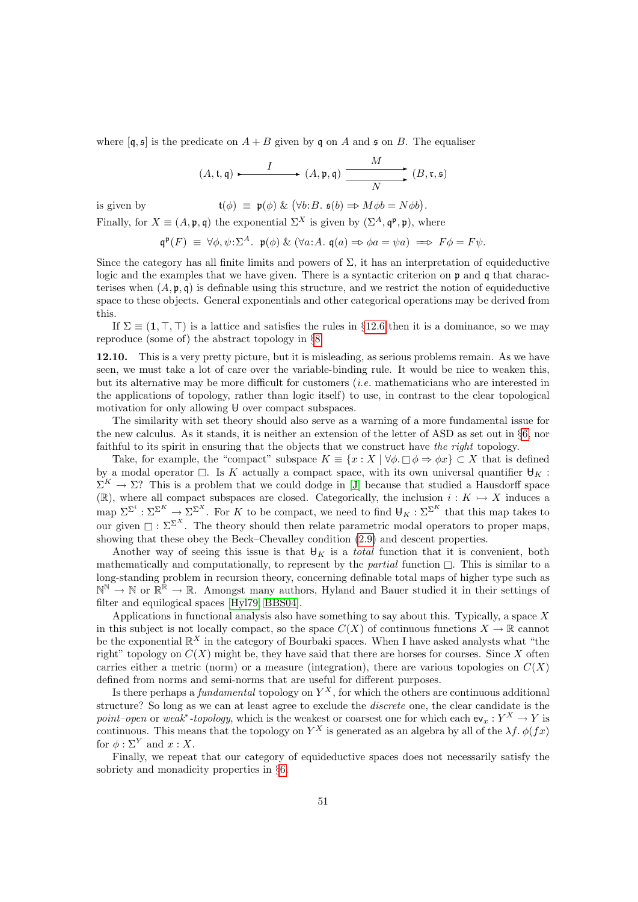where  $[q, \xi]$  is the predicate on  $A + B$  given by q on A and  $\xi$  on B. The equaliser

$$
(A, \mathfrak{t}, \mathfrak{q}) \xrightarrow{\qquad I} \qquad (A, \mathfrak{p}, \mathfrak{q}) \xrightarrow{\qquad \qquad M} \qquad (B, \mathfrak{r}, \mathfrak{s})
$$

is given by  $\mathfrak{t}(\phi) \equiv \mathfrak{p}(\phi) \& (\forall b:B. \mathfrak{s}(b) \Rightarrow M\phi b = N\phi b).$ Finally, for  $X \equiv (A, \mathfrak{p}, \mathfrak{q})$  the exponential  $\Sigma^X$  is given by  $(\Sigma^A, \mathfrak{q}^{\mathfrak{p}}, \mathfrak{p})$ , where

$$
\mathfrak{q}^{\mathfrak{p}}(F) \equiv \forall \phi, \psi: \Sigma^{A}. \; \mathfrak{p}(\phi) \& (\forall a: A. \; \mathfrak{q}(a) \Rightarrow \phi a = \psi a) \implies F\phi = F\psi.
$$

Since the category has all finite limits and powers of  $\Sigma$ , it has an interpretation of equideductive logic and the examples that we have given. There is a syntactic criterion on p and q that characterises when  $(A, \mathfrak{p}, \mathfrak{q})$  is definable using this structure, and we restrict the notion of equideductive space to these objects. General exponentials and other categorical operations may be derived from this.

If  $\Sigma \equiv (1, \top, \top)$  is a lattice and satisfies the rules in §[12.6](#page-48-0) then it is a dominance, so we may reproduce (some of) the abstract topology in §[8.](#page-26-0)

<span id="page-50-0"></span>12.10. This is a very pretty picture, but it is misleading, as serious problems remain. As we have seen, we must take a lot of care over the variable-binding rule. It would be nice to weaken this, but its alternative may be more difficult for customers (i.e. mathematicians who are interested in the applications of topology, rather than logic itself) to use, in contrast to the clear topological motivation for only allowing  $\theta$  over compact subspaces.

The similarity with set theory should also serve as a warning of a more fundamental issue for the new calculus. As it stands, it is neither an extension of the letter of ASD as set out in §[6,](#page-19-0) nor faithful to its spirit in ensuring that the objects that we construct have the right topology.

Take, for example, the "compact" subspace  $K = \{x : X \mid \forall \phi \in \Box \phi \Rightarrow \phi x\} \subset X$  that is defined by a modal operator  $\Box$ . Is K actually a compact space, with its own universal quantifier  $\forall K$ :  $\Sigma^K \to \Sigma$ ? This is a problem that we could dodge in [\[J\]](#page-57-1) because that studied a Hausdorff space (R), where all compact subspaces are closed. Categorically, the inclusion  $i: K \rightarrow X$  induces a map  $\Sigma^{\Sigma^i} : \Sigma^{\Sigma^K} \to \Sigma^{\Sigma^X}$ . For K to be compact, we need to find  $\mathsf{H}_K : \Sigma^{\Sigma^K}$  that this map takes to our given  $\Box : \Sigma^{\Sigma^{X}}$ . The theory should then relate parametric modal operators to proper maps, showing that these obey the Beck–Chevalley condition [\(2.9\)](#page-7-0) and descent properties.

Another way of seeing this issue is that  $\mathbf{\Theta}_K$  is a *total* function that it is convenient, both mathematically and computationally, to represent by the *partial* function  $\Box$ . This is similar to a long-standing problem in recursion theory, concerning definable total maps of higher type such as  $\mathbb{N}^{\mathbb{N}} \to \mathbb{N}$  or  $\mathbb{R}^{\mathbb{R}} \to \mathbb{R}$ . Amongst many authors, Hyland and Bauer studied it in their settings of filter and equilogical spaces [\[Hyl79,](#page-54-16) [BBS04\]](#page-53-19).

Applications in functional analysis also have something to say about this. Typically, a space  $X$ in this subject is not locally compact, so the space  $C(X)$  of continuous functions  $X \to \mathbb{R}$  cannot be the exponential  $\mathbb{R}^X$  in the category of Bourbaki spaces. When I have asked analysts what "the right" topology on  $C(X)$  might be, they have said that there are horses for courses. Since X often carries either a metric (norm) or a measure (integration), there are various topologies on  $C(X)$ defined from norms and semi-norms that are useful for different purposes.

Is there perhaps a *fundamental* topology on  $Y^X$ , for which the others are continuous additional structure? So long as we can at least agree to exclude the discrete one, the clear candidate is the point–open or weak<sup>\*</sup>-topology, which is the weakest or coarsest one for which each  $ev_x : Y^X \to Y$  is continuous. This means that the topology on  $Y^X$  is generated as an algebra by all of the  $\lambda f$ .  $\phi(fx)$ for  $\phi : \Sigma^Y$  and  $x : X$ .

Finally, we repeat that our category of equideductive spaces does not necessarily satisfy the sobriety and monadicity properties in §[6.](#page-19-0)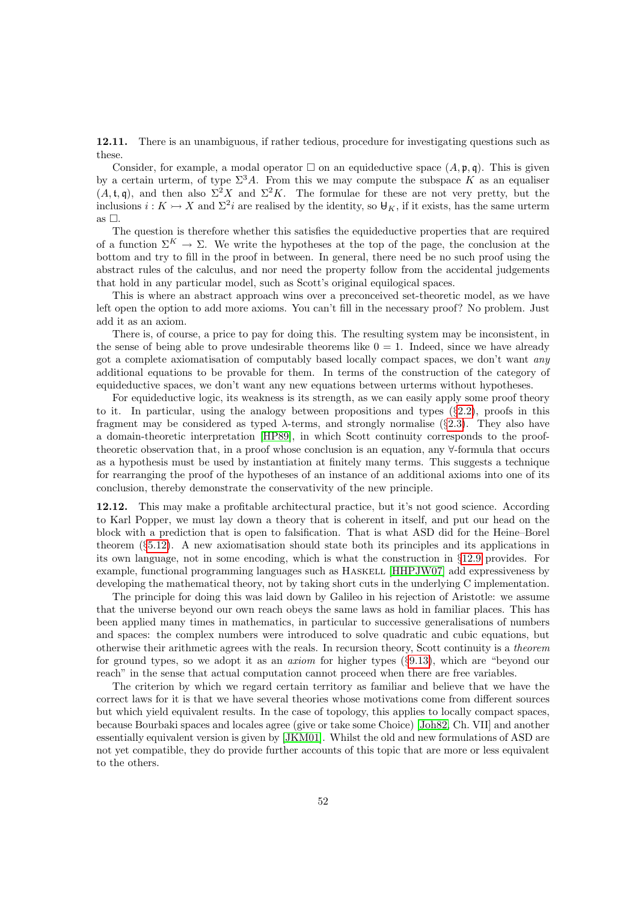<span id="page-51-0"></span>12.11. There is an unambiguous, if rather tedious, procedure for investigating questions such as these.

Consider, for example, a modal operator  $\Box$  on an equideductive space  $(A, \mathfrak{p}, \mathfrak{q})$ . This is given by a certain urterm, of type  $\Sigma^3 A$ . From this we may compute the subspace K as an equaliser  $(A, \mathfrak{t}, \mathfrak{q})$ , and then also  $\Sigma^2 X$  and  $\Sigma^2 K$ . The formulae for these are not very pretty, but the inclusions  $i: K \rightarrow X$  and  $\Sigma^2 i$  are realised by the identity, so  $\mathcal{H}_K$ , if it exists, has the same urterm as  $\Box$ .

The question is therefore whether this satisfies the equideductive properties that are required of a function  $\Sigma^K \to \Sigma$ . We write the hypotheses at the top of the page, the conclusion at the bottom and try to fill in the proof in between. In general, there need be no such proof using the abstract rules of the calculus, and nor need the property follow from the accidental judgements that hold in any particular model, such as Scott's original equilogical spaces.

This is where an abstract approach wins over a preconceived set-theoretic model, as we have left open the option to add more axioms. You can't fill in the necessary proof? No problem. Just add it as an axiom.

There is, of course, a price to pay for doing this. The resulting system may be inconsistent, in the sense of being able to prove undesirable theorems like  $0 = 1$ . Indeed, since we have already got a complete axiomatisation of computably based locally compact spaces, we don't want any additional equations to be provable for them. In terms of the construction of the category of equideductive spaces, we don't want any new equations between urterms without hypotheses.

For equideductive logic, its weakness is its strength, as we can easily apply some proof theory to it. In particular, using the analogy between propositions and types  $(\S2.2)$  $(\S2.2)$ , proofs in this fragment may be considered as typed  $\lambda$ -terms, and strongly normalise (§[2.3\)](#page-4-3). They also have a domain-theoretic interpretation [\[HP89\]](#page-54-18), in which Scott continuity corresponds to the prooftheoretic observation that, in a proof whose conclusion is an equation, any ∀-formula that occurs as a hypothesis must be used by instantiation at finitely many terms. This suggests a technique for rearranging the proof of the hypotheses of an instance of an additional axioms into one of its conclusion, thereby demonstrate the conservativity of the new principle.

12.12. This may make a profitable architectural practice, but it's not good science. According to Karl Popper, we must lay down a theory that is coherent in itself, and put our head on the block with a prediction that is open to falsification. That is what ASD did for the Heine–Borel theorem (§[5.12\)](#page-19-2). A new axiomatisation should state both its principles and its applications in its own language, not in some encoding, which is what the construction in §[12.9](#page-49-0) provides. For example, functional programming languages such as HASKELL [\[HHPJW07\]](#page-54-2) add expressiveness by developing the mathematical theory, not by taking short cuts in the underlying C implementation.

The principle for doing this was laid down by Galileo in his rejection of Aristotle: we assume that the universe beyond our own reach obeys the same laws as hold in familiar places. This has been applied many times in mathematics, in particular to successive generalisations of numbers and spaces: the complex numbers were introduced to solve quadratic and cubic equations, but otherwise their arithmetic agrees with the reals. In recursion theory, Scott continuity is a theorem for ground types, so we adopt it as an axiom for higher types (§[9.13\)](#page-37-2), which are "beyond our reach" in the sense that actual computation cannot proceed when there are free variables.

The criterion by which we regard certain territory as familiar and believe that we have the correct laws for it is that we have several theories whose motivations come from different sources but which yield equivalent results. In the case of topology, this applies to locally compact spaces, because Bourbaki spaces and locales agree (give or take some Choice) [\[Joh82,](#page-54-6) Ch. VII] and another essentially equivalent version is given by [\[JKM01\]](#page-54-10). Whilst the old and new formulations of ASD are not yet compatible, they do provide further accounts of this topic that are more or less equivalent to the others.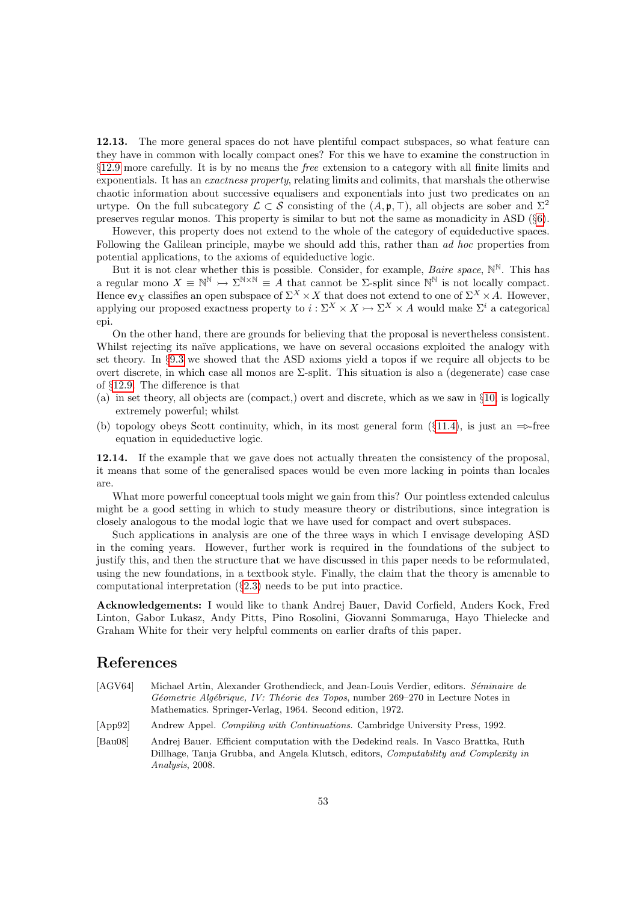12.13. The more general spaces do not have plentiful compact subspaces, so what feature can they have in common with locally compact ones? For this we have to examine the construction in §[12.9](#page-49-0) more carefully. It is by no means the free extension to a category with all finite limits and exponentials. It has an *exactness property*, relating limits and colimits, that marshals the otherwise chaotic information about successive equalisers and exponentials into just two predicates on an urtype. On the full subcategory  $\mathcal{L} \subset \mathcal{S}$  consisting of the  $(A, \mathfrak{p}, \top)$ , all objects are sober and  $\Sigma^2$ preserves regular monos. This property is similar to but not the same as monadicity in ASD (§[6\)](#page-19-0).

However, this property does not extend to the whole of the category of equideductive spaces. Following the Galilean principle, maybe we should add this, rather than ad hoc properties from potential applications, to the axioms of equideductive logic.

But it is not clear whether this is possible. Consider, for example, *Baire space*,  $\mathbb{N}^{\mathbb{N}}$ . This has a regular mono  $X \equiv \mathbb{N}^{\mathbb{N}} \to \Sigma^{\mathbb{N} \times \mathbb{N}} \equiv A$  that cannot be  $\Sigma$ -split since  $\mathbb{N}^{\mathbb{N}}$  is not locally compact. Hence ev<sub>X</sub> classifies an open subspace of  $\Sigma^X \times X$  that does not extend to one of  $\Sigma^X \times A$ . However, applying our proposed exactness property to  $i : \Sigma^X \times X \rightarrow \Sigma^X \times A$  would make  $\Sigma^i$  a categorical epi.

On the other hand, there are grounds for believing that the proposal is nevertheless consistent. Whilst rejecting its naïve applications, we have on several occasions exploited the analogy with set theory. In §[9.3](#page-33-0) we showed that the ASD axioms yield a topos if we require all objects to be overt discrete, in which case all monos are Σ-split. This situation is also a (degenerate) case case of §[12.9.](#page-49-0) The difference is that

- (a) in set theory, all objects are (compact,) overt and discrete, which as we saw in §[10,](#page-37-0) is logically extremely powerful; whilst
- (b) topology obeys Scott continuity, which, in its most general form (§[11.4\)](#page-42-0), is just an  $\Rightarrow$ -free equation in equideductive logic.

12.14. If the example that we gave does not actually threaten the consistency of the proposal, it means that some of the generalised spaces would be even more lacking in points than locales are.

What more powerful conceptual tools might we gain from this? Our pointless extended calculus might be a good setting in which to study measure theory or distributions, since integration is closely analogous to the modal logic that we have used for compact and overt subspaces.

Such applications in analysis are one of the three ways in which I envisage developing ASD in the coming years. However, further work is required in the foundations of the subject to justify this, and then the structure that we have discussed in this paper needs to be reformulated, using the new foundations, in a textbook style. Finally, the claim that the theory is amenable to computational interpretation (§[2.3\)](#page-4-3) needs to be put into practice.

Acknowledgements: I would like to thank Andrej Bauer, David Corfield, Anders Kock, Fred Linton, Gabor Lukasz, Andy Pitts, Pino Rosolini, Giovanni Sommaruga, Hayo Thielecke and Graham White for their very helpful comments on earlier drafts of this paper.

#### References

- <span id="page-52-2"></span>[AGV64] Michael Artin, Alexander Grothendieck, and Jean-Louis Verdier, editors. Séminaire de Géometrie Algébrique, IV: Théorie des Topos, number 269–270 in Lecture Notes in Mathematics. Springer-Verlag, 1964. Second edition, 1972.
- <span id="page-52-1"></span>[App92] Andrew Appel. Compiling with Continuations. Cambridge University Press, 1992.
- <span id="page-52-0"></span>[Bau08] Andrej Bauer. Efficient computation with the Dedekind reals. In Vasco Brattka, Ruth Dillhage, Tanja Grubba, and Angela Klutsch, editors, Computability and Complexity in Analysis, 2008.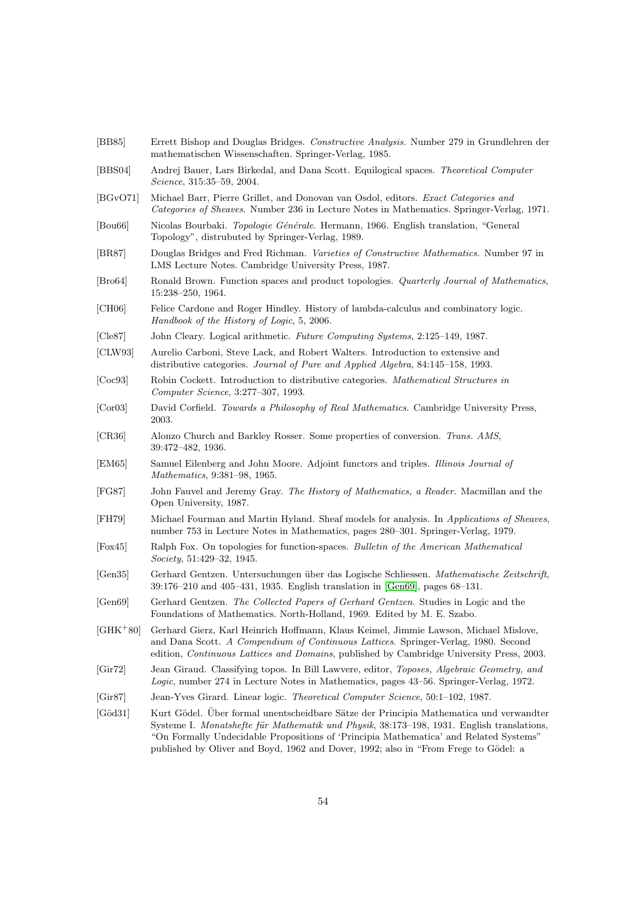<span id="page-53-20"></span><span id="page-53-19"></span><span id="page-53-18"></span><span id="page-53-17"></span><span id="page-53-16"></span><span id="page-53-15"></span><span id="page-53-14"></span><span id="page-53-13"></span><span id="page-53-12"></span><span id="page-53-11"></span><span id="page-53-10"></span><span id="page-53-9"></span><span id="page-53-8"></span><span id="page-53-7"></span><span id="page-53-6"></span><span id="page-53-5"></span><span id="page-53-4"></span><span id="page-53-3"></span><span id="page-53-2"></span><span id="page-53-1"></span><span id="page-53-0"></span>[BB85] Errett Bishop and Douglas Bridges. Constructive Analysis. Number 279 in Grundlehren der mathematischen Wissenschaften. Springer-Verlag, 1985. [BBS04] Andrej Bauer, Lars Birkedal, and Dana Scott. Equilogical spaces. Theoretical Computer Science, 315:35–59, 2004. [BGvO71] Michael Barr, Pierre Grillet, and Donovan van Osdol, editors. Exact Categories and Categories of Sheaves. Number 236 in Lecture Notes in Mathematics. Springer-Verlag, 1971. [Bou66] Nicolas Bourbaki. Topologie Générale. Hermann, 1966. English translation, "General Topology", distrubuted by Springer-Verlag, 1989. [BR87] Douglas Bridges and Fred Richman. Varieties of Constructive Mathematics. Number 97 in LMS Lecture Notes. Cambridge University Press, 1987. [Bro64] Ronald Brown. Function spaces and product topologies. Quarterly Journal of Mathematics, 15:238–250, 1964. [CH06] Felice Cardone and Roger Hindley. History of lambda-calculus and combinatory logic. Handbook of the History of Logic, 5, 2006. [Cle87] John Cleary. Logical arithmetic. Future Computing Systems, 2:125–149, 1987. [CLW93] Aurelio Carboni, Steve Lack, and Robert Walters. Introduction to extensive and distributive categories. Journal of Pure and Applied Algebra, 84:145–158, 1993. [Coc93] Robin Cockett. Introduction to distributive categories. Mathematical Structures in Computer Science, 3:277–307, 1993. [Cor03] David Corfield. Towards a Philosophy of Real Mathematics. Cambridge University Press, 2003. [CR36] Alonzo Church and Barkley Rosser. Some properties of conversion. Trans. AMS, 39:472–482, 1936. [EM65] Samuel Eilenberg and John Moore. Adjoint functors and triples. Illinois Journal of Mathematics, 9:381–98, 1965. [FG87] John Fauvel and Jeremy Gray. The History of Mathematics, a Reader. Macmillan and the Open University, 1987. [FH79] Michael Fourman and Martin Hyland. Sheaf models for analysis. In Applications of Sheaves, number 753 in Lecture Notes in Mathematics, pages 280–301. Springer-Verlag, 1979. [Fox45] Ralph Fox. On topologies for function-spaces. Bulletin of the American Mathematical Society, 51:429–32, 1945. [Gen35] Gerhard Gentzen. Untersuchungen über das Logische Schliessen. Mathematische Zeitschrift. 39:176–210 and 405–431, 1935. English translation in [\[Gen69\]](#page-53-20), pages 68–131. [Gen69] Gerhard Gentzen. The Collected Papers of Gerhard Gentzen. Studies in Logic and the Foundations of Mathematics. North-Holland, 1969. Edited by M. E. Szabo. [GHK<sup>+</sup>80] Gerhard Gierz, Karl Heinrich Hoffmann, Klaus Keimel, Jimmie Lawson, Michael Mislove, and Dana Scott. A Compendium of Continuous Lattices. Springer-Verlag, 1980. Second edition, Continuous Lattices and Domains, published by Cambridge University Press, 2003. [Gir72] Jean Giraud. Classifying topos. In Bill Lawvere, editor, Toposes, Algebraic Geometry, and Logic, number 274 in Lecture Notes in Mathematics, pages 43–56. Springer-Verlag, 1972. [Gir87] Jean-Yves Girard. Linear logic. Theoretical Computer Science, 50:1–102, 1987. [Göd31] Kurt Gödel. Über formal unentscheidbare Sätze der Principia Mathematica und verwandter Systeme I. Monatshefte für Mathematik und Physik, 38:173–198, 1931. English translations, "On Formally Undecidable Propositions of 'Principia Mathematica' and Related Systems" published by Oliver and Boyd, 1962 and Dover, 1992; also in "From Frege to Gödel: a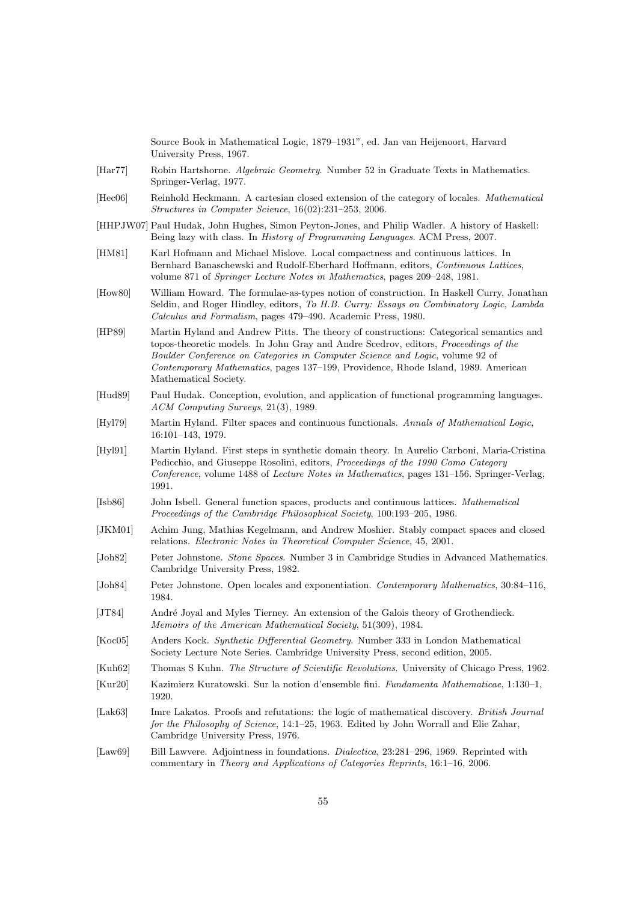Source Book in Mathematical Logic, 1879–1931", ed. Jan van Heijenoort, Harvard University Press, 1967.

- <span id="page-54-7"></span>[Har77] Robin Hartshorne. Algebraic Geometry. Number 52 in Graduate Texts in Mathematics. Springer-Verlag, 1977.
- <span id="page-54-17"></span>[Hec06] Reinhold Heckmann. A cartesian closed extension of the category of locales. Mathematical Structures in Computer Science, 16(02):231–253, 2006.
- <span id="page-54-2"></span>[HHPJW07] Paul Hudak, John Hughes, Simon Peyton-Jones, and Philip Wadler. A history of Haskell: Being lazy with class. In History of Programming Languages. ACM Press, 2007.
- <span id="page-54-9"></span>[HM81] Karl Hofmann and Michael Mislove. Local compactness and continuous lattices. In Bernhard Banaschewski and Rudolf-Eberhard Hoffmann, editors, Continuous Lattices, volume 871 of Springer Lecture Notes in Mathematics, pages 209–248, 1981.
- <span id="page-54-0"></span>[How80] William Howard. The formulae-as-types notion of construction. In Haskell Curry, Jonathan Seldin, and Roger Hindley, editors, To H.B. Curry: Essays on Combinatory Logic, Lambda Calculus and Formalism, pages 479–490. Academic Press, 1980.
- <span id="page-54-18"></span>[HP89] Martin Hyland and Andrew Pitts. The theory of constructions: Categorical semantics and topos-theoretic models. In John Gray and Andre Scedrov, editors, Proceedings of the Boulder Conference on Categories in Computer Science and Logic, volume 92 of Contemporary Mathematics, pages 137–199, Providence, Rhode Island, 1989. American Mathematical Society.
- <span id="page-54-1"></span>[Hud89] Paul Hudak. Conception, evolution, and application of functional programming languages. ACM Computing Surveys, 21(3), 1989.
- <span id="page-54-16"></span>[Hyl79] Martin Hyland. Filter spaces and continuous functionals. Annals of Mathematical Logic, 16:101–143, 1979.
- <span id="page-54-12"></span>[Hyl91] Martin Hyland. First steps in synthetic domain theory. In Aurelio Carboni, Maria-Cristina Pedicchio, and Giuseppe Rosolini, editors, Proceedings of the 1990 Como Category Conference, volume 1488 of Lecture Notes in Mathematics, pages 131–156. Springer-Verlag, 1991.
- <span id="page-54-8"></span>[Isb86] John Isbell. General function spaces, products and continuous lattices. Mathematical Proceedings of the Cambridge Philosophical Society, 100:193–205, 1986.
- <span id="page-54-10"></span>[JKM01] Achim Jung, Mathias Kegelmann, and Andrew Moshier. Stably compact spaces and closed relations. Electronic Notes in Theoretical Computer Science, 45, 2001.
- <span id="page-54-6"></span>[Joh82] Peter Johnstone. Stone Spaces. Number 3 in Cambridge Studies in Advanced Mathematics. Cambridge University Press, 1982.
- <span id="page-54-14"></span>[Joh84] Peter Johnstone. Open locales and exponentiation. Contemporary Mathematics, 30:84–116, 1984.
- <span id="page-54-11"></span>[JT84] André Joyal and Myles Tierney. An extension of the Galois theory of Grothendieck. Memoirs of the American Mathematical Society, 51(309), 1984.
- <span id="page-54-13"></span>[Koc05] Anders Kock. Synthetic Differential Geometry. Number 333 in London Mathematical Society Lecture Note Series. Cambridge University Press, second edition, 2005.
- <span id="page-54-5"></span>[Kuh62] Thomas S Kuhn. The Structure of Scientific Revolutions. University of Chicago Press, 1962.
- <span id="page-54-15"></span>[Kur20] Kazimierz Kuratowski. Sur la notion d'ensemble fini. Fundamenta Mathematicae, 1:130–1, 1920.
- <span id="page-54-4"></span>[Lak63] Imre Lakatos. Proofs and refutations: the logic of mathematical discovery. British Journal for the Philosophy of Science, 14:1–25, 1963. Edited by John Worrall and Elie Zahar, Cambridge University Press, 1976.
- <span id="page-54-3"></span>[Law69] Bill Lawvere. Adjointness in foundations. *Dialectica*, 23:281–296, 1969. Reprinted with commentary in Theory and Applications of Categories Reprints, 16:1–16, 2006.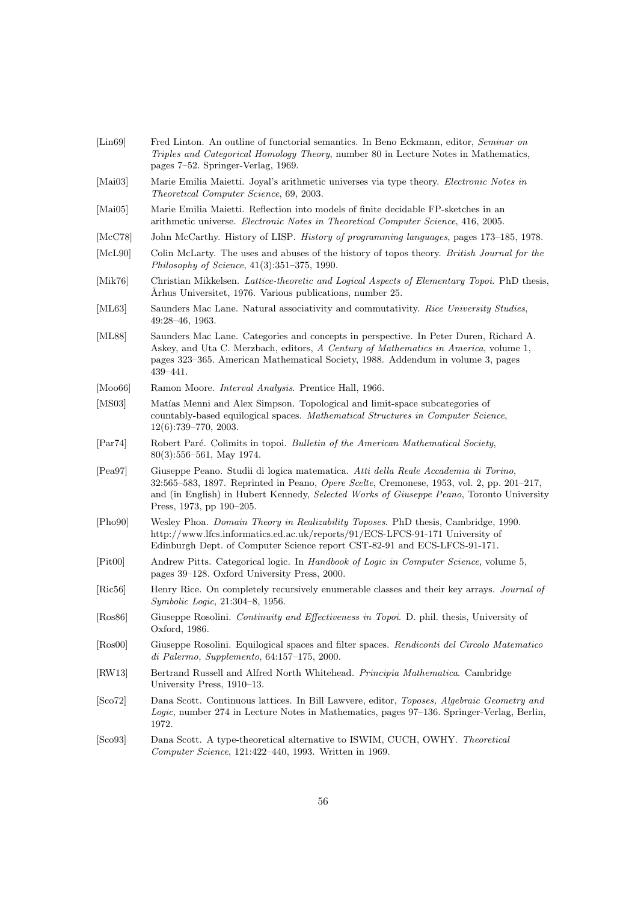<span id="page-55-19"></span><span id="page-55-18"></span><span id="page-55-17"></span><span id="page-55-16"></span><span id="page-55-15"></span><span id="page-55-14"></span><span id="page-55-13"></span><span id="page-55-12"></span><span id="page-55-11"></span><span id="page-55-10"></span><span id="page-55-9"></span><span id="page-55-8"></span><span id="page-55-7"></span><span id="page-55-5"></span><span id="page-55-4"></span><span id="page-55-3"></span><span id="page-55-2"></span><span id="page-55-1"></span><span id="page-55-0"></span>Triples and Categorical Homology Theory, number 80 in Lecture Notes in Mathematics, pages 7–52. Springer-Verlag, 1969. [Mai03] Marie Emilia Maietti. Joyal's arithmetic universes via type theory. Electronic Notes in Theoretical Computer Science, 69, 2003. [Mai05] Marie Emilia Maietti. Reflection into models of finite decidable FP-sketches in an arithmetic universe. Electronic Notes in Theoretical Computer Science, 416, 2005. [McC78] John McCarthy. History of LISP. History of programming languages, pages 173–185, 1978. [McL90] Colin McLarty. The uses and abuses of the history of topos theory. British Journal for the Philosophy of Science, 41(3):351–375, 1990. [Mik76] Christian Mikkelsen. Lattice-theoretic and Logical Aspects of Elementary Topoi. PhD thesis, Århus Universitet, 1976. Various publications, number 25. [ML63] Saunders Mac Lane. Natural associativity and commutativity. Rice University Studies, 49:28–46, 1963. [ML88] Saunders Mac Lane. Categories and concepts in perspective. In Peter Duren, Richard A. Askey, and Uta C. Merzbach, editors, A Century of Mathematics in America, volume 1, pages 323–365. American Mathematical Society, 1988. Addendum in volume 3, pages 439–441. [Moo66] Ramon Moore. *Interval Analysis*. Prentice Hall, 1966. [MS03] Matías Menni and Alex Simpson. Topological and limit-space subcategories of countably-based equilogical spaces. Mathematical Structures in Computer Science, 12(6):739–770, 2003. [Par74] Robert Paré. Colimits in topoi. Bulletin of the American Mathematical Society, 80(3):556–561, May 1974. [Pea97] Giuseppe Peano. Studii di logica matematica. Atti della Reale Accademia di Torino, 32:565–583, 1897. Reprinted in Peano, Opere Scelte, Cremonese, 1953, vol. 2, pp. 201–217, and (in English) in Hubert Kennedy, Selected Works of Giuseppe Peano, Toronto University Press, 1973, pp 190–205. [Pho90] Wesley Phoa. Domain Theory in Realizability Toposes. PhD thesis, Cambridge, 1990. http://www.lfcs.informatics.ed.ac.uk/reports/91/ECS-LFCS-91-171 University of Edinburgh Dept. of Computer Science report CST-82-91 and ECS-LFCS-91-171. [Pit00] Andrew Pitts. Categorical logic. In Handbook of Logic in Computer Science, volume 5, pages 39–128. Oxford University Press, 2000. [Ric56] Henry Rice. On completely recursively enumerable classes and their key arrays. Journal of Symbolic Logic, 21:304–8, 1956. [Ros86] Giuseppe Rosolini. Continuity and Effectiveness in Topoi. D. phil. thesis, University of Oxford, 1986. [Ros00] Giuseppe Rosolini. Equilogical spaces and filter spaces. Rendiconti del Circolo Matematico di Palermo, Supplemento, 64:157–175, 2000. [RW13] Bertrand Russell and Alfred North Whitehead. Principia Mathematica. Cambridge University Press, 1910–13. [Sco72] Dana Scott. Continuous lattices. In Bill Lawvere, editor, Toposes, Algebraic Geometry and Logic, number 274 in Lecture Notes in Mathematics, pages 97–136. Springer-Verlag, Berlin, 1972. [Sco93] Dana Scott. A type-theoretical alternative to ISWIM, CUCH, OWHY. Theoretical Computer Science, 121:422–440, 1993. Written in 1969.

<span id="page-55-6"></span>[Lin69] Fred Linton. An outline of functorial semantics. In Beno Eckmann, editor, Seminar on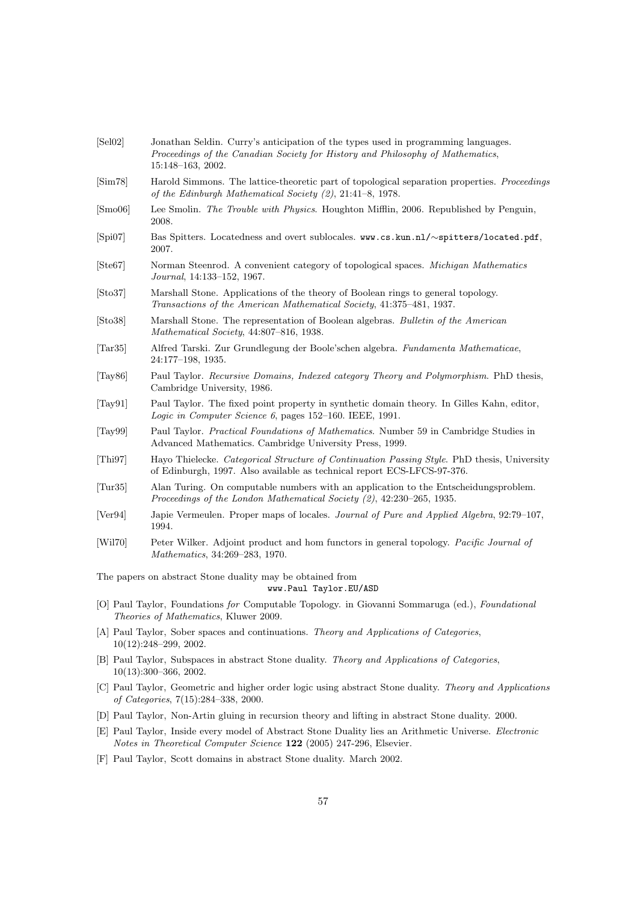<span id="page-56-19"></span><span id="page-56-18"></span><span id="page-56-14"></span><span id="page-56-12"></span><span id="page-56-6"></span><span id="page-56-5"></span><span id="page-56-4"></span><span id="page-56-3"></span><span id="page-56-2"></span><span id="page-56-1"></span><span id="page-56-0"></span>

| [Sel02]                                                                                                                                                                                    | Jonathan Seldin. Curry's anticipation of the types used in programming languages.<br>Proceedings of the Canadian Society for History and Philosophy of Mathematics,<br>15:148-163, 2002. |  |  |  |  |  |
|--------------------------------------------------------------------------------------------------------------------------------------------------------------------------------------------|------------------------------------------------------------------------------------------------------------------------------------------------------------------------------------------|--|--|--|--|--|
| [Sim78]                                                                                                                                                                                    | Harold Simmons. The lattice-theoretic part of topological separation properties. Proceedings<br>of the Edinburgh Mathematical Society $(2)$ , 21:41-8, 1978.                             |  |  |  |  |  |
| [Smo06]                                                                                                                                                                                    | Lee Smolin. The Trouble with Physics. Houghton Mifflin, 2006. Republished by Penguin,<br>2008.                                                                                           |  |  |  |  |  |
| [Spi07]                                                                                                                                                                                    | Bas Spitters. Locatedness and overt sublocales. www.cs.kun.nl/~spitters/located.pdf,<br>2007.                                                                                            |  |  |  |  |  |
| [Ste67]                                                                                                                                                                                    | Norman Steenrod. A convenient category of topological spaces. Michigan Mathematics<br>Journal, 14:133–152, 1967.                                                                         |  |  |  |  |  |
| [Sto37]                                                                                                                                                                                    | Marshall Stone. Applications of the theory of Boolean rings to general topology.<br>Transactions of the American Mathematical Society, 41:375-481, 1937.                                 |  |  |  |  |  |
| [Sto38]                                                                                                                                                                                    | Marshall Stone. The representation of Boolean algebras. Bulletin of the American<br>Mathematical Society, 44:807-816, 1938.                                                              |  |  |  |  |  |
| $\vert \text{Tar} 35 \vert$                                                                                                                                                                | Alfred Tarski. Zur Grundlegung der Boole'schen algebra. Fundamenta Mathematicae,<br>24:177-198, 1935.                                                                                    |  |  |  |  |  |
| [Tay $86$ ]                                                                                                                                                                                | Paul Taylor. Recursive Domains, Indexed category Theory and Polymorphism. PhD thesis,<br>Cambridge University, 1986.                                                                     |  |  |  |  |  |
| [Tay91]                                                                                                                                                                                    | Paul Taylor. The fixed point property in synthetic domain theory. In Gilles Kahn, editor,<br>Logic in Computer Science 6, pages 152-160. IEEE, 1991.                                     |  |  |  |  |  |
| [Tay99]                                                                                                                                                                                    | Paul Taylor. Practical Foundations of Mathematics. Number 59 in Cambridge Studies in<br>Advanced Mathematics. Cambridge University Press, 1999.                                          |  |  |  |  |  |
| $\vert$ Thi97 $\vert$                                                                                                                                                                      | Hayo Thielecke. Categorical Structure of Continuation Passing Style. PhD thesis, University<br>of Edinburgh, 1997. Also available as technical report ECS-LFCS-97-376.                   |  |  |  |  |  |
| $\vert \text{Tur35} \vert$                                                                                                                                                                 | Alan Turing. On computable numbers with an application to the Entscheidungsproblem.<br>Proceedings of the London Mathematical Society (2), 42:230-265, 1935.                             |  |  |  |  |  |
| [Ver94]                                                                                                                                                                                    | Japie Vermeulen. Proper maps of locales. Journal of Pure and Applied Algebra, 92:79-107,<br>1994.                                                                                        |  |  |  |  |  |
| [Wil70]                                                                                                                                                                                    | Peter Wilker. Adjoint product and hom functors in general topology. Pacific Journal of<br>Mathematics, 34:269-283, 1970.                                                                 |  |  |  |  |  |
| The papers on abstract Stone duality may be obtained from<br>www.Paul Taylor.EU/ASD                                                                                                        |                                                                                                                                                                                          |  |  |  |  |  |
| [O] Paul Taylor, Foundations for Computable Topology. in Giovanni Sommaruga (ed.), Foundational<br>Theories of Mathematics, Kluwer 2009.                                                   |                                                                                                                                                                                          |  |  |  |  |  |
| [A] Paul Taylor, Sober spaces and continuations. Theory and Applications of Categories,<br>$10(12):248-299, 2002.$                                                                         |                                                                                                                                                                                          |  |  |  |  |  |
| [B] Paul Taylor, Subspaces in abstract Stone duality. Theory and Applications of Categories,<br>$10(13):300-366, 2002.$                                                                    |                                                                                                                                                                                          |  |  |  |  |  |
| [C] Paul Taylor, Geometric and higher order logic using abstract Stone duality. Theory and Applications<br>of Categories, $7(15):284-338$ , 2000.                                          |                                                                                                                                                                                          |  |  |  |  |  |
| [D] Paul Taylor, Non-Artin gluing in recursion theory and lifting in abstract Stone duality. 2000.                                                                                         |                                                                                                                                                                                          |  |  |  |  |  |
| [E] Paul Taylor, Inside every model of Abstract Stone Duality lies an Arithmetic Universe. <i>Electronic</i><br><i>Notes in Theoretical Computer Science</i> 122 (2005) 247-296, Elsevier. |                                                                                                                                                                                          |  |  |  |  |  |

<span id="page-56-17"></span><span id="page-56-16"></span><span id="page-56-15"></span><span id="page-56-13"></span><span id="page-56-11"></span><span id="page-56-10"></span><span id="page-56-9"></span><span id="page-56-8"></span><span id="page-56-7"></span>[F] Paul Taylor, Scott domains in abstract Stone duality. March 2002.